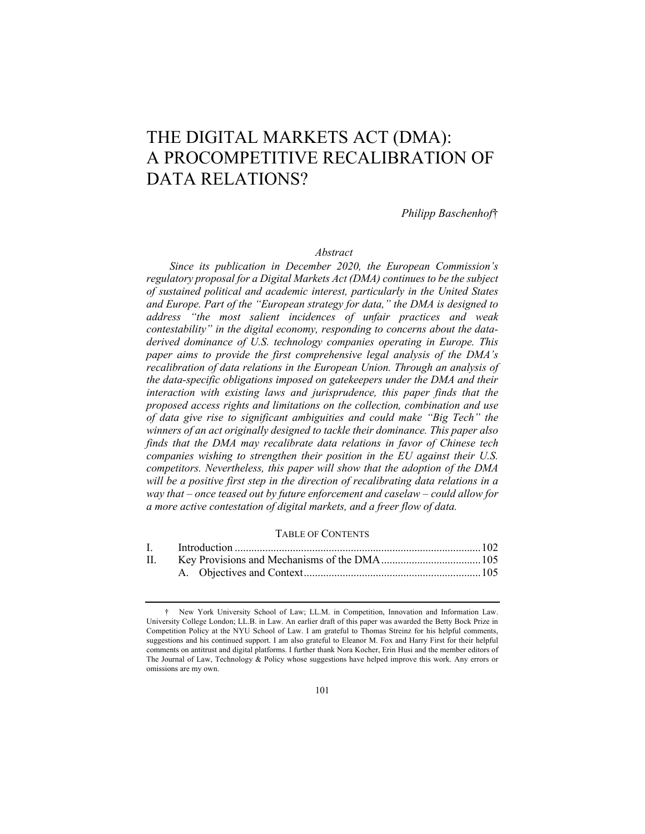# THE DIGITAL MARKETS ACT (DMA): A PROCOMPETITIVE RECALIBRATION OF DATA RELATIONS?

*Philipp Baschenhof*†

## *Abstract*

*Since its publication in December 2020, the European Commission's regulatory proposal for a Digital Markets Act (DMA) continues to be the subject of sustained political and academic interest, particularly in the United States and Europe. Part of the "European strategy for data," the DMA is designed to address "the most salient incidences of unfair practices and weak contestability" in the digital economy, responding to concerns about the dataderived dominance of U.S. technology companies operating in Europe. This paper aims to provide the first comprehensive legal analysis of the DMA's recalibration of data relations in the European Union. Through an analysis of the data-specific obligations imposed on gatekeepers under the DMA and their*  interaction with existing laws and jurisprudence, this paper finds that the *proposed access rights and limitations on the collection, combination and use of data give rise to significant ambiguities and could make "Big Tech" the winners of an act originally designed to tackle their dominance. This paper also finds that the DMA may recalibrate data relations in favor of Chinese tech companies wishing to strengthen their position in the EU against their U.S. competitors. Nevertheless, this paper will show that the adoption of the DMA*  will be a positive first step in the direction of recalibrating data relations in a *way that – once teased out by future enforcement and caselaw – could allow for a more active contestation of digital markets, and a freer flow of data.*

### TABLE OF CONTENTS

| I. <sub>1</sub> |  |
|-----------------|--|
|                 |  |
|                 |  |

<sup>†</sup> New York University School of Law; LL.M. in Competition, Innovation and Information Law. University College London; LL.B. in Law. An earlier draft of this paper was awarded the Betty Bock Prize in Competition Policy at the NYU School of Law. I am grateful to Thomas Streinz for his helpful comments, suggestions and his continued support. I am also grateful to Eleanor M. Fox and Harry First for their helpful comments on antitrust and digital platforms. I further thank Nora Kocher, Erin Husi and the member editors of The Journal of Law, Technology & Policy whose suggestions have helped improve this work. Any errors or omissions are my own.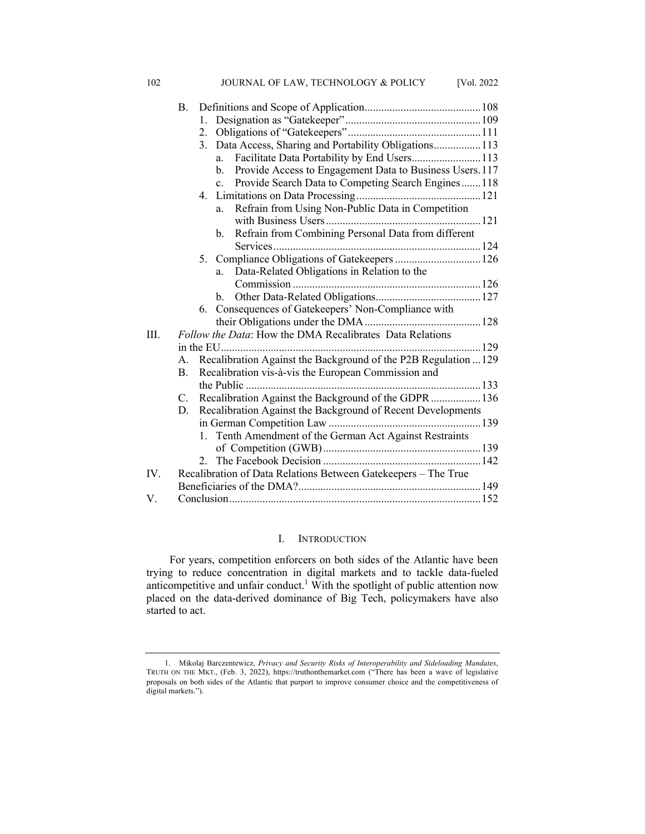|     | B.             |                                                                            |
|-----|----------------|----------------------------------------------------------------------------|
|     |                | $1_{-}$                                                                    |
|     |                |                                                                            |
|     |                | 3. Data Access, Sharing and Portability Obligations113                     |
|     |                | Facilitate Data Portability by End Users 113<br>a.                         |
|     |                | Provide Access to Engagement Data to Business Users. 117<br>$\mathbf{b}$ . |
|     |                | Provide Search Data to Competing Search Engines118<br>$\mathbf{c}$ .       |
|     |                | 4.                                                                         |
|     |                | Refrain from Using Non-Public Data in Competition<br>a.                    |
|     |                |                                                                            |
|     |                | Refrain from Combining Personal Data from different<br>$\mathbf{b}$ .      |
|     |                |                                                                            |
|     |                | Compliance Obligations of Gatekeepers  126<br>5.                           |
|     |                | Data-Related Obligations in Relation to the<br>a.                          |
|     |                |                                                                            |
|     |                | b.                                                                         |
|     |                | 6. Consequences of Gatekeepers' Non-Compliance with                        |
|     |                |                                                                            |
| HL. |                | Follow the Data: How the DMA Recalibrates Data Relations                   |
|     |                |                                                                            |
|     | A.             | Recalibration Against the Background of the P2B Regulation  129            |
|     | $\mathbf{B}$ . | Recalibration vis-à-vis the European Commission and                        |
|     |                |                                                                            |
|     | $C_{\cdot}$    | Recalibration Against the Background of the GDPR  136                      |
|     | D.             | Recalibration Against the Background of Recent Developments                |
|     |                |                                                                            |
|     |                | Tenth Amendment of the German Act Against Restraints<br>1.                 |
|     |                |                                                                            |
|     |                | 2.                                                                         |
| IV. |                | Recalibration of Data Relations Between Gatekeepers - The True             |
|     |                |                                                                            |
| V.  |                |                                                                            |

102 JOURNAL OF LAW, TECHNOLOGY & POLICY [Vol. 2022

# I. INTRODUCTION

For years, competition enforcers on both sides of the Atlantic have been trying to reduce concentration in digital markets and to tackle data-fueled anticompetitive and unfair conduct.<sup>1</sup> With the spotlight of public attention now placed on the data-derived dominance of Big Tech, policymakers have also started to act.

<sup>1.</sup> Mikolaj Barczentewicz, *Privacy and Security Risks of Interoperability and Sideloading Mandates*, TRUTH ON THE MKT., (Feb. 3, 2022), https://truthonthemarket.com ("There has been a wave of legislative proposals on both sides of the Atlantic that purport to improve consumer choice and the competitiveness of digital markets.").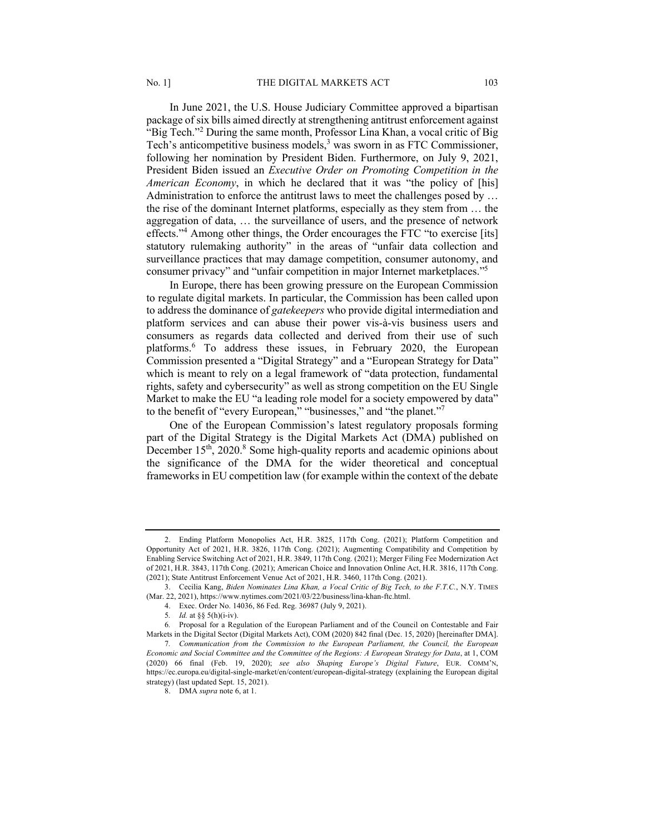In June 2021, the U.S. House Judiciary Committee approved a bipartisan package of six bills aimed directly at strengthening antitrust enforcement against "Big Tech."<sup>2</sup> During the same month, Professor Lina Khan, a vocal critic of Big Tech's anticompetitive business models,<sup>3</sup> was sworn in as FTC Commissioner, following her nomination by President Biden. Furthermore, on July 9, 2021, President Biden issued an *Executive Order on Promoting Competition in the American Economy*, in which he declared that it was "the policy of [his] Administration to enforce the antitrust laws to meet the challenges posed by ... the rise of the dominant Internet platforms, especially as they stem from … the aggregation of data, … the surveillance of users, and the presence of network effects."4 Among other things, the Order encourages the FTC "to exercise [its] statutory rulemaking authority" in the areas of "unfair data collection and surveillance practices that may damage competition, consumer autonomy, and consumer privacy" and "unfair competition in major Internet marketplaces."5

In Europe, there has been growing pressure on the European Commission to regulate digital markets. In particular, the Commission has been called upon to address the dominance of *gatekeepers* who provide digital intermediation and platform services and can abuse their power vis-à-vis business users and consumers as regards data collected and derived from their use of such platforms.<sup>6</sup> To address these issues, in February 2020, the European Commission presented a "Digital Strategy" and a "European Strategy for Data" which is meant to rely on a legal framework of "data protection, fundamental rights, safety and cybersecurity" as well as strong competition on the EU Single Market to make the EU "a leading role model for a society empowered by data" to the benefit of "every European," "businesses," and "the planet."7

One of the European Commission's latest regulatory proposals forming part of the Digital Strategy is the Digital Markets Act (DMA) published on December 15<sup>th</sup>, 2020.<sup>8</sup> Some high-quality reports and academic opinions about the significance of the DMA for the wider theoretical and conceptual frameworks in EU competition law (for example within the context of the debate

<sup>2.</sup> Ending Platform Monopolies Act, H.R. 3825, 117th Cong. (2021); Platform Competition and Opportunity Act of 2021, H.R. 3826, 117th Cong. (2021); Augmenting Compatibility and Competition by Enabling Service Switching Act of 2021, H.R. 3849, 117th Cong. (2021); Merger Filing Fee Modernization Act of 2021, H.R. 3843, 117th Cong. (2021); American Choice and Innovation Online Act, H.R. 3816, 117th Cong. (2021); State Antitrust Enforcement Venue Act of 2021, H.R. 3460, 117th Cong. (2021).

<sup>3.</sup> Cecilia Kang, *Biden Nominates Lina Khan, a Vocal Critic of Big Tech, to the F.T.C.*, N.Y. TIMES (Mar. 22, 2021), https://www.nytimes.com/2021/03/22/business/lina-khan-ftc.html.

<sup>4.</sup> Exec. Order No. 14036, 86 Fed. Reg. 36987 (July 9, 2021).

<sup>5</sup>*. Id.* at §§ 5(h)(i-iv).

<sup>6</sup>*.* Proposal for a Regulation of the European Parliament and of the Council on Contestable and Fair Markets in the Digital Sector (Digital Markets Act), COM (2020) 842 final (Dec. 15, 2020) [hereinafter DMA].

<sup>7</sup>*. Communication from the Commission to the European Parliament, the Council, the European Economic and Social Committee and the Committee of the Regions: A European Strategy for Data*, at 1, COM (2020) 66 final (Feb. 19, 2020); *see also Shaping Europe's Digital Future*, EUR. COMM'N, https://ec.europa.eu/digital-single-market/en/content/european-digital-strategy (explaining the European digital strategy) (last updated Sept. 15, 2021).

<sup>8.</sup> DMA *supra* note 6, at 1.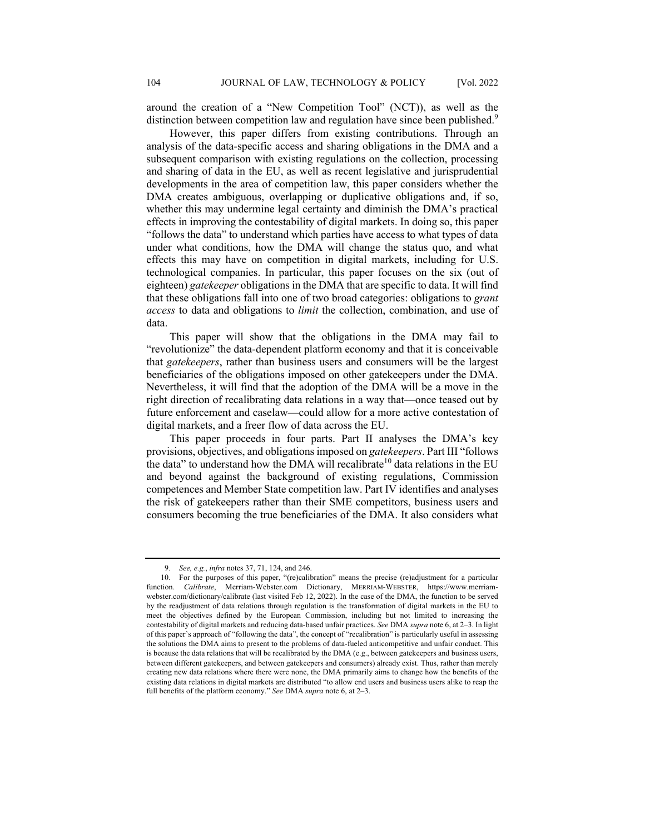around the creation of a "New Competition Tool" (NCT)), as well as the distinction between competition law and regulation have since been published.<sup>9</sup>

However, this paper differs from existing contributions. Through an analysis of the data-specific access and sharing obligations in the DMA and a subsequent comparison with existing regulations on the collection, processing and sharing of data in the EU, as well as recent legislative and jurisprudential developments in the area of competition law, this paper considers whether the DMA creates ambiguous, overlapping or duplicative obligations and, if so, whether this may undermine legal certainty and diminish the DMA's practical effects in improving the contestability of digital markets. In doing so, this paper "follows the data" to understand which parties have access to what types of data under what conditions, how the DMA will change the status quo, and what effects this may have on competition in digital markets, including for U.S. technological companies. In particular, this paper focuses on the six (out of eighteen) *gatekeeper* obligations in the DMA that are specific to data. It will find that these obligations fall into one of two broad categories: obligations to *grant access* to data and obligations to *limit* the collection, combination, and use of data.

This paper will show that the obligations in the DMA may fail to "revolutionize" the data-dependent platform economy and that it is conceivable that *gatekeepers*, rather than business users and consumers will be the largest beneficiaries of the obligations imposed on other gatekeepers under the DMA. Nevertheless, it will find that the adoption of the DMA will be a move in the right direction of recalibrating data relations in a way that—once teased out by future enforcement and caselaw—could allow for a more active contestation of digital markets, and a freer flow of data across the EU.

This paper proceeds in four parts. Part II analyses the DMA's key provisions, objectives, and obligations imposed on *gatekeepers*. Part III "follows the data" to understand how the DMA will recalibrate<sup>10</sup> data relations in the EU and beyond against the background of existing regulations, Commission competences and Member State competition law. Part IV identifies and analyses the risk of gatekeepers rather than their SME competitors, business users and consumers becoming the true beneficiaries of the DMA. It also considers what

<sup>9</sup>*. See, e.g.*, *infra* notes 37, 71, 124, and 246.

<sup>10.</sup> For the purposes of this paper, "(re)calibration" means the precise (re)adjustment for a particular function. *Calibrate*, Merriam-Webster.com Dictionary, MERRIAM-WEBSTER, https://www.merriamwebster.com/dictionary/calibrate (last visited Feb 12, 2022). In the case of the DMA, the function to be served by the readjustment of data relations through regulation is the transformation of digital markets in the EU to meet the objectives defined by the European Commission, including but not limited to increasing the contestability of digital markets and reducing data-based unfair practices. *See* DMA *supra* note 6, at 2–3. In light of this paper's approach of "following the data", the concept of "recalibration" is particularly useful in assessing the solutions the DMA aims to present to the problems of data-fueled anticompetitive and unfair conduct. This is because the data relations that will be recalibrated by the DMA (e.g., between gatekeepers and business users, between different gatekeepers, and between gatekeepers and consumers) already exist. Thus, rather than merely creating new data relations where there were none, the DMA primarily aims to change how the benefits of the existing data relations in digital markets are distributed "to allow end users and business users alike to reap the full benefits of the platform economy." *See* DMA *supra* note 6, at 2–3.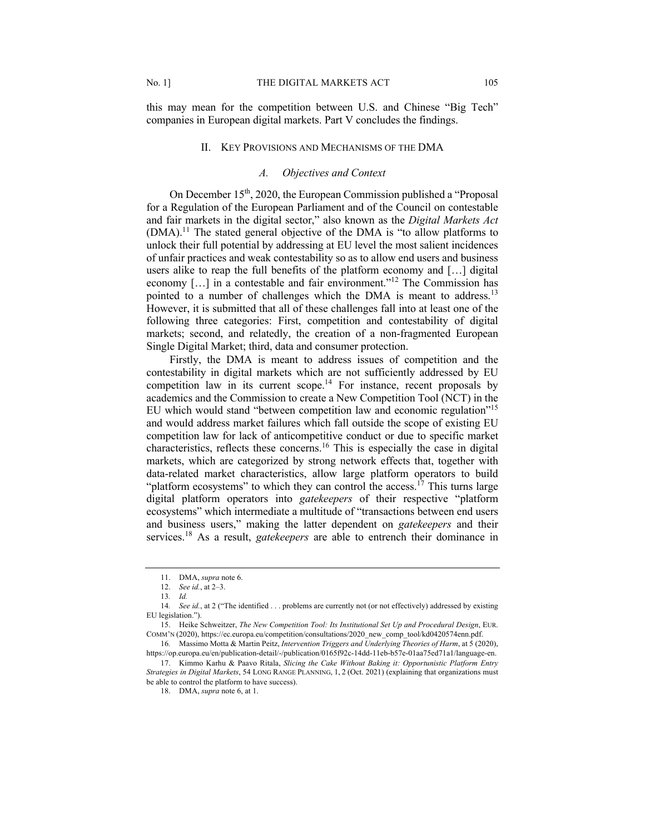this may mean for the competition between U.S. and Chinese "Big Tech" companies in European digital markets. Part V concludes the findings.

#### II. KEY PROVISIONS AND MECHANISMS OF THE DMA

## *A. Objectives and Context*

On December 15<sup>th</sup>, 2020, the European Commission published a "Proposal for a Regulation of the European Parliament and of the Council on contestable and fair markets in the digital sector," also known as the *Digital Markets Act*  $(DMA)$ <sup>11</sup>. The stated general objective of the DMA is "to allow platforms to unlock their full potential by addressing at EU level the most salient incidences of unfair practices and weak contestability so as to allow end users and business users alike to reap the full benefits of the platform economy and […] digital economy [...] in a contestable and fair environment."<sup>12</sup> The Commission has pointed to a number of challenges which the DMA is meant to address.<sup>13</sup> However, it is submitted that all of these challenges fall into at least one of the following three categories: First, competition and contestability of digital markets; second, and relatedly, the creation of a non-fragmented European Single Digital Market; third, data and consumer protection.

Firstly, the DMA is meant to address issues of competition and the contestability in digital markets which are not sufficiently addressed by EU competition law in its current scope.<sup>14</sup> For instance, recent proposals by academics and the Commission to create a New Competition Tool (NCT) in the EU which would stand "between competition law and economic regulation"15 and would address market failures which fall outside the scope of existing EU competition law for lack of anticompetitive conduct or due to specific market characteristics, reflects these concerns.<sup>16</sup> This is especially the case in digital markets, which are categorized by strong network effects that, together with data-related market characteristics, allow large platform operators to build "platform ecosystems" to which they can control the access.<sup>17</sup> This turns large digital platform operators into *gatekeepers* of their respective "platform ecosystems" which intermediate a multitude of "transactions between end users and business users," making the latter dependent on *gatekeepers* and their services.<sup>18</sup> As a result, *gatekeepers* are able to entrench their dominance in

<sup>11.</sup> DMA, *supra* note 6.

<sup>12.</sup> *See id.*, at 2–3.

<sup>13</sup>*. Id.*

<sup>14</sup>*. See id.*, at 2 ("The identified . . . problems are currently not (or not effectively) addressed by existing EU legislation.").

<sup>15.</sup> Heike Schweitzer, *The New Competition Tool: Its Institutional Set Up and Procedural Design*, EUR. COMM'N (2020), https://ec.europa.eu/competition/consultations/2020\_new\_comp\_tool/kd0420574enn.pdf.

<sup>16</sup>*.* Massimo Motta & Martin Peitz, *Intervention Triggers and Underlying Theories of Harm*, at 5 (2020), https://op.europa.eu/en/publication-detail/-/publication/0165f92c-14dd-11eb-b57e-01aa75ed71a1/language-en.

<sup>17.</sup> Kimmo Karhu & Paavo Ritala, *Slicing the Cake Without Baking it: Opportunistic Platform Entry Strategies in Digital Markets*, 54 LONG RANGE PLANNING, 1, 2 (Oct. 2021) (explaining that organizations must be able to control the platform to have success).

<sup>18.</sup> DMA, *supra* note 6, at 1.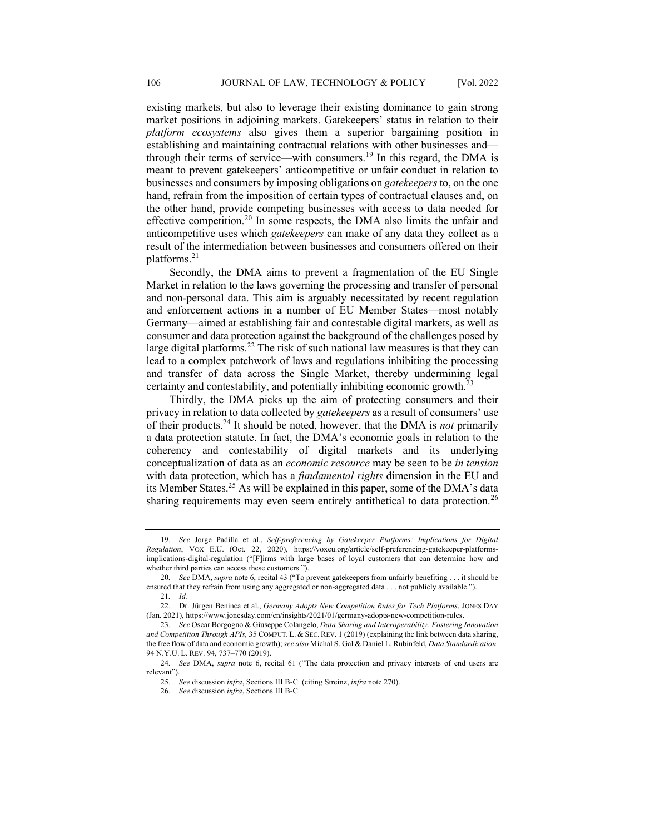existing markets, but also to leverage their existing dominance to gain strong market positions in adjoining markets. Gatekeepers' status in relation to their *platform ecosystems* also gives them a superior bargaining position in establishing and maintaining contractual relations with other businesses and through their terms of service—with consumers.<sup>19</sup> In this regard, the DMA is meant to prevent gatekeepers' anticompetitive or unfair conduct in relation to businesses and consumers by imposing obligations on *gatekeepers* to, on the one hand, refrain from the imposition of certain types of contractual clauses and, on the other hand, provide competing businesses with access to data needed for effective competition.<sup>20</sup> In some respects, the DMA also limits the unfair and anticompetitive uses which *gatekeepers* can make of any data they collect as a result of the intermediation between businesses and consumers offered on their platforms.<sup>21</sup>

Secondly, the DMA aims to prevent a fragmentation of the EU Single Market in relation to the laws governing the processing and transfer of personal and non-personal data. This aim is arguably necessitated by recent regulation and enforcement actions in a number of EU Member States—most notably Germany—aimed at establishing fair and contestable digital markets, as well as consumer and data protection against the background of the challenges posed by large digital platforms.<sup>22</sup> The risk of such national law measures is that they can lead to a complex patchwork of laws and regulations inhibiting the processing and transfer of data across the Single Market, thereby undermining legal certainty and contestability, and potentially inhibiting economic growth.<sup>2</sup>

Thirdly, the DMA picks up the aim of protecting consumers and their privacy in relation to data collected by *gatekeepers* as a result of consumers' use of their products.<sup>24</sup> It should be noted, however, that the DMA is *not* primarily a data protection statute. In fact, the DMA's economic goals in relation to the coherency and contestability of digital markets and its underlying conceptualization of data as an *economic resource* may be seen to be *in tension* with data protection, which has a *fundamental rights* dimension in the EU and its Member States.<sup>25</sup> As will be explained in this paper, some of the DMA's data sharing requirements may even seem entirely antithetical to data protection.<sup>26</sup>

<sup>19</sup>*. See* Jorge Padilla et al., *Self-preferencing by Gatekeeper Platforms: Implications for Digital Regulation*, VOX E.U. (Oct. 22, 2020), https://voxeu.org/article/self-preferencing-gatekeeper-platformsimplications-digital-regulation ("[F]irms with large bases of loyal customers that can determine how and whether third parties can access these customers.").

<sup>20</sup>*. See* DMA, *supra* note 6, recital 43 ("To prevent gatekeepers from unfairly benefiting . . . it should be ensured that they refrain from using any aggregated or non-aggregated data . . . not publicly available.").

<sup>21</sup>*. Id.*

<sup>22.</sup> Dr. Jürgen Beninca et al., *Germany Adopts New Competition Rules for Tech Platforms*, JONES DAY (Jan. 2021), https://www.jonesday.com/en/insights/2021/01/germany-adopts-new-competition-rules.

<sup>23</sup>*. See* Oscar Borgogno & Giuseppe Colangelo, *Data Sharing and Interoperability: Fostering Innovation and Competition Through APIs,* 35 COMPUT. L. & SEC. REV. 1 (2019) (explaining the link between data sharing, the free flow of data and economic growth); *see also* Michal S. Gal & Daniel L. Rubinfeld, *Data Standardization,* 94 N.Y.U. L. REV. 94, 737–770 (2019).

<sup>24</sup>*. See* DMA, *supra* note 6, recital 61 ("The data protection and privacy interests of end users are relevant").

<sup>25</sup>*. See* discussion *infra*, Sections III.B-C. (citing Streinz, *infra* note 270).

<sup>26</sup>*. See* discussion *infra*, Sections III.B-C.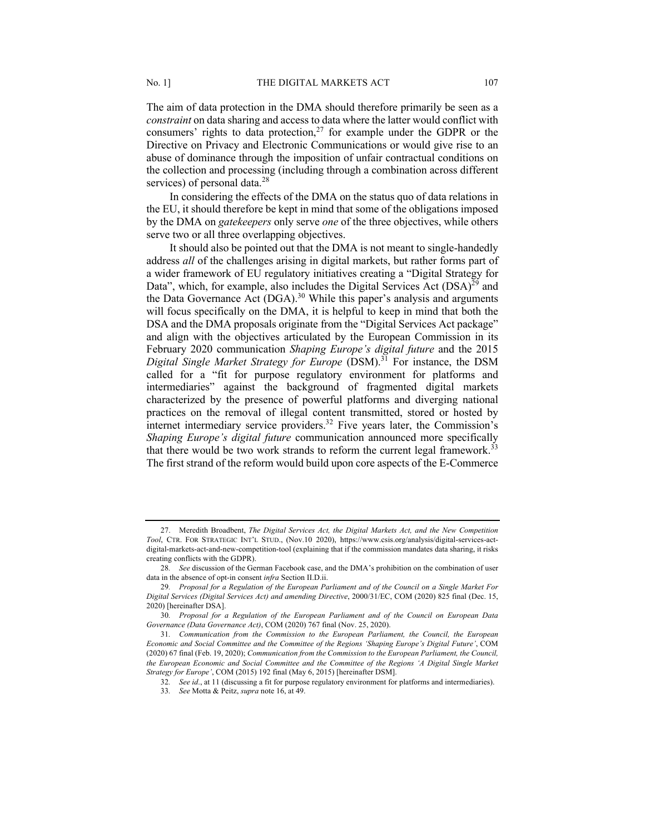The aim of data protection in the DMA should therefore primarily be seen as a *constraint* on data sharing and access to data where the latter would conflict with consumers' rights to data protection, $27$  for example under the GDPR or the Directive on Privacy and Electronic Communications or would give rise to an abuse of dominance through the imposition of unfair contractual conditions on the collection and processing (including through a combination across different services) of personal data.<sup>28</sup>

In considering the effects of the DMA on the status quo of data relations in the EU, it should therefore be kept in mind that some of the obligations imposed by the DMA on *gatekeepers* only serve *one* of the three objectives, while others serve two or all three overlapping objectives.

It should also be pointed out that the DMA is not meant to single-handedly address *all* of the challenges arising in digital markets, but rather forms part of a wider framework of EU regulatory initiatives creating a "Digital Strategy for Data", which, for example, also includes the Digital Services Act  $(DSA)^{29}$  and the Data Governance Act (DGA).<sup>30</sup> While this paper's analysis and arguments will focus specifically on the DMA, it is helpful to keep in mind that both the DSA and the DMA proposals originate from the "Digital Services Act package" and align with the objectives articulated by the European Commission in its February 2020 communication *Shaping Europe's digital future* and the 2015 *Digital Single Market Strategy for Europe* (DSM).31 For instance, the DSM called for a "fit for purpose regulatory environment for platforms and intermediaries" against the background of fragmented digital markets characterized by the presence of powerful platforms and diverging national practices on the removal of illegal content transmitted, stored or hosted by internet intermediary service providers.<sup>32</sup> Five years later, the Commission's *Shaping Europe's digital future* communication announced more specifically that there would be two work strands to reform the current legal framework.<sup>33</sup> The first strand of the reform would build upon core aspects of the E-Commerce

<sup>27.</sup> Meredith Broadbent, *The Digital Services Act, the Digital Markets Act, and the New Competition Tool*, CTR. FOR STRATEGIC INT'L STUD., (Nov.10 2020), https://www.csis.org/analysis/digital-services-actdigital-markets-act-and-new-competition-tool (explaining that if the commission mandates data sharing, it risks creating conflicts with the GDPR).

<sup>28</sup>*. See* discussion of the German Facebook case, and the DMA's prohibition on the combination of user data in the absence of opt-in consent *infra* Section II.D.ii.

<sup>29</sup>*. Proposal for a Regulation of the European Parliament and of the Council on a Single Market For Digital Services (Digital Services Act) and amending Directive*, 2000/31/EC, COM (2020) 825 final (Dec. 15, 2020) [hereinafter DSA].

<sup>30</sup>*. Proposal for a Regulation of the European Parliament and of the Council on European Data Governance (Data Governance Act)*, COM (2020) 767 final (Nov. 25, 2020).

<sup>31</sup>*. Communication from the Commission to the European Parliament, the Council, the European Economic and Social Committee and the Committee of the Regions 'Shaping Europe's Digital Future'*, COM (2020) 67 final (Feb. 19, 2020); *Communication from the Commission to the European Parliament, the Council, the European Economic and Social Committee and the Committee of the Regions 'A Digital Single Market Strategy for Europe'*, COM (2015) 192 final (May 6, 2015) [hereinafter DSM].

<sup>32</sup>*. See id*., at 11 (discussing a fit for purpose regulatory environment for platforms and intermediaries).

<sup>33</sup>*. See* Motta & Peitz, *supra* note 16, at 49.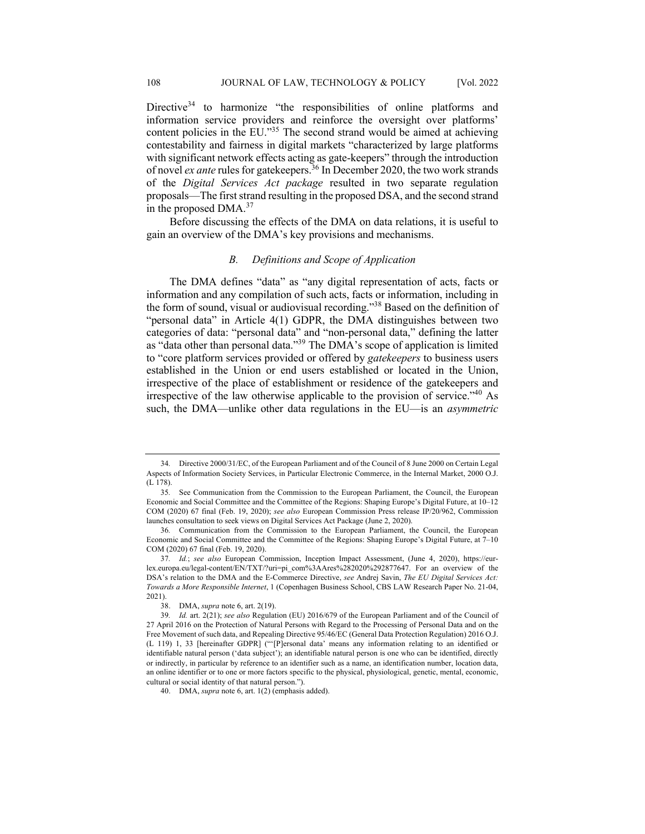Directive<sup>34</sup> to harmonize "the responsibilities of online platforms and information service providers and reinforce the oversight over platforms' content policies in the EU."35 The second strand would be aimed at achieving contestability and fairness in digital markets "characterized by large platforms with significant network effects acting as gate-keepers" through the introduction of novel *ex ante* rules for gatekeepers.36 In December 2020, the two work strands of the *Digital Services Act package* resulted in two separate regulation proposals—The first strand resulting in the proposed DSA, and the second strand in the proposed DMA.<sup>37</sup>

Before discussing the effects of the DMA on data relations, it is useful to gain an overview of the DMA's key provisions and mechanisms.

# *B. Definitions and Scope of Application*

The DMA defines "data" as "any digital representation of acts, facts or information and any compilation of such acts, facts or information, including in the form of sound, visual or audiovisual recording."38 Based on the definition of "personal data" in Article 4(1) GDPR, the DMA distinguishes between two categories of data: "personal data" and "non-personal data," defining the latter as "data other than personal data."<sup>39</sup> The DMA's scope of application is limited to "core platform services provided or offered by *gatekeepers* to business users established in the Union or end users established or located in the Union, irrespective of the place of establishment or residence of the gatekeepers and irrespective of the law otherwise applicable to the provision of service."40 As such, the DMA—unlike other data regulations in the EU—is an *asymmetric*

<sup>34</sup>*.* Directive 2000/31/EC, of the European Parliament and of the Council of 8 June 2000 on Certain Legal Aspects of Information Society Services, in Particular Electronic Commerce, in the Internal Market, 2000 O.J. (L 178).

<sup>35</sup>*.* See Communication from the Commission to the European Parliament, the Council, the European Economic and Social Committee and the Committee of the Regions: Shaping Europe's Digital Future, at 10–12 COM (2020) 67 final (Feb. 19, 2020); *see also* European Commission Press release IP/20/962, Commission launches consultation to seek views on Digital Services Act Package (June 2, 2020).

<sup>36</sup>*.* Communication from the Commission to the European Parliament, the Council, the European Economic and Social Committee and the Committee of the Regions: Shaping Europe's Digital Future, at 7–10 COM (2020) 67 final (Feb. 19, 2020).

<sup>37</sup>*. Id.*; *see also* European Commission, Inception Impact Assessment, (June 4, 2020), https://eurlex.europa.eu/legal-content/EN/TXT/?uri=pi\_com%3AAres%282020%292877647. For an overview of the DSA's relation to the DMA and the E-Commerce Directive, *see* Andrej Savin, *The EU Digital Services Act: Towards a More Responsible Internet*, 1 (Copenhagen Business School, CBS LAW Research Paper No. 21-04, 2021).

<sup>38.</sup> DMA, *supra* note 6, art. 2(19).

<sup>39</sup>*. Id.* art. 2(21); *see also* Regulation (EU) 2016/679 of the European Parliament and of the Council of 27 April 2016 on the Protection of Natural Persons with Regard to the Processing of Personal Data and on the Free Movement of such data, and Repealing Directive 95/46/EC (General Data Protection Regulation) 2016 O.J. (L 119) 1, 33 [hereinafter GDPR] ("'[P]ersonal data' means any information relating to an identified or identifiable natural person ('data subject'); an identifiable natural person is one who can be identified, directly or indirectly, in particular by reference to an identifier such as a name, an identification number, location data, an online identifier or to one or more factors specific to the physical, physiological, genetic, mental, economic, cultural or social identity of that natural person.").

<sup>40.</sup> DMA, *supra* note 6, art. 1(2) (emphasis added).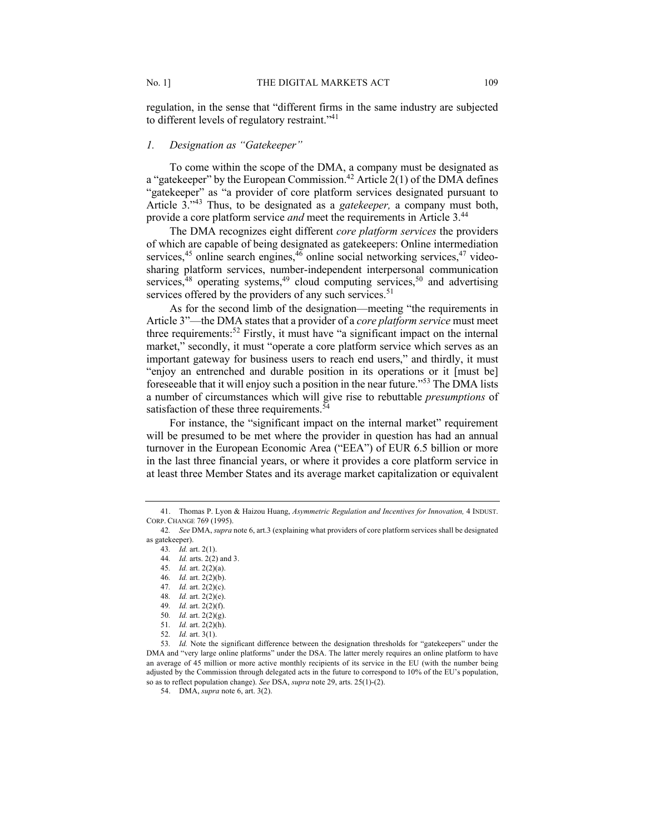regulation, in the sense that "different firms in the same industry are subjected to different levels of regulatory restraint."<sup>41</sup>

## *1. Designation as "Gatekeeper"*

To come within the scope of the DMA, a company must be designated as a "gatekeeper" by the European Commission.<sup>42</sup> Article  $2(1)$  of the DMA defines "gatekeeper" as "a provider of core platform services designated pursuant to Article 3."<sup>43</sup> Thus, to be designated as a *gatekeeper,* a company must both, provide a core platform service *and* meet the requirements in Article 3.44

The DMA recognizes eight different *core platform services* the providers of which are capable of being designated as gatekeepers: Online intermediation services,<sup>45</sup> online search engines,<sup>46</sup> online social networking services,<sup>47</sup> videosharing platform services, number-independent interpersonal communication services,<sup>48</sup> operating systems,<sup>49</sup> cloud computing services,<sup>50</sup> and advertising services offered by the providers of any such services.<sup>51</sup>

As for the second limb of the designation—meeting "the requirements in Article 3"—the DMA states that a provider of a *core platform service* must meet three requirements: <sup>52</sup> Firstly, it must have "a significant impact on the internal market," secondly, it must "operate a core platform service which serves as an important gateway for business users to reach end users," and thirdly, it must "enjoy an entrenched and durable position in its operations or it [must be] foreseeable that it will enjoy such a position in the near future."<sup>53</sup> The DMA lists a number of circumstances which will give rise to rebuttable *presumptions* of satisfaction of these three requirements.<sup>54</sup>

For instance, the "significant impact on the internal market" requirement will be presumed to be met where the provider in question has had an annual turnover in the European Economic Area ("EEA") of EUR 6.5 billion or more in the last three financial years, or where it provides a core platform service in at least three Member States and its average market capitalization or equivalent

51*. Id.* art. 2(2)(h).

<sup>41.</sup> Thomas P. Lyon & Haizou Huang, *Asymmetric Regulation and Incentives for Innovation,* 4 INDUST. CORP. CHANGE 769 (1995).

<sup>42</sup>*. See* DMA, *supra* note 6, art.3 (explaining what providers of core platform services shall be designated as gatekeeper).

<sup>43</sup>*. Id.* art. 2(1).

<sup>44</sup>*. Id.* arts. 2(2) and 3.

<sup>45</sup>*. Id.* art. 2(2)(a).

<sup>46</sup>*. Id.* art. 2(2)(b).

<sup>47</sup>*. Id.* art. 2(2)(c).

<sup>48</sup>*. Id.* art. 2(2)(e).

<sup>49</sup>*. Id.* art. 2(2)(f).

<sup>50</sup>*. Id.* art. 2(2)(g).

<sup>52</sup>*. Id.* art. 3(1).

<sup>53</sup>*. Id.* Note the significant difference between the designation thresholds for "gatekeepers" under the DMA and "very large online platforms" under the DSA. The latter merely requires an online platform to have an average of 45 million or more active monthly recipients of its service in the EU (with the number being adjusted by the Commission through delegated acts in the future to correspond to 10% of the EU's population, so as to reflect population change). *See* DSA, *supra* note 29, arts. 25(1)-(2).

<sup>54.</sup> DMA, *supra* note 6, art. 3(2).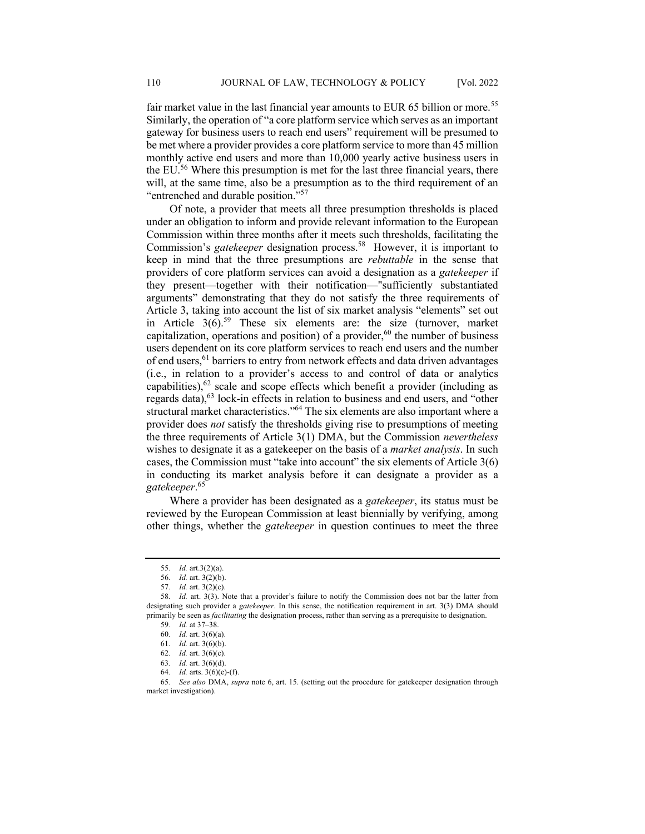fair market value in the last financial year amounts to EUR 65 billion or more.<sup>55</sup> Similarly, the operation of "a core platform service which serves as an important gateway for business users to reach end users" requirement will be presumed to be met where a provider provides a core platform service to more than 45 million monthly active end users and more than 10,000 yearly active business users in the EU.<sup>56</sup> Where this presumption is met for the last three financial years, there will, at the same time, also be a presumption as to the third requirement of an "entrenched and durable position."<sup>57</sup>

Of note, a provider that meets all three presumption thresholds is placed under an obligation to inform and provide relevant information to the European Commission within three months after it meets such thresholds, facilitating the Commission's *gatekeeper* designation process.<sup>58</sup> However, it is important to keep in mind that the three presumptions are *rebuttable* in the sense that providers of core platform services can avoid a designation as a *gatekeeper* if they present—together with their notification—"sufficiently substantiated arguments" demonstrating that they do not satisfy the three requirements of Article 3, taking into account the list of six market analysis "elements" set out in Article  $3(6)$ .<sup>59</sup> These six elements are: the size (turnover, market capitalization, operations and position) of a provider,  $60$  the number of business users dependent on its core platform services to reach end users and the number of end users,<sup>61</sup> barriers to entry from network effects and data driven advantages (i.e., in relation to a provider's access to and control of data or analytics capabilities),  $62$  scale and scope effects which benefit a provider (including as regards data), <sup>63</sup> lock-in effects in relation to business and end users, and "other structural market characteristics."64 The six elements are also important where a provider does *not* satisfy the thresholds giving rise to presumptions of meeting the three requirements of Article 3(1) DMA, but the Commission *nevertheless* wishes to designate it as a gatekeeper on the basis of a *market analysis*. In such cases, the Commission must "take into account" the six elements of Article 3(6) in conducting its market analysis before it can designate a provider as a *gatekeeper*. 65

Where a provider has been designated as a *gatekeeper*, its status must be reviewed by the European Commission at least biennially by verifying, among other things, whether the *gatekeeper* in question continues to meet the three

<sup>55</sup>*. Id.* art.3(2)(a).

<sup>56</sup>*. Id.* art. 3(2)(b).

<sup>57</sup>*. Id.* art. 3(2)(c).

<sup>58</sup>*. Id.* art. 3(3). Note that a provider's failure to notify the Commission does not bar the latter from designating such provider a *gatekeeper*. In this sense, the notification requirement in art. 3(3) DMA should primarily be seen as *facilitating* the designation process, rather than serving as a prerequisite to designation.

<sup>59</sup>*. Id.* at 37–38.

<sup>60</sup>*. Id.* art. 3(6)(a).

<sup>61</sup>*. Id.* art. 3(6)(b).

<sup>62</sup>*. Id.* art. 3(6)(c).

<sup>63</sup>*. Id.* art. 3(6)(d).

<sup>64</sup>*. Id.* arts. 3(6)(e)-(f).

<sup>65</sup>*. See also* DMA, *supra* note 6, art. 15. (setting out the procedure for gatekeeper designation through market investigation).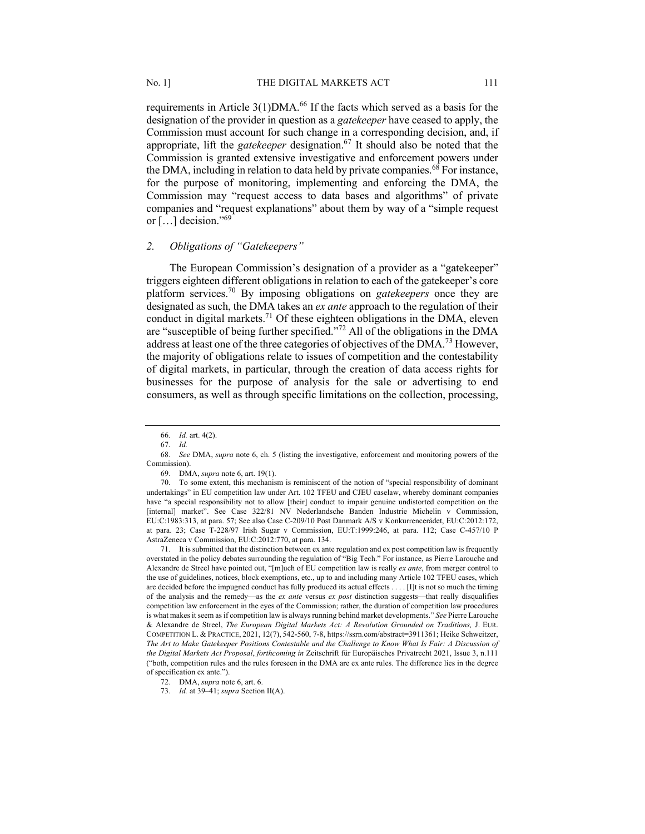requirements in Article  $3(1)$ DMA.<sup>66</sup> If the facts which served as a basis for the designation of the provider in question as a *gatekeeper* have ceased to apply, the Commission must account for such change in a corresponding decision, and, if appropriate, lift the *gatekeeper* designation.67 It should also be noted that the Commission is granted extensive investigative and enforcement powers under the DMA, including in relation to data held by private companies.<sup>68</sup> For instance, for the purpose of monitoring, implementing and enforcing the DMA, the Commission may "request access to data bases and algorithms" of private companies and "request explanations" about them by way of a "simple request or  $[\ldots]$  decision."<sup>69</sup>

## *2. Obligations of "Gatekeepers"*

The European Commission's designation of a provider as a "gatekeeper" triggers eighteen different obligations in relation to each of the gatekeeper's core platform services.70 By imposing obligations on *gatekeepers* once they are designated as such, the DMA takes an *ex ante* approach to the regulation of their conduct in digital markets.<sup>71</sup> Of these eighteen obligations in the DMA, eleven are "susceptible of being further specified."<sup>72</sup> All of the obligations in the DMA address at least one of the three categories of objectives of the DMA.73 However, the majority of obligations relate to issues of competition and the contestability of digital markets, in particular, through the creation of data access rights for businesses for the purpose of analysis for the sale or advertising to end consumers, as well as through specific limitations on the collection, processing,

69. DMA, *supra* note 6, art. 19(1).

70. To some extent, this mechanism is reminiscent of the notion of "special responsibility of dominant undertakings" in EU competition law under Art. 102 TFEU and CJEU caselaw, whereby dominant companies have "a special responsibility not to allow [their] conduct to impair genuine undistorted competition on the [internal] market". See Case 322/81 NV Nederlandsche Banden Industrie Michelin v Commission, EU:C:1983:313, at para. 57; See also Case C-209/10 Post Danmark A/S v Konkurrencerådet, EU:C:2012:172, at para. 23; Case T-228/97 Irish Sugar v Commission, EU:T:1999:246, at para. 112; Case C-457/10 P AstraZeneca v Commission, EU:C:2012:770, at para. 134.

71. It is submitted that the distinction between ex ante regulation and ex post competition law is frequently overstated in the policy debates surrounding the regulation of "Big Tech." For instance, as Pierre Larouche and Alexandre de Streel have pointed out, "[m]uch of EU competition law is really *ex ante*, from merger control to the use of guidelines, notices, block exemptions, etc., up to and including many Article 102 TFEU cases, which are decided before the impugned conduct has fully produced its actual effects . . . . [I]t is not so much the timing of the analysis and the remedy—as the *ex ante* versus *ex post* distinction suggests—that really disqualifies competition law enforcement in the eyes of the Commission; rather, the duration of competition law procedures is what makes it seem as if competition law is always running behind market developments." *See* Pierre Larouche & Alexandre de Streel, *The European Digital Markets Act: A Revolution Grounded on Traditions,* J. EUR. COMPETITION L. & PRACTICE, 2021, 12(7), 542-560, 7-8, https://ssrn.com/abstract=3911361; Heike Schweitzer, *The Art to Make Gatekeeper Positions Contestable and the Challenge to Know What Is Fair: A Discussion of the Digital Markets Act Proposal*, *forthcoming in* Zeitschrift für Europäisches Privatrecht 2021, Issue 3, n.111 ("both, competition rules and the rules foreseen in the DMA are ex ante rules. The difference lies in the degree of specification ex ante.").

<sup>66</sup>*. Id.* art. 4(2).

<sup>67</sup>*. Id.*

<sup>68</sup>*. See* DMA, *supra* note 6, ch. 5 (listing the investigative, enforcement and monitoring powers of the Commission).

<sup>72.</sup> DMA, *supra* note 6, art. 6.

<sup>73.</sup> *Id.* at 39–41; *supra* Section II(A).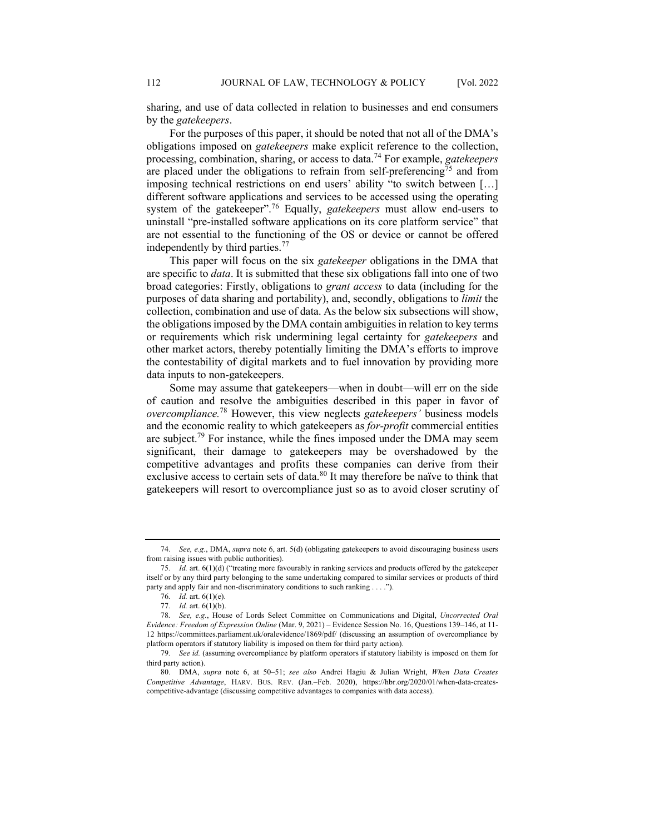sharing, and use of data collected in relation to businesses and end consumers by the *gatekeepers*.

For the purposes of this paper, it should be noted that not all of the DMA's obligations imposed on *gatekeepers* make explicit reference to the collection, processing, combination, sharing, or access to data.<sup>74</sup> For example, *gatekeepers* are placed under the obligations to refrain from self-preferencing<sup>75</sup> and from imposing technical restrictions on end users' ability "to switch between […] different software applications and services to be accessed using the operating system of the gatekeeper".<sup>76</sup> Equally, *gatekeepers* must allow end-users to uninstall "pre-installed software applications on its core platform service" that are not essential to the functioning of the OS or device or cannot be offered independently by third parties.<sup>77</sup>

This paper will focus on the six *gatekeeper* obligations in the DMA that are specific to *data*. It is submitted that these six obligations fall into one of two broad categories: Firstly, obligations to *grant access* to data (including for the purposes of data sharing and portability), and, secondly, obligations to *limit* the collection, combination and use of data. As the below six subsections will show, the obligations imposed by the DMA contain ambiguities in relation to key terms or requirements which risk undermining legal certainty for *gatekeepers* and other market actors, thereby potentially limiting the DMA's efforts to improve the contestability of digital markets and to fuel innovation by providing more data inputs to non-gatekeepers.

Some may assume that gatekeepers—when in doubt—will err on the side of caution and resolve the ambiguities described in this paper in favor of *overcompliance.* <sup>78</sup> However, this view neglects *gatekeepers'* business models and the economic reality to which gatekeepers as *for-profit* commercial entities are subject.<sup>79</sup> For instance, while the fines imposed under the DMA may seem significant, their damage to gatekeepers may be overshadowed by the competitive advantages and profits these companies can derive from their exclusive access to certain sets of data.<sup>80</sup> It may therefore be naïve to think that gatekeepers will resort to overcompliance just so as to avoid closer scrutiny of

<sup>74.</sup> *See, e.g.*, DMA, *supra* note 6, art. 5(d) (obligating gatekeepers to avoid discouraging business users from raising issues with public authorities).

<sup>75</sup>*. Id.* art. 6(1)(d) ("treating more favourably in ranking services and products offered by the gatekeeper itself or by any third party belonging to the same undertaking compared to similar services or products of third party and apply fair and non-discriminatory conditions to such ranking . . . .").

<sup>76</sup>*. Id.* art. 6(1)(e).

<sup>77</sup>*. Id.* art. 6(1)(b).

<sup>78</sup>*. See, e.g.*, House of Lords Select Committee on Communications and Digital, *Uncorrected Oral Evidence: Freedom of Expression Online* (Mar. 9, 2021) – Evidence Session No. 16, Questions 139–146, at 11- 12 https://committees.parliament.uk/oralevidence/1869/pdf/ (discussing an assumption of overcompliance by platform operators if statutory liability is imposed on them for third party action).

<sup>79</sup>*. See id.* (assuming overcompliance by platform operators if statutory liability is imposed on them for third party action).

<sup>80.</sup> DMA, *supra* note 6, at 50–51; *see also* Andrei Hagiu & Julian Wright, *When Data Creates Competitive Advantage*, HARV. BUS. REV. (Jan.–Feb. 2020), https://hbr.org/2020/01/when-data-createscompetitive-advantage (discussing competitive advantages to companies with data access).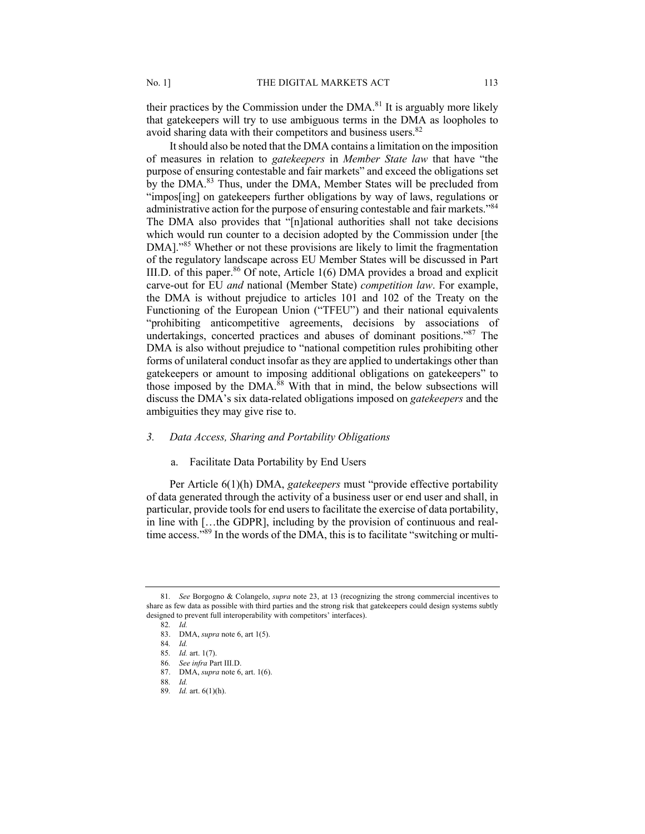their practices by the Commission under the  $DMA<sup>81</sup>$  It is arguably more likely that gatekeepers will try to use ambiguous terms in the DMA as loopholes to avoid sharing data with their competitors and business users.<sup>82</sup>

It should also be noted that the DMA contains a limitation on the imposition of measures in relation to *gatekeepers* in *Member State law* that have "the purpose of ensuring contestable and fair markets" and exceed the obligations set by the DMA.<sup>83</sup> Thus, under the DMA, Member States will be precluded from "impos[ing] on gatekeepers further obligations by way of laws, regulations or administrative action for the purpose of ensuring contestable and fair markets."<sup>84</sup> The DMA also provides that "[n]ational authorities shall not take decisions which would run counter to a decision adopted by the Commission under [the DMA]."<sup>85</sup> Whether or not these provisions are likely to limit the fragmentation of the regulatory landscape across EU Member States will be discussed in Part III.D. of this paper.<sup>86</sup> Of note, Article 1(6) DMA provides a broad and explicit carve-out for EU *and* national (Member State) *competition law*. For example, the DMA is without prejudice to articles 101 and 102 of the Treaty on the Functioning of the European Union ("TFEU") and their national equivalents "prohibiting anticompetitive agreements, decisions by associations of undertakings, concerted practices and abuses of dominant positions."87 The DMA is also without prejudice to "national competition rules prohibiting other forms of unilateral conduct insofar as they are applied to undertakings other than gatekeepers or amount to imposing additional obligations on gatekeepers" to those imposed by the DMA.<sup>88</sup> With that in mind, the below subsections will discuss the DMA's six data-related obligations imposed on *gatekeepers* and the ambiguities they may give rise to.

# *3. Data Access, Sharing and Portability Obligations*

# a. Facilitate Data Portability by End Users

Per Article 6(1)(h) DMA, *gatekeepers* must "provide effective portability of data generated through the activity of a business user or end user and shall, in particular, provide tools for end users to facilitate the exercise of data portability, in line with […the GDPR], including by the provision of continuous and realtime access."89 In the words of the DMA, this is to facilitate "switching or multi-

<sup>81</sup>*. See* Borgogno & Colangelo, *supra* note 23, at 13 (recognizing the strong commercial incentives to share as few data as possible with third parties and the strong risk that gatekeepers could design systems subtly designed to prevent full interoperability with competitors' interfaces).

<sup>82</sup>*. Id.*

<sup>83.</sup> DMA, *supra* note 6, art 1(5).

<sup>84</sup>*. Id.*

<sup>85</sup>*. Id.* art. 1(7).

<sup>86</sup>*. See infra* Part III.D.

<sup>87.</sup> DMA, *supra* note 6, art. 1(6).

<sup>88</sup>*. Id.*

<sup>89</sup>*. Id.* art. 6(1)(h).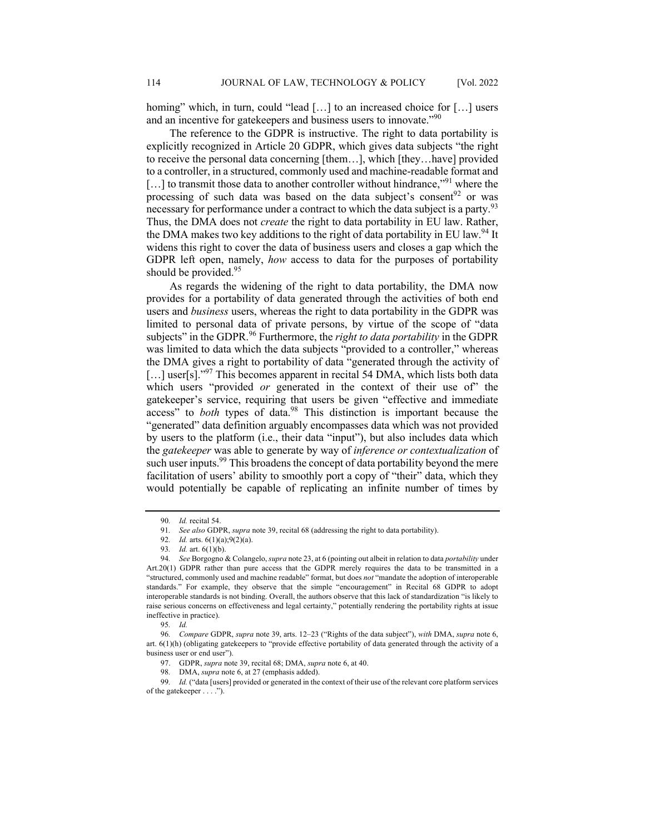homing" which, in turn, could "lead [...] to an increased choice for [...] users and an incentive for gatekeepers and business users to innovate."<sup>90</sup>

The reference to the GDPR is instructive. The right to data portability is explicitly recognized in Article 20 GDPR, which gives data subjects "the right to receive the personal data concerning [them…], which [they…have] provided to a controller, in a structured, commonly used and machine-readable format and [...] to transmit those data to another controller without hindrance,"<sup>91</sup> where the processing of such data was based on the data subject's consent<sup>92</sup> or was necessary for performance under a contract to which the data subject is a party.<sup>93</sup> Thus, the DMA does not *create* the right to data portability in EU law. Rather, the DMA makes two key additions to the right of data portability in EU law.<sup>94</sup> It widens this right to cover the data of business users and closes a gap which the GDPR left open, namely, *how* access to data for the purposes of portability should be provided.<sup>95</sup>

As regards the widening of the right to data portability, the DMA now provides for a portability of data generated through the activities of both end users and *business* users, whereas the right to data portability in the GDPR was limited to personal data of private persons, by virtue of the scope of "data subjects" in the GDPR.<sup>96</sup> Furthermore, the *right to data portability* in the GDPR was limited to data which the data subjects "provided to a controller," whereas the DMA gives a right to portability of data "generated through the activity of  $\left[ \ldots \right]$  user $\left[ s \right]$ ."<sup>97</sup> This becomes apparent in recital 54 DMA, which lists both data which users "provided *or* generated in the context of their use of" the gatekeeper's service, requiring that users be given "effective and immediate access" to *both* types of data.<sup>98</sup> This distinction is important because the "generated" data definition arguably encompasses data which was not provided by users to the platform (i.e., their data "input"), but also includes data which the *gatekeeper* was able to generate by way of *inference or contextualization* of such user inputs.<sup>99</sup> This broadens the concept of data portability beyond the mere facilitation of users' ability to smoothly port a copy of "their" data, which they would potentially be capable of replicating an infinite number of times by

99*. Id.* ("data [users] provided or generated in the context of their use of the relevant core platform services of the gatekeeper . . . .").

<sup>90</sup>*. Id.* recital 54.

<sup>91</sup>*. See also* GDPR, *supra* note 39, recital 68 (addressing the right to data portability).

<sup>92</sup>*. Id.* arts. 6(1)(a);9(2)(a).

<sup>93</sup>*. Id.* art. 6(1)(b).

<sup>94</sup>*. See* Borgogno & Colangelo, *supra* note 23, at 6 (pointing out albeit in relation to data *portability* under Art.20(1) GDPR rather than pure access that the GDPR merely requires the data to be transmitted in a "structured, commonly used and machine readable" format, but does *not* "mandate the adoption of interoperable standards." For example, they observe that the simple "encouragement" in Recital 68 GDPR to adopt interoperable standards is not binding. Overall, the authors observe that this lack of standardization "is likely to raise serious concerns on effectiveness and legal certainty," potentially rendering the portability rights at issue ineffective in practice).

<sup>95</sup>*. Id.*

<sup>96</sup>*. Compare* GDPR, *supra* note 39, arts. 12–23 ("Rights of the data subject"), *with* DMA, *supra* note 6, art. 6(1)(h) (obligating gatekeepers to "provide effective portability of data generated through the activity of a business user or end user").

<sup>97.</sup> GDPR, *supra* note 39, recital 68; DMA, *supra* note 6, at 40.

DMA, *supra* note 6, at 27 (emphasis added).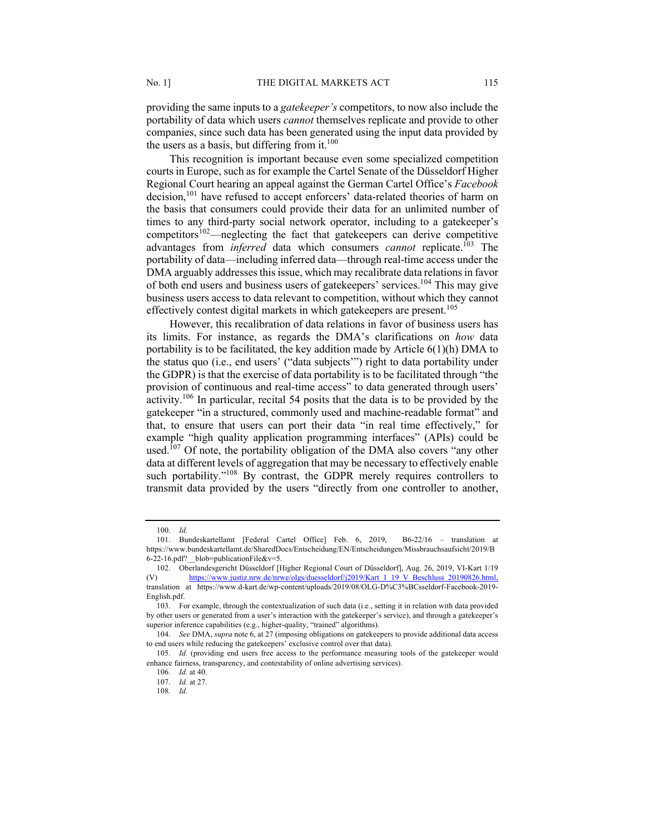providing the same inputs to a *gatekeeper's* competitors, to now also include the portability of data which users *cannot* themselves replicate and provide to other companies, since such data has been generated using the input data provided by the users as a basis, but differing from it. $100$ 

This recognition is important because even some specialized competition courts in Europe, such as for example the Cartel Senate of the Düsseldorf Higher Regional Court hearing an appeal against the German Cartel Office's *Facebook* decision, <sup>101</sup> have refused to accept enforcers' data-related theories of harm on the basis that consumers could provide their data for an unlimited number of times to any third-party social network operator, including to a gatekeeper's competitors<sup>102</sup>—neglecting the fact that gatekeepers can derive competitive advantages from *inferred* data which consumers *cannot* replicate.103 The portability of data—including inferred data—through real-time access under the DMA arguably addresses this issue, which may recalibrate data relations in favor of both end users and business users of gatekeepers' services.104 This may give business users access to data relevant to competition, without which they cannot effectively contest digital markets in which gatekeepers are present.<sup>105</sup>

However, this recalibration of data relations in favor of business users has its limits. For instance, as regards the DMA's clarifications on *how* data portability is to be facilitated, the key addition made by Article 6(1)(h) DMA to the status quo (i.e., end users' ("data subjects'") right to data portability under the GDPR) is that the exercise of data portability is to be facilitated through "the provision of continuous and real-time access" to data generated through users' activity.106 In particular, recital 54 posits that the data is to be provided by the gatekeeper "in a structured, commonly used and machine-readable format" and that, to ensure that users can port their data "in real time effectively," for example "high quality application programming interfaces" (APIs) could be used.<sup>107</sup> Of note, the portability obligation of the DMA also covers "any other data at different levels of aggregation that may be necessary to effectively enable such portability."<sup>108</sup> By contrast, the GDPR merely requires controllers to transmit data provided by the users "directly from one controller to another,

<sup>100.</sup> *Id.*

<sup>101.</sup> Bundeskartellamt [Federal Cartel Office] Feb. 6, 2019, B6-22/16 – translation at https://www.bundeskartellamt.de/SharedDocs/Entscheidung/EN/Entscheidungen/Missbrauchsaufsicht/2019/B 6-22-16.pdf?\_\_blob=publicationFile&v=5.

<sup>102.</sup> Oberlandesgericht Düsseldorf [Higher Regional Court of Düsseldorf], Aug. 26, 2019, VI-Kart 1/19 (V) https://www.justiz.nrw.de/nrwe/olgs/duesseldorf/j2019/Kart\_1\_19\_V\_Beschluss\_20190826.htm translation at https://www.d-kart.de/wp-content/uploads/2019/08/OLG-D%C3%BCsseldorf-Facebook-2019- English.pdf.

<sup>103.</sup> For example, through the contextualization of such data (i.e., setting it in relation with data provided by other users or generated from a user's interaction with the gatekeeper's service), and through a gatekeeper's superior inference capabilities (e.g., higher-quality, "trained" algorithms).

<sup>104.</sup> *See* DMA, *supra* note 6, at 27 (imposing obligations on gatekeepers to provide additional data access to end users while reducing the gatekeepers' exclusive control over that data).

<sup>105.</sup> *Id.* (providing end users free access to the performance measuring tools of the gatekeeper would enhance fairness, transparency, and contestability of online advertising services).

<sup>106.</sup> *Id.* at 40.

<sup>107.</sup> *Id.* at 27.

<sup>108</sup>*. Id.*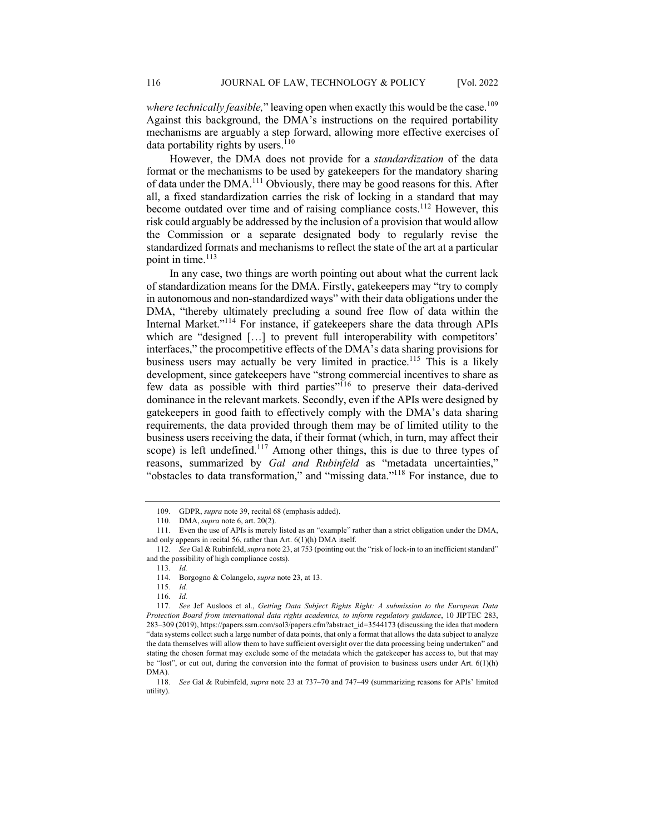*where technically feasible*," leaving open when exactly this would be the case.<sup>109</sup> Against this background, the DMA's instructions on the required portability mechanisms are arguably a step forward, allowing more effective exercises of data portability rights by users. $110$ 

However, the DMA does not provide for a *standardization* of the data format or the mechanisms to be used by gatekeepers for the mandatory sharing of data under the DMA.<sup>111</sup> Obviously, there may be good reasons for this. After all, a fixed standardization carries the risk of locking in a standard that may become outdated over time and of raising compliance costs.<sup>112</sup> However, this risk could arguably be addressed by the inclusion of a provision that would allow the Commission or a separate designated body to regularly revise the standardized formats and mechanisms to reflect the state of the art at a particular point in time.<sup>113</sup>

In any case, two things are worth pointing out about what the current lack of standardization means for the DMA. Firstly, gatekeepers may "try to comply in autonomous and non-standardized ways" with their data obligations under the DMA, "thereby ultimately precluding a sound free flow of data within the Internal Market."114 For instance, if gatekeepers share the data through APIs which are "designed [...] to prevent full interoperability with competitors' interfaces," the procompetitive effects of the DMA's data sharing provisions for business users may actually be very limited in practice.<sup>115</sup> This is a likely development, since gatekeepers have "strong commercial incentives to share as few data as possible with third parties"<sup>116</sup> to preserve their data-derived dominance in the relevant markets. Secondly, even if the APIs were designed by gatekeepers in good faith to effectively comply with the DMA's data sharing requirements, the data provided through them may be of limited utility to the business users receiving the data, if their format (which, in turn, may affect their scope) is left undefined.<sup>117</sup> Among other things, this is due to three types of reasons, summarized by *Gal and Rubinfeld* as "metadata uncertainties," "obstacles to data transformation," and "missing data."<sup>118</sup> For instance, due to

<sup>109.</sup> GDPR, *supra* note 39, recital 68 (emphasis added).

<sup>110.</sup> DMA, *supra* note 6, art. 20(2).

<sup>111.</sup> Even the use of APIs is merely listed as an "example" rather than a strict obligation under the DMA, and only appears in recital 56, rather than Art. 6(1)(h) DMA itself.

<sup>112</sup>*. See* Gal & Rubinfeld, *supra* note 23, at 753 (pointing out the "risk of lock-in to an inefficient standard" and the possibility of high compliance costs).

<sup>113</sup>*. Id.*

<sup>114.</sup> Borgogno & Colangelo, *supra* note 23, at 13.

<sup>115</sup>*. Id.*

<sup>116</sup>*. Id.*

<sup>117</sup>*. See* Jef Ausloos et al., *Getting Data Subject Rights Right: A submission to the European Data Protection Board from international data rights academics, to inform regulatory guidance*, 10 JIPTEC 283, 283–309 (2019), https://papers.ssrn.com/sol3/papers.cfm?abstract\_id=3544173 (discussing the idea that modern "data systems collect such a large number of data points, that only a format that allows the data subject to analyze the data themselves will allow them to have sufficient oversight over the data processing being undertaken" and stating the chosen format may exclude some of the metadata which the gatekeeper has access to, but that may be "lost", or cut out, during the conversion into the format of provision to business users under Art.  $6(1)(h)$ DMA).

<sup>118</sup>*. See* Gal & Rubinfeld, *supra* note 23 at 737–70 and 747–49 (summarizing reasons for APIs' limited utility).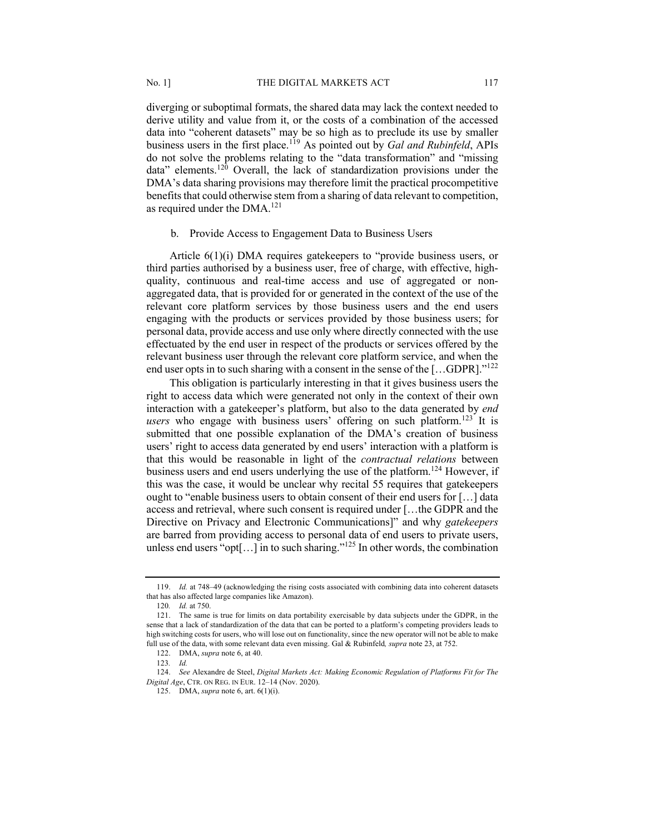diverging or suboptimal formats, the shared data may lack the context needed to derive utility and value from it, or the costs of a combination of the accessed data into "coherent datasets" may be so high as to preclude its use by smaller business users in the first place.<sup>119</sup> As pointed out by *Gal and Rubinfeld*, APIs do not solve the problems relating to the "data transformation" and "missing data" elements.<sup>120</sup> Overall, the lack of standardization provisions under the DMA's data sharing provisions may therefore limit the practical procompetitive benefits that could otherwise stem from a sharing of data relevant to competition, as required under the DMA.<sup>121</sup>

#### b. Provide Access to Engagement Data to Business Users

Article 6(1)(i) DMA requires gatekeepers to "provide business users, or third parties authorised by a business user, free of charge, with effective, highquality, continuous and real-time access and use of aggregated or nonaggregated data, that is provided for or generated in the context of the use of the relevant core platform services by those business users and the end users engaging with the products or services provided by those business users; for personal data, provide access and use only where directly connected with the use effectuated by the end user in respect of the products or services offered by the relevant business user through the relevant core platform service, and when the end user opts in to such sharing with a consent in the sense of the  $[...GDR]$ ."<sup>122</sup>

This obligation is particularly interesting in that it gives business users the right to access data which were generated not only in the context of their own interaction with a gatekeeper's platform, but also to the data generated by *end users* who engage with business users' offering on such platform.<sup>123</sup> It is submitted that one possible explanation of the DMA's creation of business users' right to access data generated by end users' interaction with a platform is that this would be reasonable in light of the *contractual relations* between business users and end users underlying the use of the platform.<sup>124</sup> However, if this was the case, it would be unclear why recital 55 requires that gatekeepers ought to "enable business users to obtain consent of their end users for [...] data access and retrieval, where such consent is required under […the GDPR and the Directive on Privacy and Electronic Communications]" and why *gatekeepers*  are barred from providing access to personal data of end users to private users, unless end users "opt[...] in to such sharing."<sup>125</sup> In other words, the combination

<sup>119.</sup> *Id.* at 748–49 (acknowledging the rising costs associated with combining data into coherent datasets that has also affected large companies like Amazon).

<sup>120</sup>*. Id.* at 750.

<sup>121.</sup> The same is true for limits on data portability exercisable by data subjects under the GDPR, in the sense that a lack of standardization of the data that can be ported to a platform's competing providers leads to high switching costs for users, who will lose out on functionality, since the new operator will not be able to make full use of the data, with some relevant data even missing. Gal & Rubinfeld*, supra* note 23, at 752.

<sup>122.</sup> DMA, *supra* note 6, at 40.

<sup>123</sup>*. Id.*

<sup>124.</sup> *See* Alexandre de Steel, *Digital Markets Act: Making Economic Regulation of Platforms Fit for The Digital Age*, CTR. ON REG. IN EUR. 12–14 (Nov. 2020).

<sup>125.</sup> DMA, *supra* note 6, art. 6(1)(i).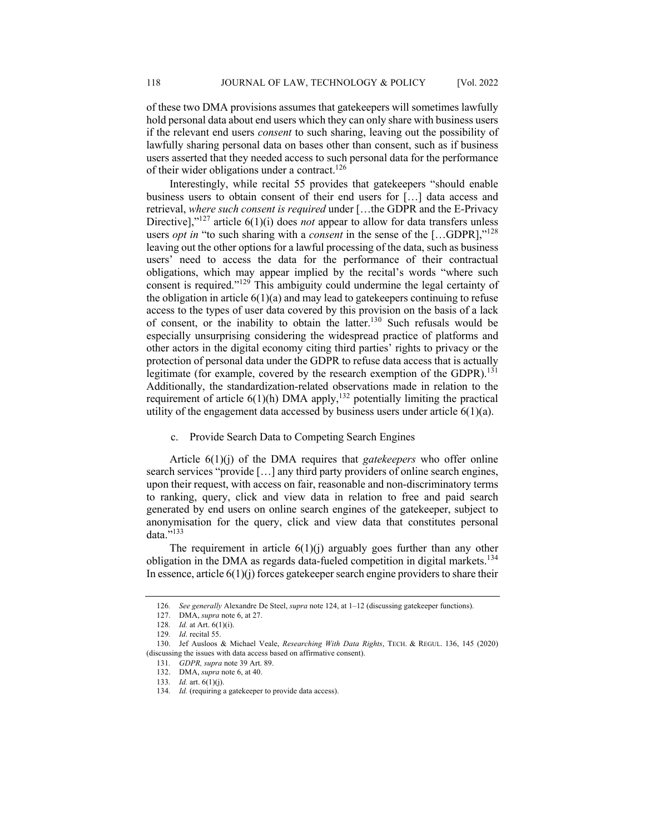of these two DMA provisions assumes that gatekeepers will sometimes lawfully hold personal data about end users which they can only share with business users if the relevant end users *consent* to such sharing, leaving out the possibility of lawfully sharing personal data on bases other than consent, such as if business users asserted that they needed access to such personal data for the performance of their wider obligations under a contract.<sup>126</sup>

Interestingly, while recital 55 provides that gatekeepers "should enable business users to obtain consent of their end users for […] data access and retrieval, *where such consent is required* under […the GDPR and the E-Privacy Directive],"<sup>127</sup> article 6(1)(i) does *not* appear to allow for data transfers unless users *opt in* "to such sharing with a *consent* in the sense of the [...GDPR],"<sup>128</sup> leaving out the other options for a lawful processing of the data, such as business users' need to access the data for the performance of their contractual obligations, which may appear implied by the recital's words "where such consent is required."129 This ambiguity could undermine the legal certainty of the obligation in article  $6(1)(a)$  and may lead to gatekeepers continuing to refuse access to the types of user data covered by this provision on the basis of a lack of consent, or the inability to obtain the latter.130 Such refusals would be especially unsurprising considering the widespread practice of platforms and other actors in the digital economy citing third parties' rights to privacy or the protection of personal data under the GDPR to refuse data access that is actually legitimate (for example, covered by the research exemption of the GDPR).<sup>131</sup> Additionally, the standardization-related observations made in relation to the requirement of article  $6(1)(h)$  DMA apply,<sup>132</sup> potentially limiting the practical utility of the engagement data accessed by business users under article  $6(1)(a)$ .

#### c. Provide Search Data to Competing Search Engines

Article 6(1)(j) of the DMA requires that *gatekeepers* who offer online search services "provide […] any third party providers of online search engines, upon their request, with access on fair, reasonable and non-discriminatory terms to ranking, query, click and view data in relation to free and paid search generated by end users on online search engines of the gatekeeper, subject to anonymisation for the query, click and view data that constitutes personal data."<sup>133</sup>

The requirement in article  $6(1)(j)$  arguably goes further than any other obligation in the DMA as regards data-fueled competition in digital markets.<sup>134</sup> In essence, article  $6(1)(j)$  forces gatekeeper search engine providers to share their

<sup>126</sup>*. See generally* Alexandre De Steel, *supra* note 124, at 1–12 (discussing gatekeeper functions).

<sup>127.</sup> DMA, *supra* note 6, at 27.

<sup>128</sup>*. Id.* at Art. 6(1)(i).

<sup>129</sup>*. Id*. recital 55.

<sup>130.</sup> Jef Ausloos & Michael Veale, *Researching With Data Rights*, TECH. & REGUL. 136, 145 (2020) (discussing the issues with data access based on affirmative consent).

<sup>131</sup>*. GDPR, supra* note 39 Art. 89.

<sup>132.</sup> DMA, *supra* note 6, at 40.

<sup>133</sup>*. Id.* art. 6(1)(j).

<sup>134.</sup> *Id.* (requiring a gatekeeper to provide data access).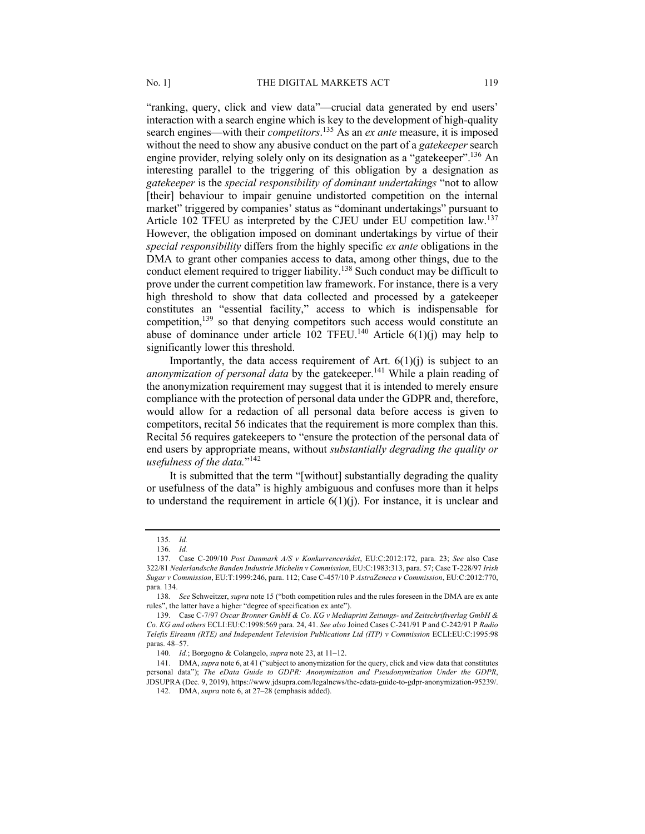"ranking, query, click and view data"—crucial data generated by end users' interaction with a search engine which is key to the development of high-quality search engines—with their *competitors*.<sup>135</sup> As an *ex ante* measure, it is imposed without the need to show any abusive conduct on the part of a *gatekeeper* search engine provider, relying solely only on its designation as a "gatekeeper".<sup>136</sup> An interesting parallel to the triggering of this obligation by a designation as *gatekeeper* is the *special responsibility of dominant undertakings* "not to allow [their] behaviour to impair genuine undistorted competition on the internal market" triggered by companies' status as "dominant undertakings" pursuant to Article 102 TFEU as interpreted by the CJEU under EU competition law.<sup>137</sup> However, the obligation imposed on dominant undertakings by virtue of their *special responsibility* differs from the highly specific *ex ante* obligations in the DMA to grant other companies access to data, among other things, due to the conduct element required to trigger liability.<sup>138</sup> Such conduct may be difficult to prove under the current competition law framework. For instance, there is a very high threshold to show that data collected and processed by a gatekeeper constitutes an "essential facility," access to which is indispensable for competition,<sup>139</sup> so that denying competitors such access would constitute an abuse of dominance under article  $102$  TFEU.<sup>140</sup> Article  $6(1)(i)$  may help to

Importantly, the data access requirement of Art.  $6(1)(i)$  is subject to an *anonymization of personal data* by the gatekeeper.<sup>141</sup> While a plain reading of the anonymization requirement may suggest that it is intended to merely ensure compliance with the protection of personal data under the GDPR and, therefore, would allow for a redaction of all personal data before access is given to competitors, recital 56 indicates that the requirement is more complex than this. Recital 56 requires gatekeepers to "ensure the protection of the personal data of end users by appropriate means, without *substantially degrading the quality or usefulness of the data.*"142

It is submitted that the term "[without] substantially degrading the quality or usefulness of the data" is highly ambiguous and confuses more than it helps to understand the requirement in article  $6(1)(j)$ . For instance, it is unclear and

significantly lower this threshold.

<sup>135</sup>*. Id.*

<sup>136</sup>*. Id.*

<sup>137.</sup> Case C-209/10 *Post Danmark A/S v Konkurrencerådet*, EU:C:2012:172, para. 23; *See* also Case 322/81 *Nederlandsche Banden Industrie Michelin v Commission*, EU:C:1983:313, para. 57; Case T-228/97 *Irish Sugar v Commission*, EU:T:1999:246, para. 112; Case C-457/10 P *AstraZeneca v Commission*, EU:C:2012:770, para. 134.

<sup>138</sup>*. See* Schweitzer, *supra* note 15 ("both competition rules and the rules foreseen in the DMA are ex ante rules", the latter have a higher "degree of specification ex ante").

<sup>139.</sup> Case C-7/97 *Oscar Bronner GmbH & Co. KG v Mediaprint Zeitungs- und Zeitschriftverlag GmbH & Co. KG and others* ECLI:EU:C:1998:569 para. 24, 41. *See also* Joined Cases C-241/91 P and C-242/91 P *Radio Telefis Eireann (RTE) and Independent Television Publications Ltd (ITP) v Commission* ECLI:EU:C:1995:98 paras. 48–57.

<sup>140</sup>*. Id.*; Borgogno & Colangelo, *supra* note 23, at 11–12.

<sup>141.</sup> DMA, *supra* note 6, at 41 ("subject to anonymization for the query, click and view data that constitutes personal data"); *The eData Guide to GDPR: Anonymization and Pseudonymization Under the GDPR*, JDSUPRA (Dec. 9, 2019), https://www.jdsupra.com/legalnews/the-edata-guide-to-gdpr-anonymization-95239/.

<sup>142.</sup> DMA, *supra* note 6, at 27–28 (emphasis added).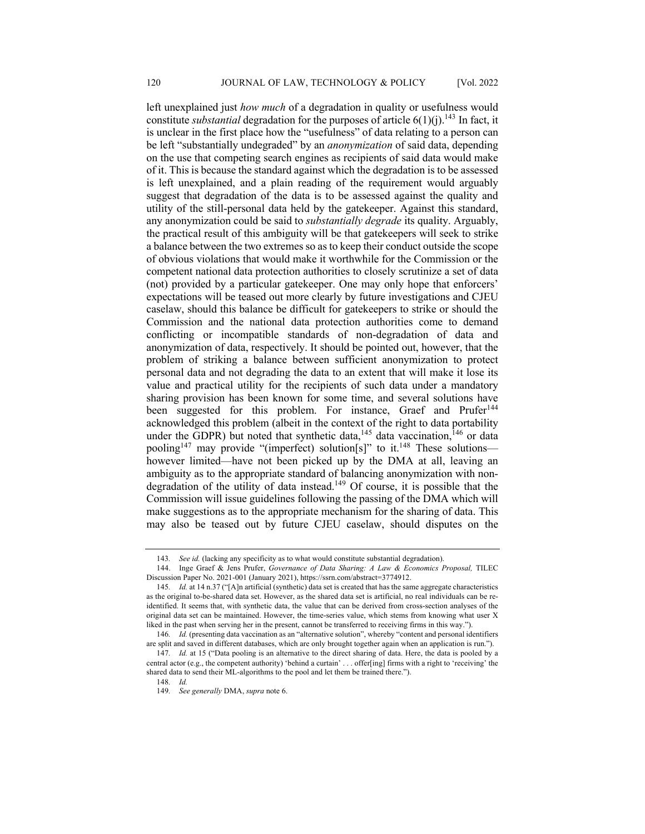left unexplained just *how much* of a degradation in quality or usefulness would constitute *substantial* degradation for the purposes of article  $6(1)(i)$ .<sup>143</sup> In fact, it is unclear in the first place how the "usefulness" of data relating to a person can be left "substantially undegraded" by an *anonymization* of said data, depending on the use that competing search engines as recipients of said data would make of it. This is because the standard against which the degradation is to be assessed is left unexplained, and a plain reading of the requirement would arguably suggest that degradation of the data is to be assessed against the quality and utility of the still-personal data held by the gatekeeper. Against this standard, any anonymization could be said to *substantially degrade* its quality. Arguably, the practical result of this ambiguity will be that gatekeepers will seek to strike a balance between the two extremes so as to keep their conduct outside the scope of obvious violations that would make it worthwhile for the Commission or the competent national data protection authorities to closely scrutinize a set of data (not) provided by a particular gatekeeper. One may only hope that enforcers' expectations will be teased out more clearly by future investigations and CJEU caselaw, should this balance be difficult for gatekeepers to strike or should the Commission and the national data protection authorities come to demand conflicting or incompatible standards of non-degradation of data and anonymization of data, respectively. It should be pointed out, however, that the problem of striking a balance between sufficient anonymization to protect personal data and not degrading the data to an extent that will make it lose its value and practical utility for the recipients of such data under a mandatory sharing provision has been known for some time, and several solutions have been suggested for this problem. For instance, Graef and Prufer<sup>144</sup> acknowledged this problem (albeit in the context of the right to data portability under the GDPR) but noted that synthetic data,  $145$  data vaccination,  $146$  or data pooling<sup>147</sup> may provide "(imperfect) solution[s]" to it.<sup>148</sup> These solutions however limited—have not been picked up by the DMA at all, leaving an ambiguity as to the appropriate standard of balancing anonymization with nondegradation of the utility of data instead.<sup>149</sup> Of course, it is possible that the Commission will issue guidelines following the passing of the DMA which will make suggestions as to the appropriate mechanism for the sharing of data. This may also be teased out by future CJEU caselaw, should disputes on the

<sup>143</sup>*. See id.* (lacking any specificity as to what would constitute substantial degradation).

<sup>144.</sup> Inge Graef & Jens Prufer, *Governance of Data Sharing: A Law & Economics Proposal,* TILEC Discussion Paper No. 2021-001 (January 2021), https://ssrn.com/abstract=3774912.

<sup>145</sup>*. Id.* at 14 n.37 ("[A]n artificial (synthetic) data set is created that has the same aggregate characteristics as the original to-be-shared data set. However, as the shared data set is artificial, no real individuals can be reidentified. It seems that, with synthetic data, the value that can be derived from cross-section analyses of the original data set can be maintained. However, the time-series value, which stems from knowing what user X liked in the past when serving her in the present, cannot be transferred to receiving firms in this way.").

<sup>146</sup>*. Id.* (presenting data vaccination as an "alternative solution", whereby "content and personal identifiers are split and saved in different databases, which are only brought together again when an application is run.").

<sup>147.</sup> *Id.* at 15 ("Data pooling is an alternative to the direct sharing of data. Here, the data is pooled by a central actor (e.g., the competent authority) 'behind a curtain' . . . offer[ing] firms with a right to 'receiving' the shared data to send their ML-algorithms to the pool and let them be trained there."). 148*. Id.*

<sup>149</sup>*. See generally* DMA, *supra* note 6.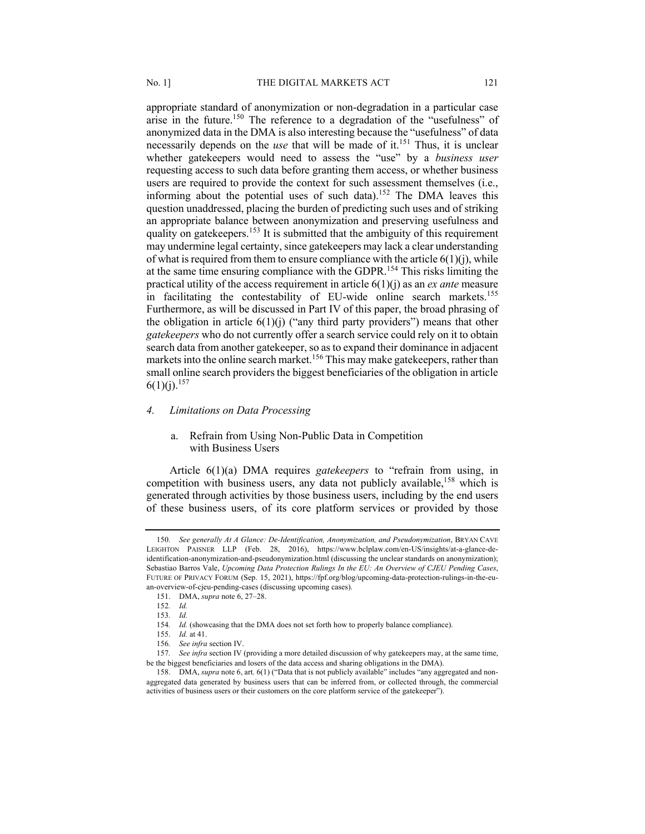appropriate standard of anonymization or non-degradation in a particular case arise in the future.<sup>150</sup> The reference to a degradation of the "usefulness" of anonymized data in the DMA is also interesting because the "usefulness" of data necessarily depends on the *use* that will be made of it.<sup>151</sup> Thus, it is unclear whether gatekeepers would need to assess the "use" by a *business user* requesting access to such data before granting them access, or whether business users are required to provide the context for such assessment themselves (i.e., informing about the potential uses of such data).<sup>152</sup> The DMA leaves this question unaddressed, placing the burden of predicting such uses and of striking an appropriate balance between anonymization and preserving usefulness and quality on gatekeepers.<sup>153</sup> It is submitted that the ambiguity of this requirement may undermine legal certainty, since gatekeepers may lack a clear understanding of what is required from them to ensure compliance with the article  $6(1)(i)$ , while at the same time ensuring compliance with the GDPR.<sup>154</sup> This risks limiting the practical utility of the access requirement in article 6(1)(j) as an *ex ante* measure in facilitating the contestability of EU-wide online search markets.<sup>155</sup> Furthermore, as will be discussed in Part IV of this paper, the broad phrasing of the obligation in article  $6(1)(i)$  ("any third party providers") means that other *gatekeepers* who do not currently offer a search service could rely on it to obtain search data from another gatekeeper, so as to expand their dominance in adjacent markets into the online search market.<sup>156</sup> This may make gatekeepers, rather than small online search providers the biggest beneficiaries of the obligation in article  $6(1)(i).^{157}$ 

#### *4. Limitations on Data Processing*

# a. Refrain from Using Non-Public Data in Competition with Business Users

Article 6(1)(a) DMA requires *gatekeepers* to "refrain from using, in competition with business users, any data not publicly available, <sup>158</sup> which is generated through activities by those business users, including by the end users of these business users, of its core platform services or provided by those

<sup>150</sup>*. See generally At A Glance: De-Identification, Anonymization, and Pseudonymization*, BRYAN CAVE LEIGHTON PAISNER LLP (Feb. 28, 2016), https://www.bclplaw.com/en-US/insights/at-a-glance-deidentification-anonymization-and-pseudonymization.html (discussing the unclear standards on anonymization); Sebastiao Barros Vale, *Upcoming Data Protection Rulings In the EU: An Overview of CJEU Pending Cases*, FUTURE OF PRIVACY FORUM (Sep. 15, 2021), https://fpf.org/blog/upcoming-data-protection-rulings-in-the-euan-overview-of-cjeu-pending-cases (discussing upcoming cases).

<sup>151.</sup> DMA, *supra* note 6, 27–28.

<sup>152</sup>*. Id.*

<sup>153</sup>*. Id.*

<sup>154.</sup> *Id.* (showcasing that the DMA does not set forth how to properly balance compliance).

<sup>155.</sup> *Id.* at 41.

<sup>156</sup>*. See infra* section IV.

<sup>157</sup>*. See infra* section IV (providing a more detailed discussion of why gatekeepers may, at the same time, be the biggest beneficiaries and losers of the data access and sharing obligations in the DMA).

<sup>158.</sup> DMA, *supra* note 6, art. 6(1) ("Data that is not publicly available" includes "any aggregated and nonaggregated data generated by business users that can be inferred from, or collected through, the commercial activities of business users or their customers on the core platform service of the gatekeeper").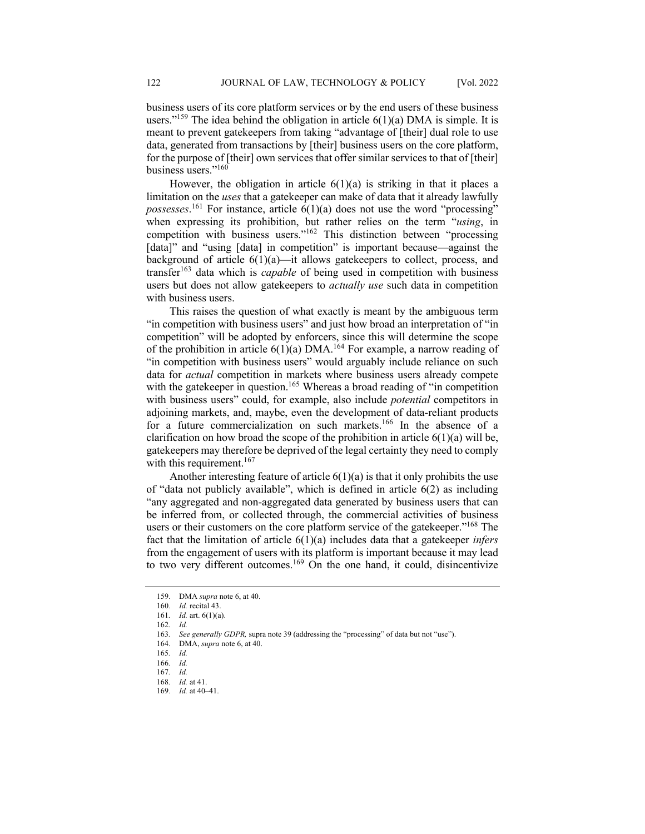business users of its core platform services or by the end users of these business users."<sup>159</sup> The idea behind the obligation in article  $6(1)(a)$  DMA is simple. It is meant to prevent gatekeepers from taking "advantage of [their] dual role to use data, generated from transactions by [their] business users on the core platform, for the purpose of [their] own services that offer similar services to that of [their] business users."160

However, the obligation in article  $6(1)(a)$  is striking in that it places a limitation on the *uses* that a gatekeeper can make of data that it already lawfully *possesses*. <sup>161</sup> For instance, article 6(1)(a) does not use the word "processing" when expressing its prohibition, but rather relies on the term "*using*, in competition with business users."162 This distinction between "processing [data]" and "using [data] in competition" is important because—against the background of article 6(1)(a)—it allows gatekeepers to collect, process, and transfer<sup>163</sup> data which is *capable* of being used in competition with business users but does not allow gatekeepers to *actually use* such data in competition with business users.

This raises the question of what exactly is meant by the ambiguous term "in competition with business users" and just how broad an interpretation of "in competition" will be adopted by enforcers, since this will determine the scope of the prohibition in article  $6(1)(a)$  DMA.<sup>164</sup> For example, a narrow reading of "in competition with business users" would arguably include reliance on such data for *actual* competition in markets where business users already compete with the gatekeeper in question.<sup>165</sup> Whereas a broad reading of "in competition with business users" could, for example, also include *potential* competitors in adjoining markets, and, maybe, even the development of data-reliant products for a future commercialization on such markets.<sup>166</sup> In the absence of a clarification on how broad the scope of the prohibition in article  $6(1)(a)$  will be, gatekeepers may therefore be deprived of the legal certainty they need to comply with this requirement.<sup>167</sup>

Another interesting feature of article  $6(1)(a)$  is that it only prohibits the use of "data not publicly available", which is defined in article 6(2) as including "any aggregated and non-aggregated data generated by business users that can be inferred from, or collected through, the commercial activities of business users or their customers on the core platform service of the gatekeeper."<sup>168</sup> The fact that the limitation of article 6(1)(a) includes data that a gatekeeper *infers*  from the engagement of users with its platform is important because it may lead to two very different outcomes.<sup>169</sup> On the one hand, it could, disincentivize

<sup>159.</sup> DMA *supra* note 6, at 40.

<sup>160</sup>*. Id.* recital 43.

<sup>161</sup>*. Id.* art. 6(1)(a).

<sup>162</sup>*. Id.*

<sup>163</sup>*. See generally GDPR,* supra note 39 (addressing the "processing" of data but not "use").

<sup>164.</sup> DMA, *supra* note 6, at 40.

<sup>165</sup>*. Id.*

<sup>166</sup>*. Id.*

<sup>167</sup>*. Id.* 

<sup>168</sup>*. Id.* at 41.

<sup>169</sup>*. Id.* at 40–41.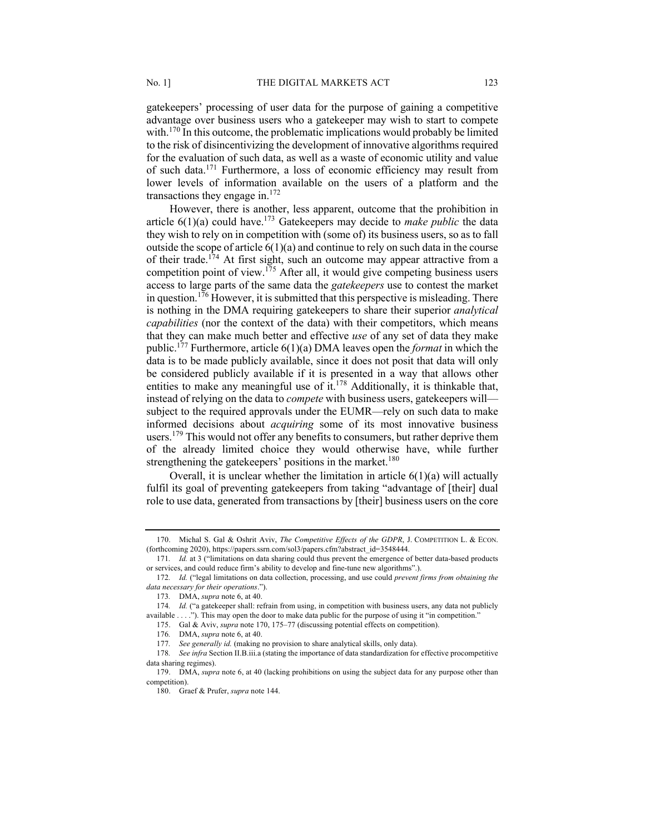gatekeepers' processing of user data for the purpose of gaining a competitive advantage over business users who a gatekeeper may wish to start to compete with. $170$  In this outcome, the problematic implications would probably be limited to the risk of disincentivizing the development of innovative algorithms required for the evaluation of such data, as well as a waste of economic utility and value of such data.171 Furthermore, a loss of economic efficiency may result from lower levels of information available on the users of a platform and the transactions they engage in. $172$ 

However, there is another, less apparent, outcome that the prohibition in article  $6(1)(a)$  could have.<sup>173</sup> Gatekeepers may decide to *make public* the data they wish to rely on in competition with (some of) its business users, so as to fall outside the scope of article  $6(1)(a)$  and continue to rely on such data in the course of their trade.<sup>174</sup> At first sight, such an outcome may appear attractive from a competition point of view.<sup>175</sup> After all, it would give competing business users access to large parts of the same data the *gatekeepers* use to contest the market in question.<sup>176</sup> However, it is submitted that this perspective is misleading. There is nothing in the DMA requiring gatekeepers to share their superior *analytical capabilities* (nor the context of the data) with their competitors, which means that they can make much better and effective *use* of any set of data they make public.177 Furthermore, article 6(1)(a) DMA leaves open the *format* in which the data is to be made publicly available, since it does not posit that data will only be considered publicly available if it is presented in a way that allows other entities to make any meaningful use of it.<sup>178</sup> Additionally, it is thinkable that, instead of relying on the data to *compete* with business users, gatekeepers will subject to the required approvals under the EUMR—rely on such data to make informed decisions about *acquiring* some of its most innovative business users.<sup>179</sup> This would not offer any benefits to consumers, but rather deprive them of the already limited choice they would otherwise have, while further strengthening the gatekeepers' positions in the market.<sup>180</sup>

Overall, it is unclear whether the limitation in article  $6(1)(a)$  will actually fulfil its goal of preventing gatekeepers from taking "advantage of [their] dual role to use data, generated from transactions by [their] business users on the core

<sup>170.</sup> Michal S. Gal & Oshrit Aviv, *The Competitive Effects of the GDPR*, J. COMPETITION L. & ECON. (forthcoming 2020), https://papers.ssrn.com/sol3/papers.cfm?abstract\_id=3548444.

<sup>171</sup>*. Id.* at 3 ("limitations on data sharing could thus prevent the emergence of better data-based products or services, and could reduce firm's ability to develop and fine-tune new algorithms".).

<sup>172</sup>*. Id.* ("legal limitations on data collection, processing, and use could *prevent firms from obtaining the data necessary for their operations*.").

<sup>173</sup>*.* DMA, *supra* note 6, at 40.

<sup>174</sup>*. Id.* ("a gatekeeper shall: refrain from using, in competition with business users, any data not publicly available . . . ."). This may open the door to make data public for the purpose of using it "in competition."

<sup>175.</sup> Gal & Aviv, *supra* note 170, 175–77 (discussing potential effects on competition).

<sup>176</sup>*.* DMA, *supra* note 6, at 40.

<sup>177</sup>*. See generally id.* (making no provision to share analytical skills, only data).

<sup>178</sup>*. See infra* Section II.B.iii.a (stating the importance of data standardization for effective procompetitive data sharing regimes).

<sup>179.</sup> DMA, *supra* note 6, at 40 (lacking prohibitions on using the subject data for any purpose other than competition).

<sup>180.</sup> Graef & Prufer, *supra* note 144.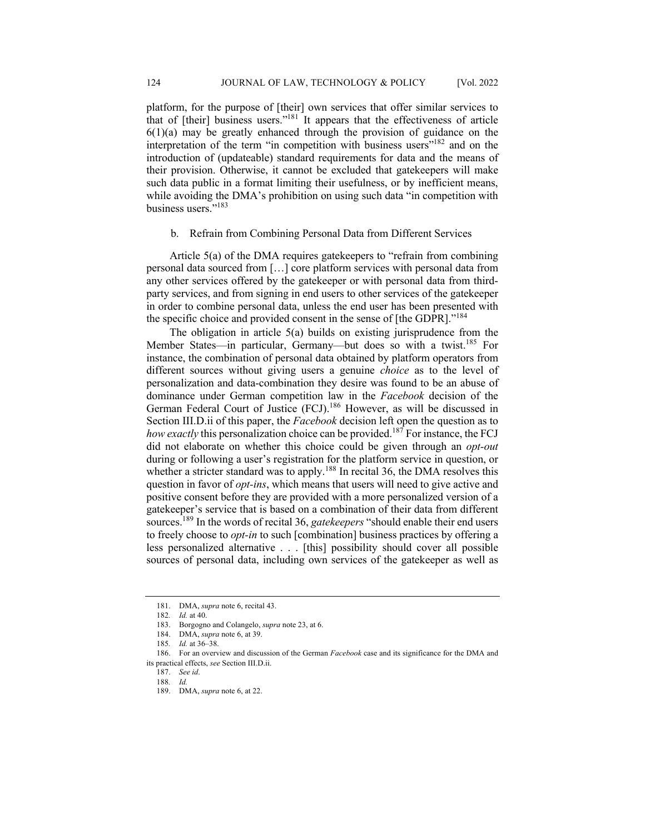platform, for the purpose of [their] own services that offer similar services to that of [their] business users."181 It appears that the effectiveness of article  $6(1)(a)$  may be greatly enhanced through the provision of guidance on the interpretation of the term "in competition with business users"<sup>182</sup> and on the introduction of (updateable) standard requirements for data and the means of their provision. Otherwise, it cannot be excluded that gatekeepers will make such data public in a format limiting their usefulness, or by inefficient means, while avoiding the DMA's prohibition on using such data "in competition with business users."183

b. Refrain from Combining Personal Data from Different Services

Article 5(a) of the DMA requires gatekeepers to "refrain from combining personal data sourced from […] core platform services with personal data from any other services offered by the gatekeeper or with personal data from thirdparty services, and from signing in end users to other services of the gatekeeper in order to combine personal data, unless the end user has been presented with the specific choice and provided consent in the sense of [the GDPR]."<sup>184</sup>

The obligation in article 5(a) builds on existing jurisprudence from the Member States—in particular, Germany—but does so with a twist.<sup>185</sup> For instance, the combination of personal data obtained by platform operators from different sources without giving users a genuine *choice* as to the level of personalization and data-combination they desire was found to be an abuse of dominance under German competition law in the *Facebook* decision of the German Federal Court of Justice (FCJ).<sup>186</sup> However, as will be discussed in Section III.D.ii of this paper, the *Facebook* decision left open the question as to *how exactly* this personalization choice can be provided.187 For instance, the FCJ did not elaborate on whether this choice could be given through an *opt-out* during or following a user's registration for the platform service in question, or whether a stricter standard was to apply.<sup>188</sup> In recital 36, the DMA resolves this question in favor of *opt-ins*, which means that users will need to give active and positive consent before they are provided with a more personalized version of a gatekeeper's service that is based on a combination of their data from different sources.189 In the words of recital 36, *gatekeepers* "should enable their end users to freely choose to *opt-in* to such [combination] business practices by offering a less personalized alternative . . . [this] possibility should cover all possible sources of personal data, including own services of the gatekeeper as well as

186. For an overview and discussion of the German *Facebook* case and its significance for the DMA and its practical effects, *see* Section III.D.ii.

<sup>181.</sup> DMA, *supra* note 6, recital 43.

<sup>182</sup>*. Id.* at 40.

<sup>183.</sup> Borgogno and Colangelo, *supra* note 23, at 6.

<sup>184.</sup> DMA, *supra* note 6, at 39.

<sup>185</sup>*. Id.* at 36–38.

<sup>187.</sup> *See id*.

<sup>188</sup>*. Id.*

<sup>189.</sup> DMA, *supra* note 6, at 22.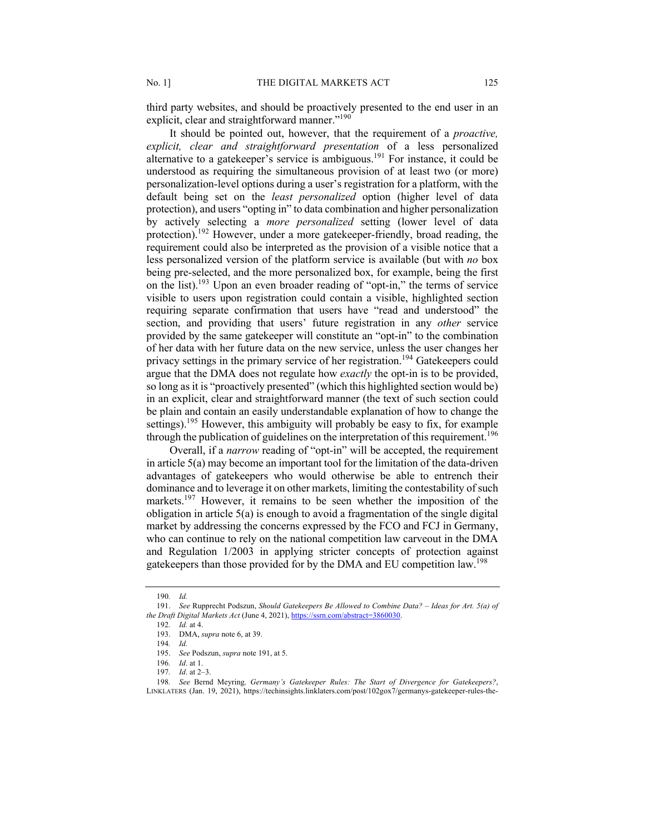third party websites, and should be proactively presented to the end user in an explicit, clear and straightforward manner."<sup>190</sup>

It should be pointed out, however, that the requirement of a *proactive, explicit, clear and straightforward presentation* of a less personalized alternative to a gatekeeper's service is ambiguous.<sup>191</sup> For instance, it could be understood as requiring the simultaneous provision of at least two (or more) personalization-level options during a user's registration for a platform, with the default being set on the *least personalized* option (higher level of data protection), and users "opting in" to data combination and higher personalization by actively selecting a *more personalized* setting (lower level of data protection).<sup>192</sup> However, under a more gatekeeper-friendly, broad reading, the requirement could also be interpreted as the provision of a visible notice that a less personalized version of the platform service is available (but with *no* box being pre-selected, and the more personalized box, for example, being the first on the list).193 Upon an even broader reading of "opt-in," the terms of service visible to users upon registration could contain a visible, highlighted section requiring separate confirmation that users have "read and understood" the section, and providing that users' future registration in any *other* service provided by the same gatekeeper will constitute an "opt-in" to the combination of her data with her future data on the new service, unless the user changes her privacy settings in the primary service of her registration.<sup>194</sup> Gatekeepers could argue that the DMA does not regulate how *exactly* the opt-in is to be provided, so long as it is "proactively presented" (which this highlighted section would be) in an explicit, clear and straightforward manner (the text of such section could be plain and contain an easily understandable explanation of how to change the settings).<sup>195</sup> However, this ambiguity will probably be easy to fix, for example through the publication of guidelines on the interpretation of this requirement.<sup>196</sup>

Overall, if a *narrow* reading of "opt-in" will be accepted, the requirement in article 5(a) may become an important tool for the limitation of the data-driven advantages of gatekeepers who would otherwise be able to entrench their dominance and to leverage it on other markets, limiting the contestability of such markets.<sup>197</sup> However, it remains to be seen whether the imposition of the obligation in article 5(a) is enough to avoid a fragmentation of the single digital market by addressing the concerns expressed by the FCO and FCJ in Germany, who can continue to rely on the national competition law carveout in the DMA and Regulation 1/2003 in applying stricter concepts of protection against gatekeepers than those provided for by the DMA and EU competition law.<sup>198</sup>

<sup>190</sup>*. Id.*

<sup>191.</sup> *See* Rupprecht Podszun, *Should Gatekeepers Be Allowed to Combine Data? – Ideas for Art. 5(a) of the Draft Digital Markets Act* (June 4, 2021), https://ssrn.com/abstract=3860030.

<sup>192</sup>*. Id.* at 4.

<sup>193.</sup> DMA, *supra* note 6, at 39.

<sup>194</sup>*. Id.*

<sup>195.</sup> *See* Podszun, *supra* note 191, at 5.

<sup>196</sup>*. Id*. at 1.

<sup>197</sup>*. Id*. at 2–3.

<sup>198</sup>*. See* Bernd Meyring*, Germany's Gatekeeper Rules: The Start of Divergence for Gatekeepers?*, LINKLATERS (Jan. 19, 2021), https://techinsights.linklaters.com/post/102gox7/germanys-gatekeeper-rules-the-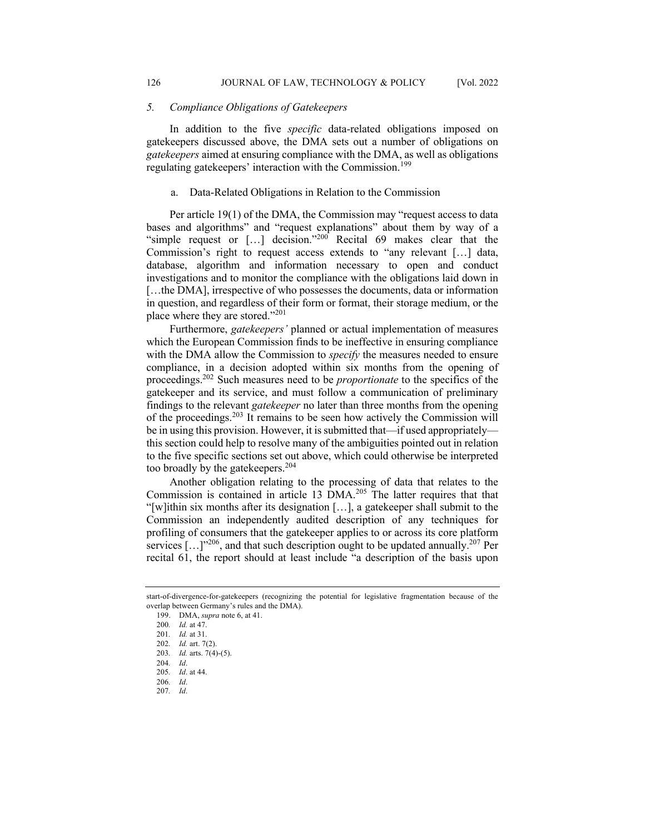#### *5. Compliance Obligations of Gatekeepers*

In addition to the five *specific* data-related obligations imposed on gatekeepers discussed above, the DMA sets out a number of obligations on *gatekeepers* aimed at ensuring compliance with the DMA, as well as obligations regulating gatekeepers' interaction with the Commission.<sup>199</sup>

# a. Data-Related Obligations in Relation to the Commission

Per article 19(1) of the DMA, the Commission may "request access to data bases and algorithms" and "request explanations" about them by way of a "simple request or [...] decision."<sup>200</sup> Recital 69 makes clear that the Commission's right to request access extends to "any relevant […] data, database, algorithm and information necessary to open and conduct investigations and to monitor the compliance with the obligations laid down in [...the DMA], irrespective of who possesses the documents, data or information in question, and regardless of their form or format, their storage medium, or the place where they are stored."201

Furthermore, *gatekeepers'* planned or actual implementation of measures which the European Commission finds to be ineffective in ensuring compliance with the DMA allow the Commission to *specify* the measures needed to ensure compliance, in a decision adopted within six months from the opening of proceedings.202 Such measures need to be *proportionate* to the specifics of the gatekeeper and its service, and must follow a communication of preliminary findings to the relevant *gatekeeper* no later than three months from the opening of the proceedings.<sup>203</sup> It remains to be seen how actively the Commission will be in using this provision. However, it is submitted that—if used appropriately this section could help to resolve many of the ambiguities pointed out in relation to the five specific sections set out above, which could otherwise be interpreted too broadly by the gatekeepers.204

Another obligation relating to the processing of data that relates to the Commission is contained in article 13 DMA.<sup>205</sup> The latter requires that that "[w]ithin six months after its designation […], a gatekeeper shall submit to the Commission an independently audited description of any techniques for profiling of consumers that the gatekeeper applies to or across its core platform services  $\left[ \ldots \right]^{1206}$ , and that such description ought to be updated annually.<sup>207</sup> Per recital 61, the report should at least include "a description of the basis upon

start-of-divergence-for-gatekeepers (recognizing the potential for legislative fragmentation because of the overlap between Germany's rules and the DMA).

<sup>199.</sup> DMA, *supra* note 6, at 41.

<sup>200</sup>*. Id.* at 47.

<sup>201</sup>*. Id.* at 31.

<sup>202</sup>*. Id.* art. 7(2).

<sup>203</sup>*. Id.* arts. 7(4)-(5).

<sup>204</sup>*. Id*.

<sup>205</sup>*. Id*. at 44.

<sup>206</sup>*. Id*.

<sup>207</sup>*. Id*.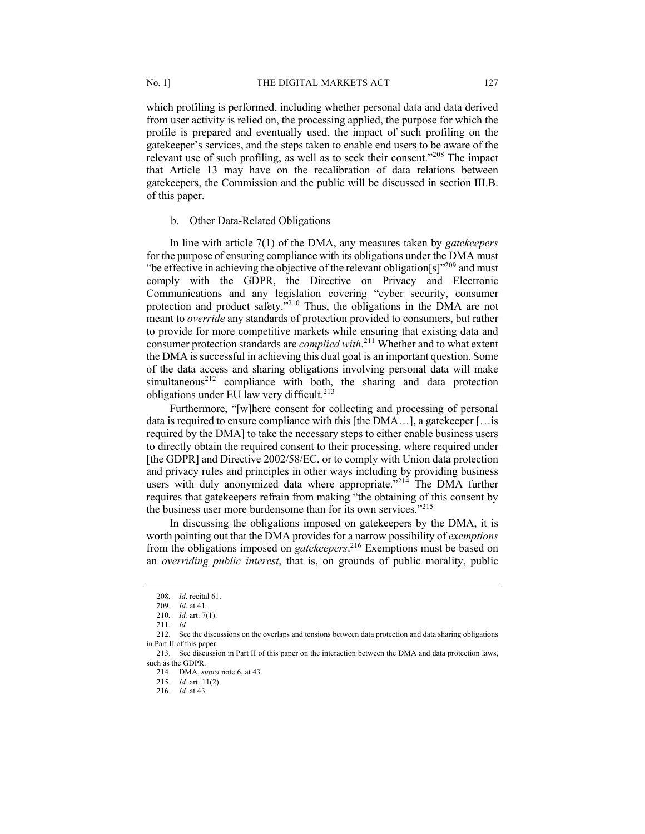which profiling is performed, including whether personal data and data derived from user activity is relied on, the processing applied, the purpose for which the profile is prepared and eventually used, the impact of such profiling on the gatekeeper's services, and the steps taken to enable end users to be aware of the relevant use of such profiling, as well as to seek their consent."<sup>208</sup> The impact that Article 13 may have on the recalibration of data relations between gatekeepers, the Commission and the public will be discussed in section III.B. of this paper.

## b. Other Data-Related Obligations

In line with article 7(1) of the DMA, any measures taken by *gatekeepers* for the purpose of ensuring compliance with its obligations under the DMA must "be effective in achieving the objective of the relevant obligation  $[s]$ <sup>209</sup> and must comply with the GDPR, the Directive on Privacy and Electronic Communications and any legislation covering "cyber security, consumer protection and product safety."<sup>210</sup> Thus, the obligations in the DMA are not meant to *override* any standards of protection provided to consumers, but rather to provide for more competitive markets while ensuring that existing data and consumer protection standards are *complied with*. <sup>211</sup> Whether and to what extent the DMA is successful in achieving this dual goal is an important question. Some of the data access and sharing obligations involving personal data will make simultaneous<sup>212</sup> compliance with both, the sharing and data protection obligations under EU law very difficult.<sup>213</sup>

Furthermore, "[w]here consent for collecting and processing of personal data is required to ensure compliance with this [the DMA…], a gatekeeper […is required by the DMA] to take the necessary steps to either enable business users to directly obtain the required consent to their processing, where required under [the GDPR] and Directive 2002/58/EC, or to comply with Union data protection and privacy rules and principles in other ways including by providing business users with duly anonymized data where appropriate."<sup>214</sup> The DMA further requires that gatekeepers refrain from making "the obtaining of this consent by the business user more burdensome than for its own services."<sup>215</sup>

In discussing the obligations imposed on gatekeepers by the DMA, it is worth pointing out that the DMA provides for a narrow possibility of *exemptions* from the obligations imposed on *gatekeepers*. <sup>216</sup> Exemptions must be based on an *overriding public interest*, that is, on grounds of public morality, public

<sup>208</sup>*. Id*. recital 61.

<sup>209</sup>*. Id*. at 41.

<sup>210</sup>*. Id.* art. 7(1).

<sup>211</sup>*. Id.*

<sup>212.</sup> See the discussions on the overlaps and tensions between data protection and data sharing obligations in Part II of this paper.

<sup>213.</sup> See discussion in Part II of this paper on the interaction between the DMA and data protection laws, such as the GDPR.

<sup>214.</sup> DMA, *supra* note 6, at 43.

<sup>215</sup>*. Id.* art. 11(2).

<sup>216</sup>*. Id.* at 43.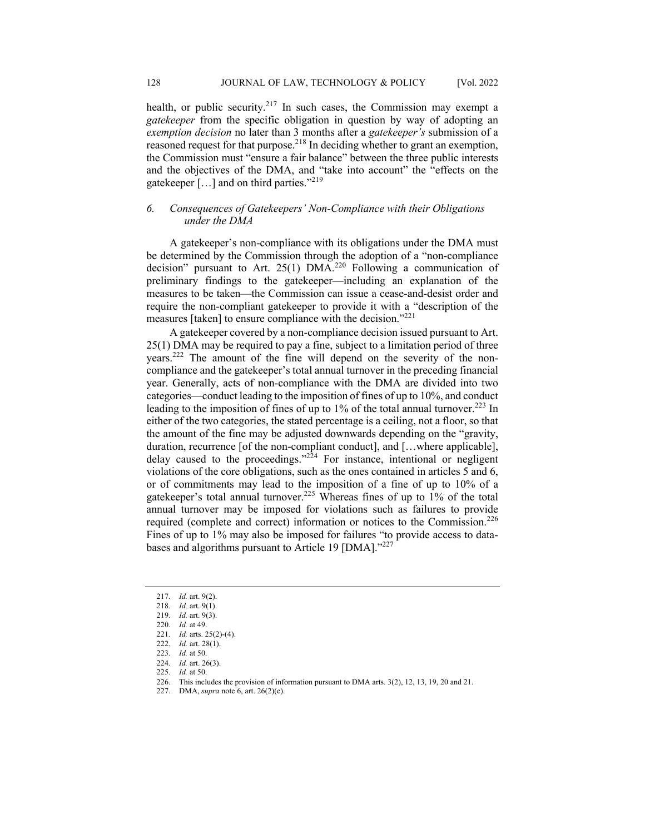health, or public security.<sup>217</sup> In such cases, the Commission may exempt a *gatekeeper* from the specific obligation in question by way of adopting an *exemption decision* no later than 3 months after a *gatekeeper's* submission of a reasoned request for that purpose.<sup>218</sup> In deciding whether to grant an exemption, the Commission must "ensure a fair balance" between the three public interests and the objectives of the DMA, and "take into account" the "effects on the gatekeeper […] and on third parties."<sup>219</sup>

# *6. Consequences of Gatekeepers' Non-Compliance with their Obligations under the DMA*

A gatekeeper's non-compliance with its obligations under the DMA must be determined by the Commission through the adoption of a "non-compliance decision" pursuant to Art. 25(1)  $DMA<sup>220</sup>$  Following a communication of preliminary findings to the gatekeeper—including an explanation of the measures to be taken—the Commission can issue a cease-and-desist order and require the non-compliant gatekeeper to provide it with a "description of the measures [taken] to ensure compliance with the decision."221

A gatekeeper covered by a non-compliance decision issued pursuant to Art. 25(1) DMA may be required to pay a fine, subject to a limitation period of three years.222 The amount of the fine will depend on the severity of the noncompliance and the gatekeeper's total annual turnover in the preceding financial year. Generally, acts of non-compliance with the DMA are divided into two categories—conduct leading to the imposition of fines of up to 10%, and conduct leading to the imposition of fines of up to 1% of the total annual turnover.<sup>223</sup> In either of the two categories, the stated percentage is a ceiling, not a floor, so that the amount of the fine may be adjusted downwards depending on the "gravity, duration, recurrence [of the non-compliant conduct], and […where applicable], delay caused to the proceedings." $224$  For instance, intentional or negligent violations of the core obligations, such as the ones contained in articles 5 and 6, or of commitments may lead to the imposition of a fine of up to 10% of a gatekeeper's total annual turnover.<sup>225</sup> Whereas fines of up to  $1\%$  of the total annual turnover may be imposed for violations such as failures to provide required (complete and correct) information or notices to the Commission.<sup>226</sup> Fines of up to 1% may also be imposed for failures "to provide access to databases and algorithms pursuant to Article 19 [DMA]."227

<sup>217</sup>*. Id.* art. 9(2).

<sup>218</sup>*. Id.* art. 9(1).

<sup>219</sup>*. Id.* art. 9(3).

<sup>220</sup>*. Id.* at 49.

<sup>221</sup>*. Id.* arts. 25(2)-(4).

<sup>222</sup>*. Id.* art. 28(1).

<sup>223</sup>*. Id.* at 50.

<sup>224</sup>*. Id.* art. 26(3).

<sup>225</sup>*. Id.* at 50.

<sup>226.</sup> This includes the provision of information pursuant to DMA arts. 3(2), 12, 13, 19, 20 and 21.

<sup>227.</sup> DMA, *supra* note 6, art. 26(2)(e).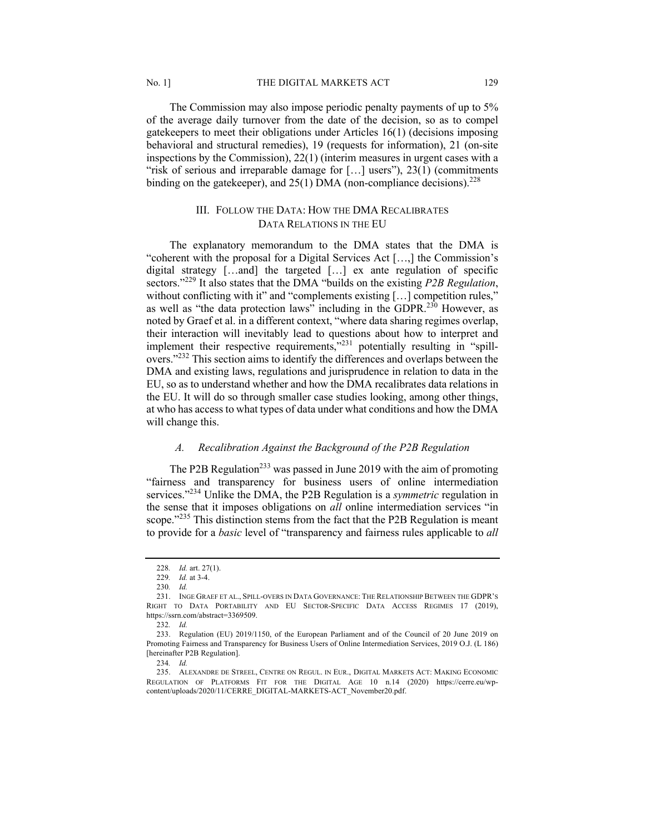The Commission may also impose periodic penalty payments of up to 5% of the average daily turnover from the date of the decision, so as to compel gatekeepers to meet their obligations under Articles 16(1) (decisions imposing behavioral and structural remedies), 19 (requests for information), 21 (on-site inspections by the Commission), 22(1) (interim measures in urgent cases with a "risk of serious and irreparable damage for […] users"), 23(1) (commitments binding on the gatekeeper), and  $25(1)$  DMA (non-compliance decisions).<sup>228</sup>

# III. FOLLOW THE DATA: HOW THE DMA RECALIBRATES DATA RELATIONS IN THE EU

The explanatory memorandum to the DMA states that the DMA is "coherent with the proposal for a Digital Services Act […,] the Commission's digital strategy […and] the targeted […] ex ante regulation of specific sectors."<sup>229</sup> It also states that the DMA "builds on the existing *P2B Regulation*, without conflicting with it" and "complements existing [...] competition rules," as well as "the data protection laws" including in the GDPR.<sup>230</sup> However, as noted by Graef et al. in a different context, "where data sharing regimes overlap, their interaction will inevitably lead to questions about how to interpret and implement their respective requirements,"<sup>231</sup> potentially resulting in "spillovers."232 This section aims to identify the differences and overlaps between the DMA and existing laws, regulations and jurisprudence in relation to data in the EU, so as to understand whether and how the DMA recalibrates data relations in the EU. It will do so through smaller case studies looking, among other things, at who has access to what types of data under what conditions and how the DMA will change this.

# *A. Recalibration Against the Background of the P2B Regulation*

The P2B Regulation<sup>233</sup> was passed in June 2019 with the aim of promoting "fairness and transparency for business users of online intermediation services."234 Unlike the DMA, the P2B Regulation is a *symmetric* regulation in the sense that it imposes obligations on *all* online intermediation services "in scope." $^{235}$  This distinction stems from the fact that the P2B Regulation is meant to provide for a *basic* level of "transparency and fairness rules applicable to *all*

<sup>228</sup>*. Id.* art. 27(1).

<sup>229</sup>*. Id.* at 3-4.

<sup>230</sup>*. Id.*

<sup>231.</sup> INGE GRAEF ET AL., SPILL-OVERS IN DATA GOVERNANCE: THE RELATIONSHIP BETWEEN THE GDPR'S RIGHT TO DATA PORTABILITY AND EU SECTOR-SPECIFIC DATA ACCESS REGIMES 17 (2019), https://ssrn.com/abstract=3369509.

<sup>232</sup>*. Id.*

<sup>233.</sup> Regulation (EU) 2019/1150, of the European Parliament and of the Council of 20 June 2019 on Promoting Fairness and Transparency for Business Users of Online Intermediation Services, 2019 O.J. (L 186) [hereinafter P2B Regulation].

<sup>234</sup>*. Id.*

<sup>235.</sup> ALEXANDRE DE STREEL, CENTRE ON REGUL. IN EUR., DIGITAL MARKETS ACT: MAKING ECONOMIC REGULATION OF PLATFORMS FIT FOR THE DIGITAL AGE 10 n.14 (2020) https://cerre.eu/wpcontent/uploads/2020/11/CERRE\_DIGITAL-MARKETS-ACT\_November20.pdf.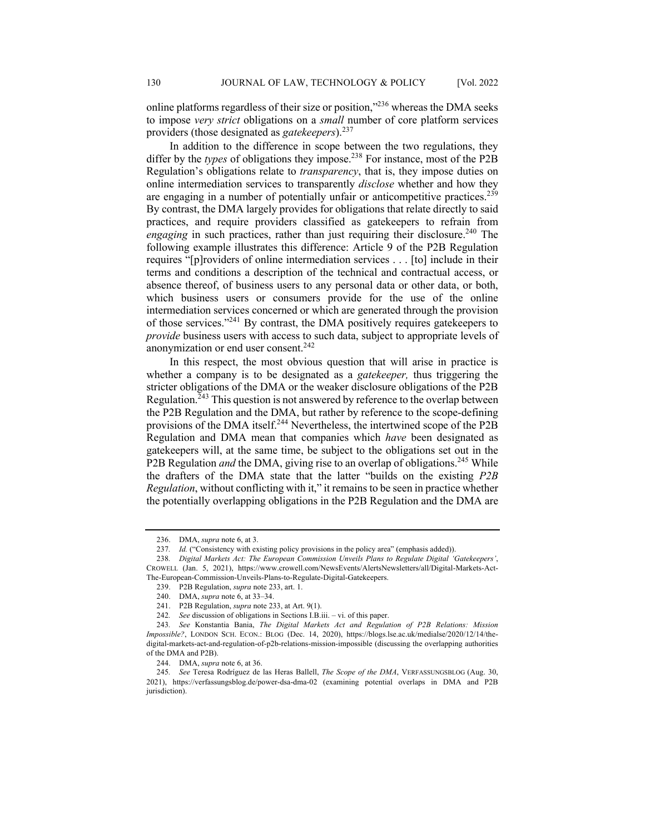online platforms regardless of their size or position,"236 whereas the DMA seeks to impose *very strict* obligations on a *small* number of core platform services providers (those designated as *gatekeepers*).<sup>237</sup>

In addition to the difference in scope between the two regulations, they differ by the *types* of obligations they impose.<sup>238</sup> For instance, most of the P2B Regulation's obligations relate to *transparency*, that is, they impose duties on online intermediation services to transparently *disclose* whether and how they are engaging in a number of potentially unfair or anticompetitive practices.<sup>239</sup> By contrast, the DMA largely provides for obligations that relate directly to said practices, and require providers classified as gatekeepers to refrain from *engaging* in such practices, rather than just requiring their disclosure.<sup>240</sup> The following example illustrates this difference: Article 9 of the P2B Regulation requires "[p]roviders of online intermediation services . . . [to] include in their terms and conditions a description of the technical and contractual access, or absence thereof, of business users to any personal data or other data, or both, which business users or consumers provide for the use of the online intermediation services concerned or which are generated through the provision of those services."241 By contrast, the DMA positively requires gatekeepers to *provide* business users with access to such data, subject to appropriate levels of anonymization or end user consent.<sup>242</sup>

In this respect, the most obvious question that will arise in practice is whether a company is to be designated as a *gatekeeper,* thus triggering the stricter obligations of the DMA or the weaker disclosure obligations of the P2B Regulation. $243$  This question is not answered by reference to the overlap between the P2B Regulation and the DMA, but rather by reference to the scope-defining provisions of the DMA itself.<sup>244</sup> Nevertheless, the intertwined scope of the P2B Regulation and DMA mean that companies which *have* been designated as gatekeepers will, at the same time, be subject to the obligations set out in the P2B Regulation *and* the DMA, giving rise to an overlap of obligations.<sup>245</sup> While the drafters of the DMA state that the latter "builds on the existing *P2B Regulation*, without conflicting with it," it remains to be seen in practice whether the potentially overlapping obligations in the P2B Regulation and the DMA are

<sup>236.</sup> DMA, *supra* note 6, at 3.

<sup>237</sup>*. Id.* ("Consistency with existing policy provisions in the policy area" (emphasis added)).

<sup>238</sup>*. Digital Markets Act: The European Commission Unveils Plans to Regulate Digital 'Gatekeepers'*, CROWELL (Jan. 5, 2021), https://www.crowell.com/NewsEvents/AlertsNewsletters/all/Digital-Markets-Act-The-European-Commission-Unveils-Plans-to-Regulate-Digital-Gatekeepers.

<sup>239.</sup> P2B Regulation, *supra* note 233, art. 1.

<sup>240.</sup> DMA, *supra* note 6, at 33–34.

<sup>241.</sup> P2B Regulation, *supra* note 233, at Art. 9(1).

<sup>242</sup>*. See* discussion of obligations in Sections I.B.iii. – vi. of this paper.

<sup>243</sup>*. See* Konstantia Bania, *The Digital Markets Act and Regulation of P2B Relations: Mission Impossible?*, LONDON SCH. ECON.: BLOG (Dec. 14, 2020), https://blogs.lse.ac.uk/medialse/2020/12/14/thedigital-markets-act-and-regulation-of-p2b-relations-mission-impossible (discussing the overlapping authorities of the DMA and P2B).

<sup>244.</sup> DMA, *supra* note 6, at 36.

<sup>245</sup>*. See* Teresa Rodríguez de las Heras Ballell, *The Scope of the DMA*, VERFASSUNGSBLOG (Aug. 30, 2021), https://verfassungsblog.de/power-dsa-dma-02 (examining potential overlaps in DMA and P2B jurisdiction).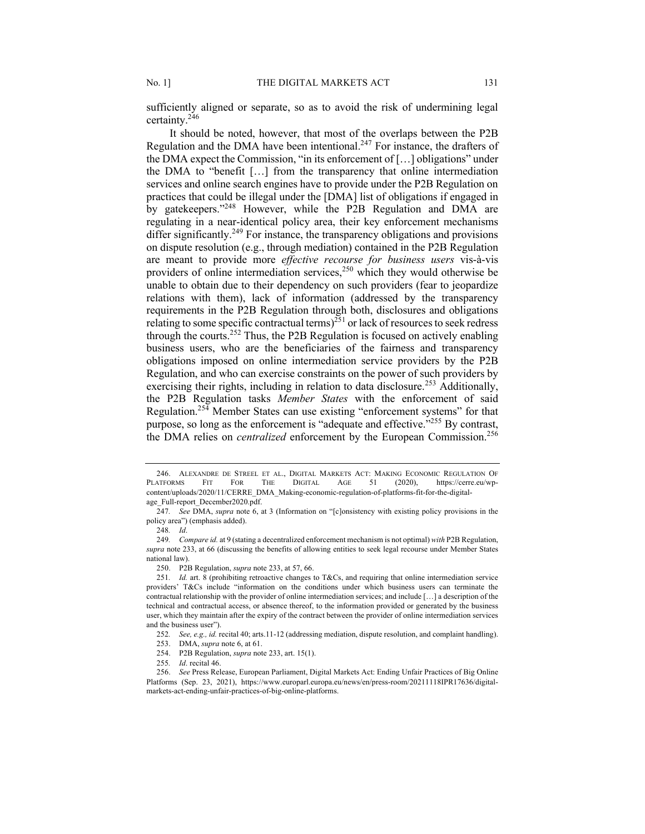sufficiently aligned or separate, so as to avoid the risk of undermining legal certainty.246

It should be noted, however, that most of the overlaps between the P2B Regulation and the DMA have been intentional.<sup>247</sup> For instance, the drafters of the DMA expect the Commission, "in its enforcement of […] obligations" under the DMA to "benefit  $[\dots]$  from the transparency that online intermediation services and online search engines have to provide under the P2B Regulation on practices that could be illegal under the [DMA] list of obligations if engaged in by gatekeepers."<sup>248</sup> However, while the P2B Regulation and DMA are regulating in a near-identical policy area, their key enforcement mechanisms differ significantly.<sup>249</sup> For instance, the transparency obligations and provisions on dispute resolution (e.g., through mediation) contained in the P2B Regulation are meant to provide more *effective recourse for business users* vis-à-vis providers of online intermediation services,<sup>250</sup> which they would otherwise be unable to obtain due to their dependency on such providers (fear to jeopardize relations with them), lack of information (addressed by the transparency requirements in the P2B Regulation through both, disclosures and obligations relating to some specific contractual terms)<sup>251</sup> or lack of resources to seek redress through the courts.<sup>252</sup> Thus, the P2B Regulation is focused on actively enabling business users, who are the beneficiaries of the fairness and transparency obligations imposed on online intermediation service providers by the P2B Regulation, and who can exercise constraints on the power of such providers by exercising their rights, including in relation to data disclosure.<sup>253</sup> Additionally, the P2B Regulation tasks *Member States* with the enforcement of said Regulation.<sup>254</sup> Member States can use existing "enforcement systems" for that purpose, so long as the enforcement is "adequate and effective."255 By contrast, the DMA relies on *centralized* enforcement by the European Commission.<sup>256</sup>

<sup>246.</sup> ALEXANDRE DE STREEL ET AL., DIGITAL MARKETS ACT: MAKING ECONOMIC REGULATION OF PLATFORMS FIT FOR THE DIGITAL AGE 51 (2020), https://cerre.eu/wpcontent/uploads/2020/11/CERRE\_DMA\_Making-economic-regulation-of-platforms-fit-for-the-digitalage\_Full-report\_December2020.pdf.

<sup>247</sup>*. See* DMA, *supra* note 6, at 3 (Information on "[c]onsistency with existing policy provisions in the policy area") (emphasis added).

<sup>248</sup>*. Id*.

<sup>249</sup>*. Compare id.* at 9 (stating a decentralized enforcement mechanism is not optimal) *with* P2B Regulation, *supra* note 233, at 66 (discussing the benefits of allowing entities to seek legal recourse under Member States national law).

<sup>250.</sup> P2B Regulation, *supra* note 233, at 57, 66.

<sup>251</sup>*. Id.* art. 8 (prohibiting retroactive changes to T&Cs, and requiring that online intermediation service providers' T&Cs include "information on the conditions under which business users can terminate the contractual relationship with the provider of online intermediation services; and include […] a description of the technical and contractual access, or absence thereof, to the information provided or generated by the business user, which they maintain after the expiry of the contract between the provider of online intermediation services and the business user").

<sup>252</sup>*. See, e.g., id.* recital 40; arts.11-12 (addressing mediation, dispute resolution, and complaint handling).

<sup>253.</sup> DMA, *supra* note 6, at 61.

<sup>254.</sup> P2B Regulation, *supra* note 233, art. 15(1).

<sup>255</sup>*. Id*. recital 46.

<sup>256.</sup> *See* Press Release, European Parliament, Digital Markets Act: Ending Unfair Practices of Big Online Platforms (Sep. 23, 2021), https://www.europarl.europa.eu/news/en/press-room/20211118IPR17636/digitalmarkets-act-ending-unfair-practices-of-big-online-platforms.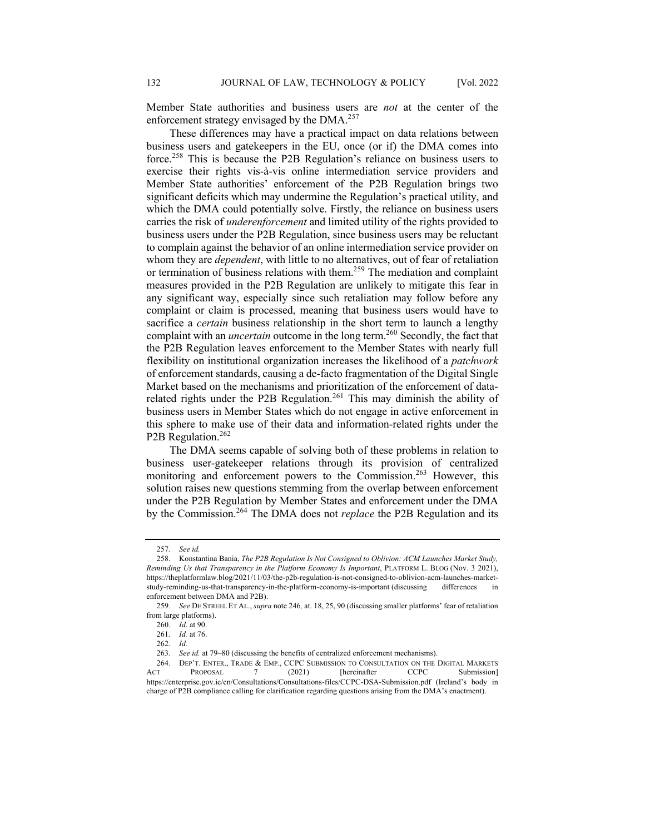Member State authorities and business users are *not* at the center of the enforcement strategy envisaged by the DMA.<sup>257</sup>

These differences may have a practical impact on data relations between business users and gatekeepers in the EU, once (or if) the DMA comes into force.<sup>258</sup> This is because the P2B Regulation's reliance on business users to exercise their rights vis-à-vis online intermediation service providers and Member State authorities' enforcement of the P2B Regulation brings two significant deficits which may undermine the Regulation's practical utility, and which the DMA could potentially solve. Firstly, the reliance on business users carries the risk of *underenforcement* and limited utility of the rights provided to business users under the P2B Regulation, since business users may be reluctant to complain against the behavior of an online intermediation service provider on whom they are *dependent*, with little to no alternatives, out of fear of retaliation or termination of business relations with them.259 The mediation and complaint measures provided in the P2B Regulation are unlikely to mitigate this fear in any significant way, especially since such retaliation may follow before any complaint or claim is processed, meaning that business users would have to sacrifice a *certain* business relationship in the short term to launch a lengthy complaint with an *uncertain* outcome in the long term.<sup>260</sup> Secondly, the fact that the P2B Regulation leaves enforcement to the Member States with nearly full flexibility on institutional organization increases the likelihood of a *patchwork* of enforcement standards, causing a de-facto fragmentation of the Digital Single Market based on the mechanisms and prioritization of the enforcement of datarelated rights under the P2B Regulation.<sup>261</sup> This may diminish the ability of business users in Member States which do not engage in active enforcement in this sphere to make use of their data and information-related rights under the P2B Regulation.<sup>262</sup>

The DMA seems capable of solving both of these problems in relation to business user-gatekeeper relations through its provision of centralized monitoring and enforcement powers to the Commission.<sup>263</sup> However, this solution raises new questions stemming from the overlap between enforcement under the P2B Regulation by Member States and enforcement under the DMA by the Commission.264 The DMA does not *replace* the P2B Regulation and its

<sup>257</sup>*. See id.*

<sup>258.</sup> Konstantina Bania, *The P2B Regulation Is Not Consigned to Oblivion: ACM Launches Market Study, Reminding Us that Transparency in the Platform Economy Is Important*, PLATFORM L. BLOG (Nov. 3 2021), https://theplatformlaw.blog/2021/11/03/the-p2b-regulation-is-not-consigned-to-oblivion-acm-launches-marketstudy-reminding-us-that-transparency-in-the-platform-economy-is-important (discussing differences in enforcement between DMA and P2B).

<sup>259</sup>*. See* DE STREEL ET AL., *supra* note 246*,* at. 18, 25, 90 (discussing smaller platforms' fear of retaliation from large platforms).

<sup>260</sup>*. Id*. at 90.

<sup>261</sup>*. Id.* at 76.

<sup>262</sup>*. Id.*

<sup>263</sup>*. See id.* at 79–80 (discussing the benefits of centralized enforcement mechanisms).

<sup>264.</sup> DEP'T. ENTER., TRADE & EMP., CCPC SUBMISSION TO CONSULTATION ON THE DIGITAL MARKETS ACT PROPOSAL 7 (2021) [hereinafter CCPC Submission] https://enterprise.gov.ie/en/Consultations/Consultations-files/CCPC-DSA-Submission.pdf (Ireland's body in charge of P2B compliance calling for clarification regarding questions arising from the DMA's enactment).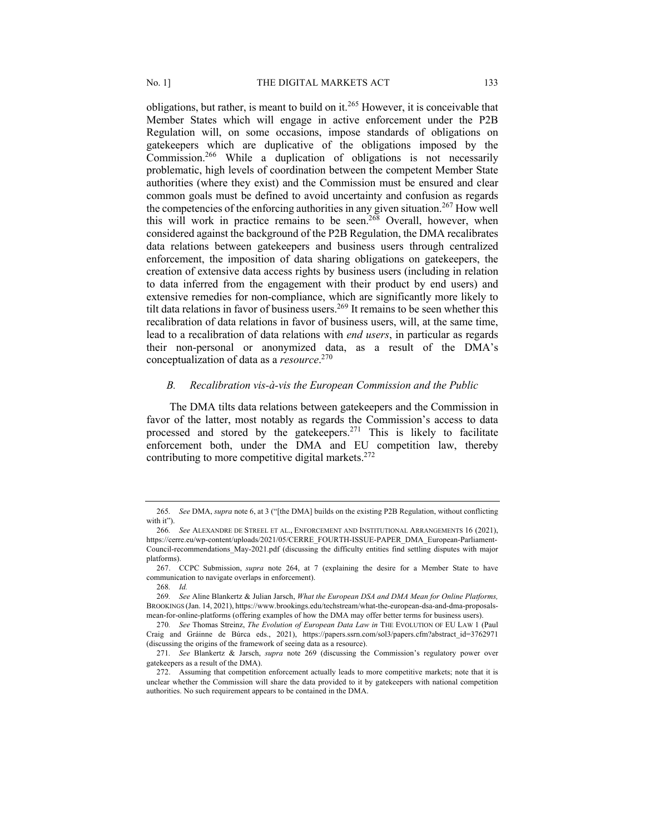obligations, but rather, is meant to build on it.<sup>265</sup> However, it is conceivable that Member States which will engage in active enforcement under the P2B Regulation will, on some occasions, impose standards of obligations on gatekeepers which are duplicative of the obligations imposed by the Commission.266 While a duplication of obligations is not necessarily problematic, high levels of coordination between the competent Member State authorities (where they exist) and the Commission must be ensured and clear common goals must be defined to avoid uncertainty and confusion as regards the competencies of the enforcing authorities in any given situation.<sup>267</sup> How well this will work in practice remains to be seen.<sup>268</sup> Overall, however, when considered against the background of the P2B Regulation, the DMA recalibrates data relations between gatekeepers and business users through centralized enforcement, the imposition of data sharing obligations on gatekeepers, the creation of extensive data access rights by business users (including in relation to data inferred from the engagement with their product by end users) and extensive remedies for non-compliance, which are significantly more likely to tilt data relations in favor of business users.<sup>269</sup> It remains to be seen whether this recalibration of data relations in favor of business users, will, at the same time, lead to a recalibration of data relations with *end users*, in particular as regards their non-personal or anonymized data, as a result of the DMA's conceptualization of data as a *resource*. 270

#### *B. Recalibration vis-à-vis the European Commission and the Public*

The DMA tilts data relations between gatekeepers and the Commission in favor of the latter, most notably as regards the Commission's access to data processed and stored by the gatekeepers.<sup>271</sup> This is likely to facilitate enforcement both, under the DMA and EU competition law, thereby contributing to more competitive digital markets.<sup>272</sup>

<sup>265</sup>*. See* DMA, *supra* note 6, at 3 ("[the DMA] builds on the existing P2B Regulation, without conflicting with it").

<sup>266</sup>*. See* ALEXANDRE DE STREEL ET AL., ENFORCEMENT AND INSTITUTIONAL ARRANGEMENTS 16 (2021), https://cerre.eu/wp-content/uploads/2021/05/CERRE\_FOURTH-ISSUE-PAPER\_DMA\_European-Parliament-Council-recommendations\_May-2021.pdf (discussing the difficulty entities find settling disputes with major platforms).

<sup>267.</sup> CCPC Submission, *supra* note 264, at 7 (explaining the desire for a Member State to have communication to navigate overlaps in enforcement).

<sup>268</sup>*. Id.* 

<sup>269</sup>*. See* Aline Blankertz & Julian Jarsch, *What the European DSA and DMA Mean for Online Platforms,* BROOKINGS (Jan. 14, 2021), https://www.brookings.edu/techstream/what-the-european-dsa-and-dma-proposalsmean-for-online-platforms (offering examples of how the DMA may offer better terms for business users).

<sup>270</sup>*. See* Thomas Streinz, *The Evolution of European Data Law in* THE EVOLUTION OF EU LAW 1 (Paul Craig and Gráinne de Búrca eds., 2021), https://papers.ssrn.com/sol3/papers.cfm?abstract\_id=3762971 (discussing the origins of the framework of seeing data as a resource).

<sup>271</sup>*. See* Blankertz & Jarsch, *supra* note 269 (discussing the Commission's regulatory power over gatekeepers as a result of the DMA).

<sup>272.</sup> Assuming that competition enforcement actually leads to more competitive markets; note that it is unclear whether the Commission will share the data provided to it by gatekeepers with national competition authorities. No such requirement appears to be contained in the DMA.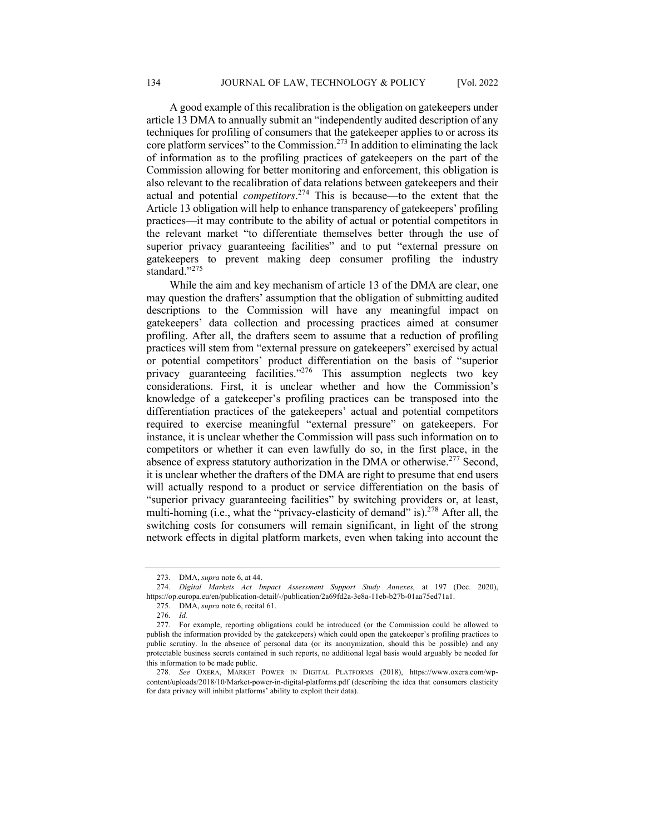A good example of this recalibration is the obligation on gatekeepers under article 13 DMA to annually submit an "independently audited description of any techniques for profiling of consumers that the gatekeeper applies to or across its core platform services" to the Commission.<sup>273</sup> In addition to eliminating the lack of information as to the profiling practices of gatekeepers on the part of the Commission allowing for better monitoring and enforcement, this obligation is also relevant to the recalibration of data relations between gatekeepers and their actual and potential *competitors*. <sup>274</sup> This is because—to the extent that the Article 13 obligation will help to enhance transparency of gatekeepers' profiling practices—it may contribute to the ability of actual or potential competitors in the relevant market "to differentiate themselves better through the use of superior privacy guaranteeing facilities" and to put "external pressure on gatekeepers to prevent making deep consumer profiling the industry standard."<sup>275</sup>

While the aim and key mechanism of article 13 of the DMA are clear, one may question the drafters' assumption that the obligation of submitting audited descriptions to the Commission will have any meaningful impact on gatekeepers' data collection and processing practices aimed at consumer profiling. After all, the drafters seem to assume that a reduction of profiling practices will stem from "external pressure on gatekeepers" exercised by actual or potential competitors' product differentiation on the basis of "superior privacy guaranteeing facilities."<sup>276</sup> This assumption neglects two key considerations. First, it is unclear whether and how the Commission's knowledge of a gatekeeper's profiling practices can be transposed into the differentiation practices of the gatekeepers' actual and potential competitors required to exercise meaningful "external pressure" on gatekeepers. For instance, it is unclear whether the Commission will pass such information on to competitors or whether it can even lawfully do so, in the first place, in the absence of express statutory authorization in the DMA or otherwise.<sup>277</sup> Second, it is unclear whether the drafters of the DMA are right to presume that end users will actually respond to a product or service differentiation on the basis of "superior privacy guaranteeing facilities" by switching providers or, at least, multi-homing (i.e., what the "privacy-elasticity of demand" is).<sup>278</sup> After all, the switching costs for consumers will remain significant, in light of the strong network effects in digital platform markets, even when taking into account the

<sup>273.</sup> DMA, *supra* note 6, at 44.

<sup>274</sup>*. Digital Markets Act Impact Assessment Support Study Annexes,* at 197 (Dec. 2020), https://op.europa.eu/en/publication-detail/-/publication/2a69fd2a-3e8a-11eb-b27b-01aa75ed71a1.

<sup>275.</sup> DMA, *supra* note 6, recital 61.

<sup>276</sup>*. Id.* 

<sup>277.</sup> For example, reporting obligations could be introduced (or the Commission could be allowed to publish the information provided by the gatekeepers) which could open the gatekeeper's profiling practices to public scrutiny. In the absence of personal data (or its anonymization, should this be possible) and any protectable business secrets contained in such reports, no additional legal basis would arguably be needed for this information to be made public.

<sup>278</sup>*. See* OXERA, MARKET POWER IN DIGITAL PLATFORMS (2018), https://www.oxera.com/wpcontent/uploads/2018/10/Market-power-in-digital-platforms.pdf (describing the idea that consumers elasticity for data privacy will inhibit platforms' ability to exploit their data).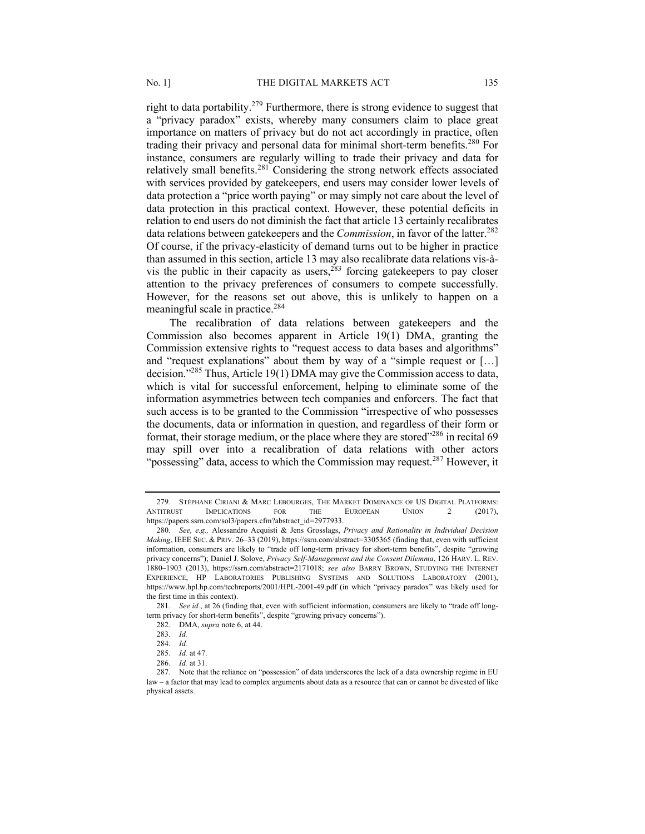right to data portability.<sup>279</sup> Furthermore, there is strong evidence to suggest that a "privacy paradox" exists, whereby many consumers claim to place great importance on matters of privacy but do not act accordingly in practice, often trading their privacy and personal data for minimal short-term benefits.<sup>280</sup> For instance, consumers are regularly willing to trade their privacy and data for relatively small benefits.<sup>281</sup> Considering the strong network effects associated with services provided by gatekeepers, end users may consider lower levels of data protection a "price worth paying" or may simply not care about the level of data protection in this practical context. However, these potential deficits in relation to end users do not diminish the fact that article 13 certainly recalibrates data relations between gatekeepers and the *Commission*, in favor of the latter.<sup>282</sup> Of course, if the privacy-elasticity of demand turns out to be higher in practice than assumed in this section, article 13 may also recalibrate data relations vis-àvis the public in their capacity as users,  $283$  forcing gatekeepers to pay closer attention to the privacy preferences of consumers to compete successfully. However, for the reasons set out above, this is unlikely to happen on a meaningful scale in practice.<sup>284</sup>

The recalibration of data relations between gatekeepers and the Commission also becomes apparent in Article 19(1) DMA, granting the Commission extensive rights to "request access to data bases and algorithms" and "request explanations" about them by way of a "simple request or […] decision."<sup>285</sup> Thus, Article 19(1) DMA may give the Commission access to data, which is vital for successful enforcement, helping to eliminate some of the information asymmetries between tech companies and enforcers. The fact that such access is to be granted to the Commission "irrespective of who possesses the documents, data or information in question, and regardless of their form or format, their storage medium, or the place where they are stored $1286$  in recital 69 may spill over into a recalibration of data relations with other actors "possessing" data, access to which the Commission may request.<sup>287</sup> However, it

<sup>279.</sup> STÉPHANE CIRIANI & MARC LEBOURGES, THE MARKET DOMINANCE OF US DIGITAL PLATFORMS: ANTITRUST IMPLICATIONS FOR THE EUROPEAN UNION 2 (2017), https://papers.ssrn.com/sol3/papers.cfm?abstract\_id=2977933.

<sup>280</sup>*. See, e.g.,* Alessandro Acquisti & Jens Grosslags, *Privacy and Rationality in Individual Decision Making*, IEEE SEC. & PRIV. 26–33 (2019), https://ssrn.com/abstract=3305365 (finding that, even with sufficient information, consumers are likely to "trade off long-term privacy for short-term benefits", despite "growing privacy concerns"); Daniel J. Solove, *Privacy Self-Management and the Consent Dilemma*, 126 HARV. L. REV. 1880–1903 (2013), https://ssrn.com/abstract=2171018; *see also* BARRY BROWN, STUDYING THE INTERNET EXPERIENCE, HP LABORATORIES PUBLISHING SYSTEMS AND SOLUTIONS LABORATORY (2001), https://www.hpl.hp.com/techreports/2001/HPL-2001-49.pdf (in which "privacy paradox" was likely used for the first time in this context).

<sup>281</sup>*. See id.*, at 26 (finding that, even with sufficient information, consumers are likely to "trade off longterm privacy for short-term benefits", despite "growing privacy concerns").

<sup>282.</sup> DMA, *supra* note 6, at 44.

<sup>283</sup>*. Id.*

<sup>284</sup>*. Id.*

<sup>285.</sup> *Id.* at 47.

<sup>286.</sup> *Id.* at 31.

<sup>287.</sup> Note that the reliance on "possession" of data underscores the lack of a data ownership regime in EU law – a factor that may lead to complex arguments about data as a resource that can or cannot be divested of like physical assets.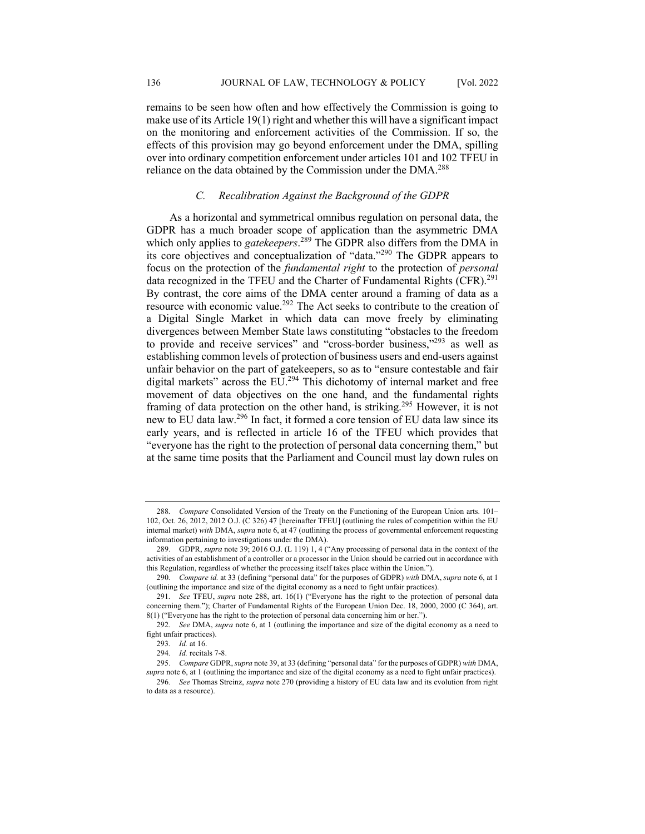remains to be seen how often and how effectively the Commission is going to make use of its Article 19(1) right and whether this will have a significant impact on the monitoring and enforcement activities of the Commission. If so, the effects of this provision may go beyond enforcement under the DMA, spilling over into ordinary competition enforcement under articles 101 and 102 TFEU in reliance on the data obtained by the Commission under the DMA.<sup>288</sup>

#### *C. Recalibration Against the Background of the GDPR*

As a horizontal and symmetrical omnibus regulation on personal data, the GDPR has a much broader scope of application than the asymmetric DMA which only applies to *gatekeepers*. <sup>289</sup> The GDPR also differs from the DMA in its core objectives and conceptualization of "data."<sup>290</sup> The GDPR appears to focus on the protection of the *fundamental right* to the protection of *personal* data recognized in the TFEU and the Charter of Fundamental Rights (CFR).<sup>291</sup> By contrast, the core aims of the DMA center around a framing of data as a resource with economic value.<sup>292</sup> The Act seeks to contribute to the creation of a Digital Single Market in which data can move freely by eliminating divergences between Member State laws constituting "obstacles to the freedom to provide and receive services" and "cross-border business,"<sup>293</sup> as well as establishing common levels of protection of business users and end-users against unfair behavior on the part of gatekeepers, so as to "ensure contestable and fair digital markets" across the EU.<sup>294</sup> This dichotomy of internal market and free movement of data objectives on the one hand, and the fundamental rights framing of data protection on the other hand, is striking.<sup>295</sup> However, it is not new to EU data law.296 In fact, it formed a core tension of EU data law since its early years, and is reflected in article 16 of the TFEU which provides that "everyone has the right to the protection of personal data concerning them," but at the same time posits that the Parliament and Council must lay down rules on

<sup>288</sup>*. Compare* Consolidated Version of the Treaty on the Functioning of the European Union arts. 101– 102, Oct. 26, 2012, 2012 O.J. (C 326) 47 [hereinafter TFEU] (outlining the rules of competition within the EU internal market) *with* DMA, *supra* note 6, at 47 (outlining the process of governmental enforcement requesting information pertaining to investigations under the DMA).

<sup>289.</sup> GDPR, *supra* note 39; 2016 O.J. (L 119) 1, 4 ("Any processing of personal data in the context of the activities of an establishment of a controller or a processor in the Union should be carried out in accordance with this Regulation, regardless of whether the processing itself takes place within the Union.").

<sup>290</sup>*. Compare id.* at 33 (defining "personal data" for the purposes of GDPR) *with* DMA, *supra* note 6, at 1 (outlining the importance and size of the digital economy as a need to fight unfair practices).

<sup>291</sup>*. See* TFEU, *supra* note 288, art. 16(1) ("Everyone has the right to the protection of personal data concerning them."); Charter of Fundamental Rights of the European Union Dec. 18, 2000, 2000 (C 364), art. 8(1) ("Everyone has the right to the protection of personal data concerning him or her.").

<sup>292</sup>*. See* DMA, *supra* note 6, at 1 (outlining the importance and size of the digital economy as a need to fight unfair practices).

<sup>293</sup>*. Id.* at 16.

<sup>294</sup>*. Id.* recitals 7-8.

<sup>295.</sup> *Compare* GDPR, *supra* note 39, at 33 (defining "personal data" for the purposes of GDPR) *with* DMA, *supra* note 6, at 1 (outlining the importance and size of the digital economy as a need to fight unfair practices).

<sup>296</sup>*. See* Thomas Streinz, *supra* note 270 (providing a history of EU data law and its evolution from right to data as a resource).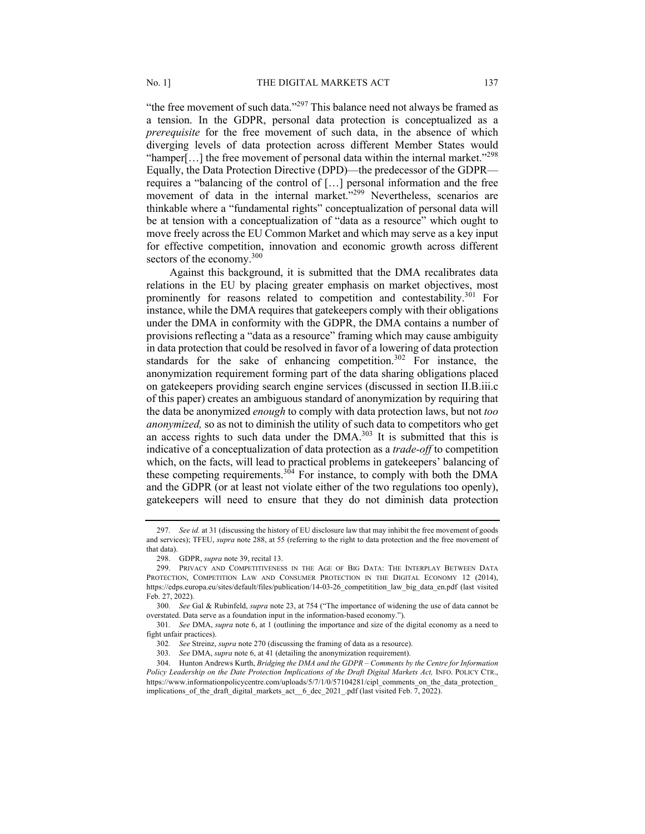"the free movement of such data."<sup>297</sup> This balance need not always be framed as a tension. In the GDPR, personal data protection is conceptualized as a *prerequisite* for the free movement of such data, in the absence of which diverging levels of data protection across different Member States would "hamper[...] the free movement of personal data within the internal market."<sup>298</sup> Equally, the Data Protection Directive (DPD)—the predecessor of the GDPR requires a "balancing of the control of […] personal information and the free movement of data in the internal market."<sup>299</sup> Nevertheless, scenarios are thinkable where a "fundamental rights" conceptualization of personal data will be at tension with a conceptualization of "data as a resource" which ought to move freely across the EU Common Market and which may serve as a key input for effective competition, innovation and economic growth across different sectors of the economy. $300$ 

Against this background, it is submitted that the DMA recalibrates data relations in the EU by placing greater emphasis on market objectives, most prominently for reasons related to competition and contestability.<sup>301</sup> For instance, while the DMA requires that gatekeepers comply with their obligations under the DMA in conformity with the GDPR, the DMA contains a number of provisions reflecting a "data as a resource" framing which may cause ambiguity in data protection that could be resolved in favor of a lowering of data protection standards for the sake of enhancing competition.<sup>302</sup> For instance, the anonymization requirement forming part of the data sharing obligations placed on gatekeepers providing search engine services (discussed in section II.B.iii.c of this paper) creates an ambiguous standard of anonymization by requiring that the data be anonymized *enough* to comply with data protection laws, but not *too anonymized,* so as not to diminish the utility of such data to competitors who get an access rights to such data under the  $\text{DMA}^{303}$  It is submitted that this is indicative of a conceptualization of data protection as a *trade-off* to competition which, on the facts, will lead to practical problems in gatekeepers' balancing of these competing requirements.<sup>304</sup> For instance, to comply with both the DMA and the GDPR (or at least not violate either of the two regulations too openly), gatekeepers will need to ensure that they do not diminish data protection

<sup>297</sup>*. See id.* at 31 (discussing the history of EU disclosure law that may inhibit the free movement of goods and services); TFEU, *supra* note 288, at 55 (referring to the right to data protection and the free movement of that data).

<sup>298.</sup> GDPR, *supra* note 39, recital 13.

<sup>299.</sup> PRIVACY AND COMPETITIVENESS IN THE AGE OF BIG DATA: THE INTERPLAY BETWEEN DATA PROTECTION, COMPETITION LAW AND CONSUMER PROTECTION IN THE DIGITAL ECONOMY 12 (2014), https://edps.europa.eu/sites/default/files/publication/14-03-26\_competitition\_law\_big\_data\_en.pdf (last visited Feb. 27, 2022).

<sup>300</sup>*. See* Gal & Rubinfeld, *supra* note 23, at 754 ("The importance of widening the use of data cannot be overstated. Data serve as a foundation input in the information-based economy.").

<sup>301</sup>*. See* DMA, *supra* note 6, at 1 (outlining the importance and size of the digital economy as a need to fight unfair practices).

<sup>302</sup>*. See* Streinz, *supra* note 270 (discussing the framing of data as a resource).

<sup>303</sup>*. See* DMA, *supra* note 6, at 41 (detailing the anonymization requirement).

<sup>304.</sup> Hunton Andrews Kurth, *Bridging the DMA and the GDPR – Comments by the Centre for Information*  Policy Leadership on the Date Protection Implications of the Draft Digital Markets Act, INFO. POLICY CTR., https://www.informationpolicycentre.com/uploads/5/7/1/0/57104281/cipl\_comments\_on\_the\_data\_protection implications of the draft digital markets act 6 dec 2021 .pdf (last visited Feb. 7, 2022).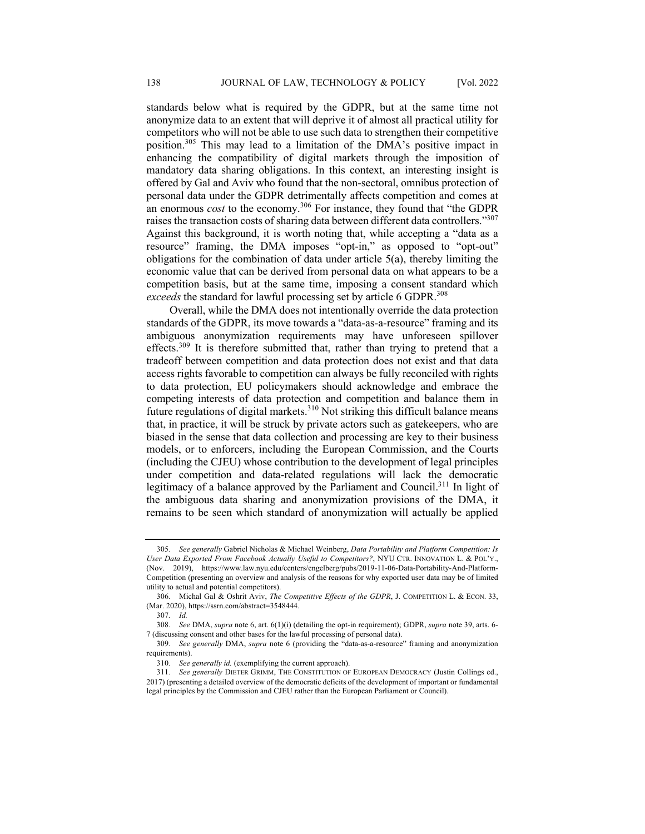standards below what is required by the GDPR, but at the same time not anonymize data to an extent that will deprive it of almost all practical utility for competitors who will not be able to use such data to strengthen their competitive position.305 This may lead to a limitation of the DMA's positive impact in enhancing the compatibility of digital markets through the imposition of mandatory data sharing obligations. In this context, an interesting insight is offered by Gal and Aviv who found that the non-sectoral, omnibus protection of personal data under the GDPR detrimentally affects competition and comes at an enormous *cost* to the economy.306 For instance, they found that "the GDPR raises the transaction costs of sharing data between different data controllers."<sup>307</sup> Against this background, it is worth noting that, while accepting a "data as a resource" framing, the DMA imposes "opt-in," as opposed to "opt-out" obligations for the combination of data under article 5(a), thereby limiting the economic value that can be derived from personal data on what appears to be a competition basis, but at the same time, imposing a consent standard which *exceeds* the standard for lawful processing set by article 6 GDPR.<sup>308</sup>

Overall, while the DMA does not intentionally override the data protection standards of the GDPR, its move towards a "data-as-a-resource" framing and its ambiguous anonymization requirements may have unforeseen spillover effects.<sup>309</sup> It is therefore submitted that, rather than trying to pretend that a tradeoff between competition and data protection does not exist and that data access rights favorable to competition can always be fully reconciled with rights to data protection, EU policymakers should acknowledge and embrace the competing interests of data protection and competition and balance them in future regulations of digital markets.<sup>310</sup> Not striking this difficult balance means that, in practice, it will be struck by private actors such as gatekeepers, who are biased in the sense that data collection and processing are key to their business models, or to enforcers, including the European Commission, and the Courts (including the CJEU) whose contribution to the development of legal principles under competition and data-related regulations will lack the democratic legitimacy of a balance approved by the Parliament and Council.<sup>311</sup> In light of the ambiguous data sharing and anonymization provisions of the DMA, it remains to be seen which standard of anonymization will actually be applied

<sup>305</sup>*. See generally* Gabriel Nicholas & Michael Weinberg, *Data Portability and Platform Competition: Is User Data Exported From Facebook Actually Useful to Competitors?*, NYU CTR. INNOVATION L. & POL'Y., (Nov. 2019), https://www.law.nyu.edu/centers/engelberg/pubs/2019-11-06-Data-Portability-And-Platform-Competition (presenting an overview and analysis of the reasons for why exported user data may be of limited utility to actual and potential competitors).

<sup>306</sup>*.* Michal Gal & Oshrit Aviv, *The Competitive Effects of the GDPR*, J. COMPETITION L. & ECON. 33, (Mar. 2020), https://ssrn.com/abstract=3548444.

<sup>307</sup>*. Id.*

<sup>308</sup>*. See* DMA, *supra* note 6, art. 6(1)(i) (detailing the opt-in requirement); GDPR, *supra* note 39, arts. 6- 7 (discussing consent and other bases for the lawful processing of personal data).

<sup>309</sup>*. See generally* DMA, *supra* note 6 (providing the "data-as-a-resource" framing and anonymization requirements).

<sup>310</sup>*. See generally id.* (exemplifying the current approach).

<sup>311</sup>*. See generally* DIETER GRIMM, THE CONSTITUTION OF EUROPEAN DEMOCRACY (Justin Collings ed., 2017) (presenting a detailed overview of the democratic deficits of the development of important or fundamental legal principles by the Commission and CJEU rather than the European Parliament or Council).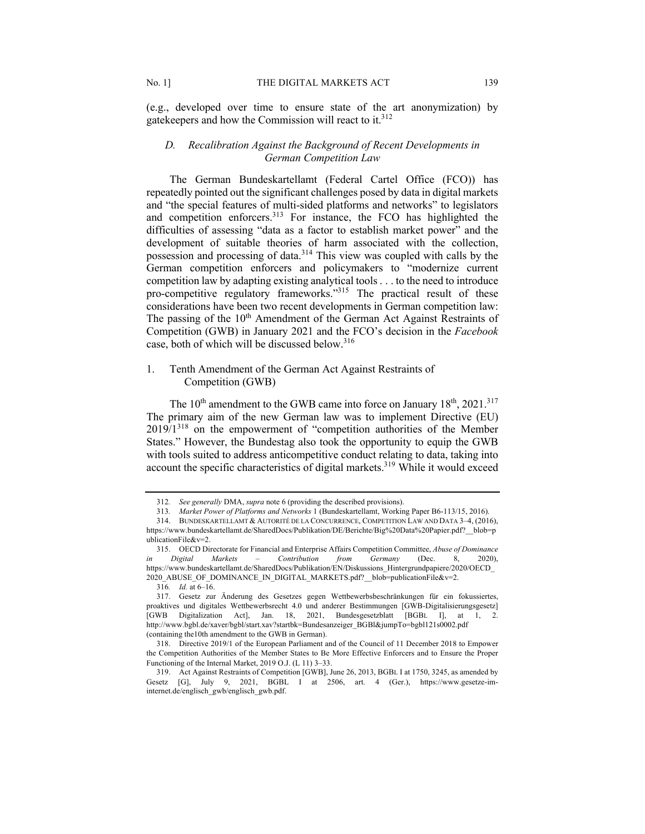(e.g., developed over time to ensure state of the art anonymization) by gatekeepers and how the Commission will react to it.<sup>312</sup>

# *D. Recalibration Against the Background of Recent Developments in German Competition Law*

The German Bundeskartellamt (Federal Cartel Office (FCO)) has repeatedly pointed out the significant challenges posed by data in digital markets and "the special features of multi-sided platforms and networks" to legislators and competition enforcers.<sup>313</sup> For instance, the FCO has highlighted the difficulties of assessing "data as a factor to establish market power" and the development of suitable theories of harm associated with the collection, possession and processing of data.<sup>314</sup> This view was coupled with calls by the German competition enforcers and policymakers to "modernize current competition law by adapting existing analytical tools . . . to the need to introduce pro-competitive regulatory frameworks."315 The practical result of these considerations have been two recent developments in German competition law: The passing of the  $10<sup>th</sup>$  Amendment of the German Act Against Restraints of Competition (GWB) in January 2021 and the FCO's decision in the *Facebook* case, both of which will be discussed below.<sup>316</sup>

# 1. Tenth Amendment of the German Act Against Restraints of Competition (GWB)

The  $10^{th}$  amendment to the GWB came into force on January  $18^{th}$ ,  $2021$ .<sup>317</sup> The primary aim of the new German law was to implement Directive (EU)  $2019/1^{318}$  on the empowerment of "competition authorities of the Member States." However, the Bundestag also took the opportunity to equip the GWB with tools suited to address anticompetitive conduct relating to data, taking into account the specific characteristics of digital markets.<sup>319</sup> While it would exceed

<sup>312</sup>*. See generally* DMA, *supra* note 6 (providing the described provisions).

<sup>313</sup>*. Market Power of Platforms and Networks* 1 (Bundeskartellamt, Working Paper B6-113/15, 2016).

<sup>314.</sup> BUNDESKARTELLAMT & AUTORITÉ DE LA CONCURRENCE, COMPETITION LAW AND DATA 3–4, (2016), https://www.bundeskartellamt.de/SharedDocs/Publikation/DE/Berichte/Big%20Data%20Papier.pdf?\_\_blob=p ublicationFile&v=2.

<sup>315.</sup> OECD Directorate for Financial and Enterprise Affairs Competition Committee, *Abuse of Dominance in Digital Markets – Contribution from Germany* (Dec. 8, 2020), https://www.bundeskartellamt.de/SharedDocs/Publikation/EN/Diskussions\_Hintergrundpapiere/2020/OECD\_ 2020\_ABUSE\_OF\_DOMINANCE\_IN\_DIGITAL\_MARKETS.pdf?\_\_blob=publicationFile&v=2.

<sup>316</sup>*. Id.* at 6–16.

<sup>317.</sup> Gesetz zur Änderung des Gesetzes gegen Wettbewerbsbeschränkungen für ein fokussiertes, proaktives und digitales Wettbewerbsrecht 4.0 und anderer Bestimmungen [GWB-Digitalisierungsgesetz] [GWB Digitalization Act], Jan. 18, 2021, Bundesgesetzblatt [BGBL I], at 1, 2. http://www.bgbl.de/xaver/bgbl/start.xav?startbk=Bundesanzeiger\_BGBl&jumpTo=bgbl121s0002.pdf (containing the10th amendment to the GWB in German).

<sup>318.</sup> Directive 2019/1 of the European Parliament and of the Council of 11 December 2018 to Empower the Competition Authorities of the Member States to Be More Effective Enforcers and to Ensure the Proper Functioning of the Internal Market, 2019 O.J. (L 11) 3–33.

<sup>319.</sup> Act Against Restraints of Competition [GWB], June 26, 2013, BGBL I at 1750, 3245, as amended by Gesetz [G], July 9, 2021, BGBL I at 2506, art. 4 (Ger.), https://www.gesetze-iminternet.de/englisch\_gwb/englisch\_gwb.pdf.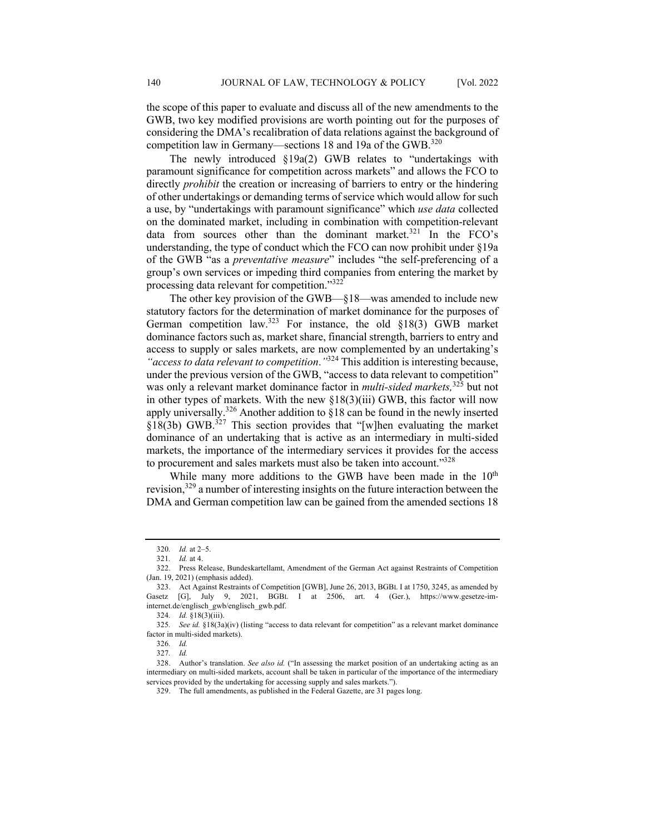the scope of this paper to evaluate and discuss all of the new amendments to the GWB, two key modified provisions are worth pointing out for the purposes of considering the DMA's recalibration of data relations against the background of competition law in Germany—sections 18 and 19a of the GWB.<sup>320</sup>

The newly introduced §19a(2) GWB relates to "undertakings with paramount significance for competition across markets" and allows the FCO to directly *prohibit* the creation or increasing of barriers to entry or the hindering of other undertakings or demanding terms of service which would allow for such a use, by "undertakings with paramount significance" which *use data* collected on the dominated market, including in combination with competition-relevant data from sources other than the dominant market. $321$  In the FCO's understanding, the type of conduct which the FCO can now prohibit under §19a of the GWB "as a *preventative measure*" includes "the self-preferencing of a group's own services or impeding third companies from entering the market by processing data relevant for competition."<sup>322</sup>

The other key provision of the GWB—§18—was amended to include new statutory factors for the determination of market dominance for the purposes of German competition law.<sup>323</sup> For instance, the old  $\S 18(3)$  GWB market dominance factors such as, market share, financial strength, barriers to entry and access to supply or sales markets, are now complemented by an undertaking's *"access to data relevant to competition*.*"*<sup>324</sup> This addition is interesting because, under the previous version of the GWB, "access to data relevant to competition" was only a relevant market dominance factor in *multi-sided markets,* <sup>325</sup> but not in other types of markets. With the new §18(3)(iii) GWB, this factor will now apply universally.<sup>326</sup> Another addition to §18 can be found in the newly inserted  $$18(3b)$  GWB.<sup>327</sup> This section provides that "[w]hen evaluating the market dominance of an undertaking that is active as an intermediary in multi-sided markets, the importance of the intermediary services it provides for the access to procurement and sales markets must also be taken into account."328

While many more additions to the GWB have been made in the 10<sup>th</sup> revision,<sup>329</sup> a number of interesting insights on the future interaction between the DMA and German competition law can be gained from the amended sections 18

<sup>320</sup>*. Id.* at 2–5.

<sup>321</sup>*. Id.* at 4.

<sup>322.</sup> Press Release, Bundeskartellamt, Amendment of the German Act against Restraints of Competition (Jan. 19, 2021) (emphasis added).

<sup>323.</sup> Act Against Restraints of Competition [GWB], June 26, 2013, BGBL I at 1750, 3245, as amended by Gasetz [G], July 9, 2021, BGBL I at 2506, art. 4 (Ger.), https://www.gesetze-iminternet.de/englisch\_gwb/englisch\_gwb.pdf.

<sup>324</sup>*. Id.* §18(3)(iii).

<sup>325</sup>*. See id.* §18(3a)(iv) (listing "access to data relevant for competition" as a relevant market dominance factor in multi-sided markets).

<sup>326</sup>*. Id.*

<sup>327</sup>*. Id.*

<sup>328.</sup> Author's translation. *See also id.* ("In assessing the market position of an undertaking acting as an intermediary on multi-sided markets, account shall be taken in particular of the importance of the intermediary services provided by the undertaking for accessing supply and sales markets.").

<sup>329.</sup> The full amendments, as published in the Federal Gazette, are 31 pages long.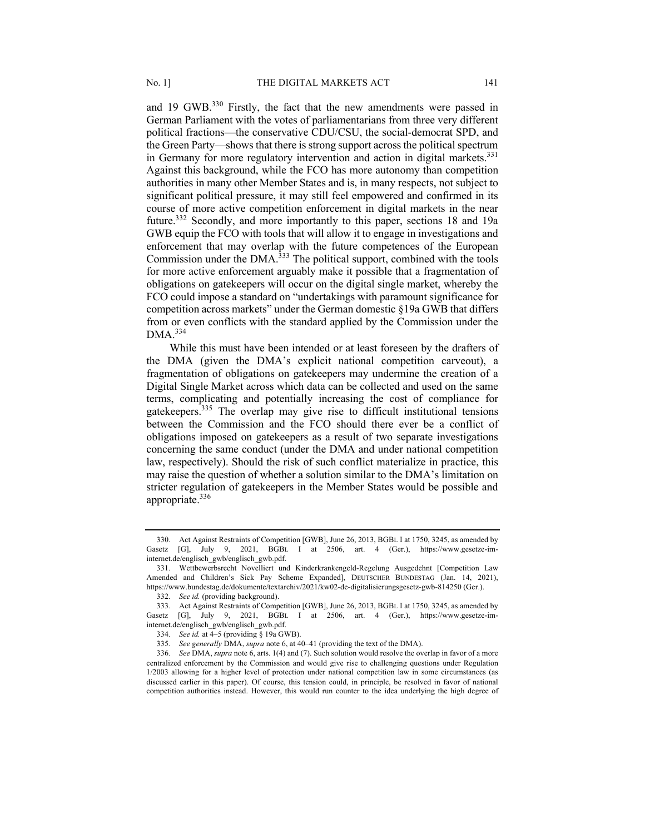and 19 GWB.<sup>330</sup> Firstly, the fact that the new amendments were passed in German Parliament with the votes of parliamentarians from three very different political fractions—the conservative CDU/CSU, the social-democrat SPD, and the Green Party—shows that there is strong support across the political spectrum in Germany for more regulatory intervention and action in digital markets.<sup>331</sup> Against this background, while the FCO has more autonomy than competition authorities in many other Member States and is, in many respects, not subject to significant political pressure, it may still feel empowered and confirmed in its course of more active competition enforcement in digital markets in the near future.332 Secondly, and more importantly to this paper, sections 18 and 19a GWB equip the FCO with tools that will allow it to engage in investigations and enforcement that may overlap with the future competences of the European Commission under the DMA.<sup>333</sup> The political support, combined with the tools for more active enforcement arguably make it possible that a fragmentation of obligations on gatekeepers will occur on the digital single market, whereby the FCO could impose a standard on "undertakings with paramount significance for competition across markets" under the German domestic §19a GWB that differs from or even conflicts with the standard applied by the Commission under the  $DMA.<sup>334</sup>$ 

While this must have been intended or at least foreseen by the drafters of the DMA (given the DMA's explicit national competition carveout), a fragmentation of obligations on gatekeepers may undermine the creation of a Digital Single Market across which data can be collected and used on the same terms, complicating and potentially increasing the cost of compliance for gatekeepers.335 The overlap may give rise to difficult institutional tensions between the Commission and the FCO should there ever be a conflict of obligations imposed on gatekeepers as a result of two separate investigations concerning the same conduct (under the DMA and under national competition law, respectively). Should the risk of such conflict materialize in practice, this may raise the question of whether a solution similar to the DMA's limitation on stricter regulation of gatekeepers in the Member States would be possible and appropriate.<sup>336</sup>

<sup>330.</sup> Act Against Restraints of Competition [GWB], June 26, 2013, BGBL I at 1750, 3245, as amended by Gasetz [G], July 9, 2021, BGBL I at 2506, art. 4 (Ger.), https://www.gesetze-iminternet.de/englisch\_gwb/englisch\_gwb.pdf.

<sup>331.</sup> Wettbewerbsrecht Novelliert und Kinderkrankengeld-Regelung Ausgedehnt [Competition Law Amended and Children's Sick Pay Scheme Expanded], DEUTSCHER BUNDESTAG (Jan. 14, 2021), https://www.bundestag.de/dokumente/textarchiv/2021/kw02-de-digitalisierungsgesetz-gwb-814250 (Ger.).

<sup>332</sup>*. See id.* (providing background).

<sup>333.</sup> Act Against Restraints of Competition [GWB], June 26, 2013, BGBL I at 1750, 3245, as amended by Gasetz [G], July 9, 2021, BGBL I at 2506, art. 4 (Ger.), https://www.gesetze-iminternet.de/englisch\_gwb/englisch\_gwb.pdf.

<sup>334</sup>*. See id.* at 4–5 (providing § 19a GWB).

<sup>335</sup>*. See generally* DMA, *supra* note 6, at 40–41 (providing the text of the DMA).

<sup>336</sup>*. See* DMA, *supra* note 6, arts. 1(4) and (7). Such solution would resolve the overlap in favor of a more centralized enforcement by the Commission and would give rise to challenging questions under Regulation 1/2003 allowing for a higher level of protection under national competition law in some circumstances (as discussed earlier in this paper). Of course, this tension could, in principle, be resolved in favor of national competition authorities instead. However, this would run counter to the idea underlying the high degree of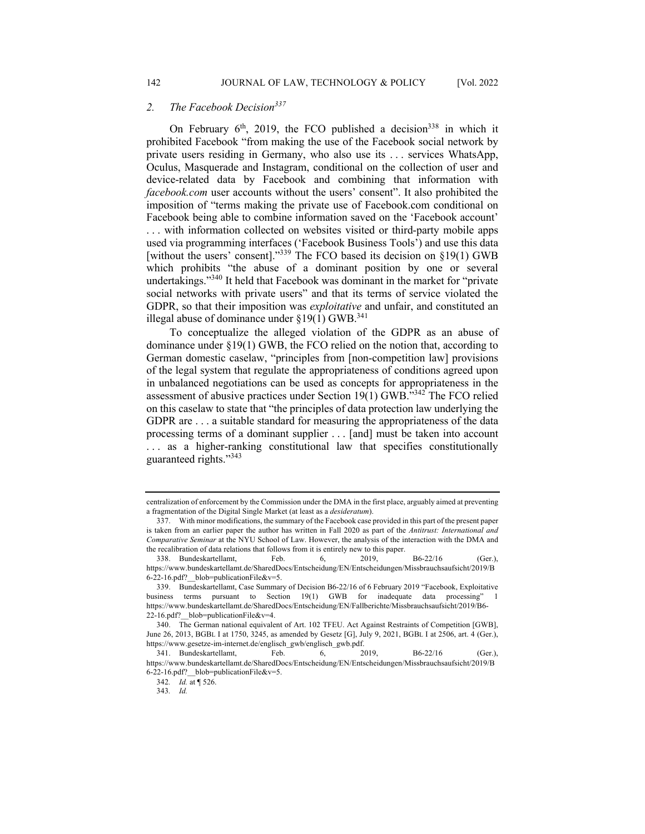On February  $6<sup>th</sup>$ , 2019, the FCO published a decision<sup>338</sup> in which it prohibited Facebook "from making the use of the Facebook social network by private users residing in Germany, who also use its . . . services WhatsApp, Oculus, Masquerade and Instagram, conditional on the collection of user and device-related data by Facebook and combining that information with *facebook.com* user accounts without the users' consent". It also prohibited the imposition of "terms making the private use of Facebook.com conditional on Facebook being able to combine information saved on the 'Facebook account' . . . with information collected on websites visited or third-party mobile apps used via programming interfaces ('Facebook Business Tools') and use this data [without the users' consent]."339 The FCO based its decision on §19(1) GWB which prohibits "the abuse of a dominant position by one or several undertakings."340 It held that Facebook was dominant in the market for "private social networks with private users" and that its terms of service violated the GDPR, so that their imposition was *exploitative* and unfair, and constituted an illegal abuse of dominance under  $\S19(1)$  GWB.<sup>341</sup>

To conceptualize the alleged violation of the GDPR as an abuse of dominance under §19(1) GWB, the FCO relied on the notion that, according to German domestic caselaw, "principles from [non-competition law] provisions of the legal system that regulate the appropriateness of conditions agreed upon in unbalanced negotiations can be used as concepts for appropriateness in the assessment of abusive practices under Section 19(1) GWB."342 The FCO relied on this caselaw to state that "the principles of data protection law underlying the GDPR are . . . a suitable standard for measuring the appropriateness of the data processing terms of a dominant supplier . . . [and] must be taken into account ... as a higher-ranking constitutional law that specifies constitutionally guaranteed rights."<sup>343</sup>

centralization of enforcement by the Commission under the DMA in the first place, arguably aimed at preventing a fragmentation of the Digital Single Market (at least as a *desideratum*).

<sup>337.</sup> With minor modifications, the summary of the Facebook case provided in this part of the present paper is taken from an earlier paper the author has written in Fall 2020 as part of the *Antitrust: International and Comparative Seminar* at the NYU School of Law. However, the analysis of the interaction with the DMA and the recalibration of data relations that follows from it is entirely new to this paper.

<sup>338.</sup> Bundeskartellamt, Feb. 6, 2019, B6-22/16 (Ger.), https://www.bundeskartellamt.de/SharedDocs/Entscheidung/EN/Entscheidungen/Missbrauchsaufsicht/2019/B 6-22-16.pdf?\_\_blob=publicationFile&v=5.

<sup>339.</sup> Bundeskartellamt, Case Summary of Decision B6-22/16 of 6 February 2019 "Facebook, Exploitative business terms pursuant to Section 19(1) GWB for inadequate data processing" https://www.bundeskartellamt.de/SharedDocs/Entscheidung/EN/Fallberichte/Missbrauchsaufsicht/2019/B6- 22-16.pdf?\_\_blob=publicationFile&v=4.

<sup>340.</sup> The German national equivalent of Art. 102 TFEU. Act Against Restraints of Competition [GWB], June 26, 2013, BGBL I at 1750, 3245, as amended by Gesetz [G], July 9, 2021, BGBL I at 2506, art. 4 (Ger.), https://www.gesetze-im-internet.de/englisch\_gwb/englisch\_gwb.pdf.

<sup>341.</sup> Bundeskartellamt, Feb. 6, 2019, B6-22/16 (Ger.), https://www.bundeskartellamt.de/SharedDocs/Entscheidung/EN/Entscheidungen/Missbrauchsaufsicht/2019/B 6-22-16.pdf?\_\_blob=publicationFile&v=5.

<sup>342</sup>*. Id.* at ¶ 526.

<sup>343</sup>*. Id.*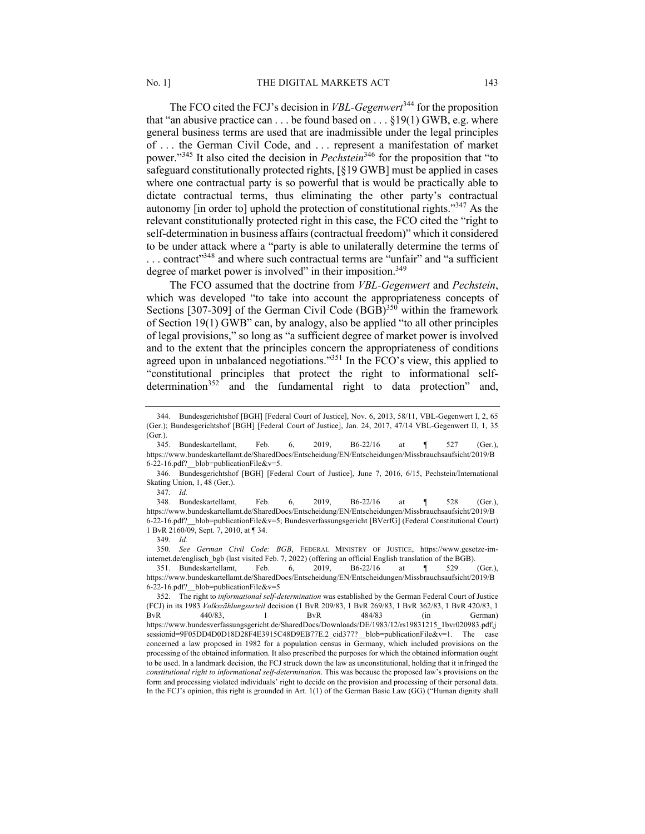The FCO cited the FCJ's decision in *VBL-Gegenwert*<sup>344</sup> for the proposition that "an abusive practice can  $\dots$  be found based on  $\dots$  \$19(1) GWB, e.g. where general business terms are used that are inadmissible under the legal principles of . . . the German Civil Code, and . . . represent a manifestation of market power."<sup>345</sup> It also cited the decision in *Pechstein*<sup>346</sup> for the proposition that "to safeguard constitutionally protected rights, [§19 GWB] must be applied in cases where one contractual party is so powerful that is would be practically able to dictate contractual terms, thus eliminating the other party's contractual autonomy [in order to] uphold the protection of constitutional rights."347 As the relevant constitutionally protected right in this case, the FCO cited the "right to self-determination in business affairs (contractual freedom)" which it considered to be under attack where a "party is able to unilaterally determine the terms of ... contract"<sup>348</sup> and where such contractual terms are "unfair" and "a sufficient degree of market power is involved" in their imposition.<sup>349</sup>

The FCO assumed that the doctrine from *VBL-Gegenwert* and *Pechstein*, which was developed "to take into account the appropriateness concepts of Sections [307-309] of the German Civil Code  $(BGB)^{350}$  within the framework of Section 19(1) GWB" can, by analogy, also be applied "to all other principles of legal provisions," so long as "a sufficient degree of market power is involved and to the extent that the principles concern the appropriateness of conditions agreed upon in unbalanced negotiations."<sup>351</sup> In the FCO's view, this applied to "constitutional principles that protect the right to informational selfdetermination<sup>352</sup> and the fundamental right to data protection" and,

348. Bundeskartellamt, Feb. 6, 2019, B6-22/16 at ¶ 528 (Ger.), https://www.bundeskartellamt.de/SharedDocs/Entscheidung/EN/Entscheidungen/Missbrauchsaufsicht/2019/B 6-22-16.pdf?\_\_blob=publicationFile&v=5; Bundesverfassungsgericht [BVerfG] (Federal Constitutional Court) 1 BvR 2160/09, Sept. 7, 2010, at ¶ 34.

349*. Id.*

350*. See German Civil Code: BGB*, FEDERAL MINISTRY OF JUSTICE, https://www.gesetze-iminternet.de/englisch\_bgb (last visited Feb. 7, 2022) (offering an official English translation of the BGB).

351. Bundeskartellamt, Feb. 6, 2019, B6-22/16 at ¶ 529 (Ger.), https://www.bundeskartellamt.de/SharedDocs/Entscheidung/EN/Entscheidungen/Missbrauchsaufsicht/2019/B 6-22-16.pdf?\_\_blob=publicationFile&v=5

<sup>344.</sup> Bundesgerichtshof [BGH] [Federal Court of Justice], Nov. 6, 2013, 58/11, VBL-Gegenwert I, 2, 65 (Ger.); Bundesgerichtshof [BGH] [Federal Court of Justice], Jan. 24, 2017, 47/14 VBL-Gegenwert II, 1, 35 (Ger.).

<sup>345.</sup> Bundeskartellamt, Feb. 6, 2019, B6-22/16 at ¶ 527 (Ger.), https://www.bundeskartellamt.de/SharedDocs/Entscheidung/EN/Entscheidungen/Missbrauchsaufsicht/2019/B 6-22-16.pdf?\_\_blob=publicationFile&v=5.

<sup>346.</sup> Bundesgerichtshof [BGH] [Federal Court of Justice], June 7, 2016, 6/15, Pechstein/International Skating Union, 1, 48 (Ger.).

<sup>347</sup>*. Id.*

<sup>352.</sup> The right to *informational self-determination* was established by the German Federal Court of Justice (FCJ) in its 1983 *Volkszählungsurteil* decision (1 BvR 209/83, 1 BvR 269/83, 1 BvR 362/83, 1 BvR 420/83, 1 BvR 440/83, 1 BvR 484/83 (in German) https://www.bundesverfassungsgericht.de/SharedDocs/Downloads/DE/1983/12/rs19831215\_1bvr020983.pdf;j sessionid=9F05DD4D0D18D28F4E3915C48D9EB77E.2\_cid377?\_\_blob=publicationFile&v=1. The case concerned a law proposed in 1982 for a population census in Germany, which included provisions on the processing of the obtained information. It also prescribed the purposes for which the obtained information ought to be used. In a landmark decision, the FCJ struck down the law as unconstitutional, holding that it infringed the *constitutional right to informational self-determination*. This was because the proposed law's provisions on the form and processing violated individuals' right to decide on the provision and processing of their personal data. In the FCJ's opinion, this right is grounded in Art. 1(1) of the German Basic Law (GG) ("Human dignity shall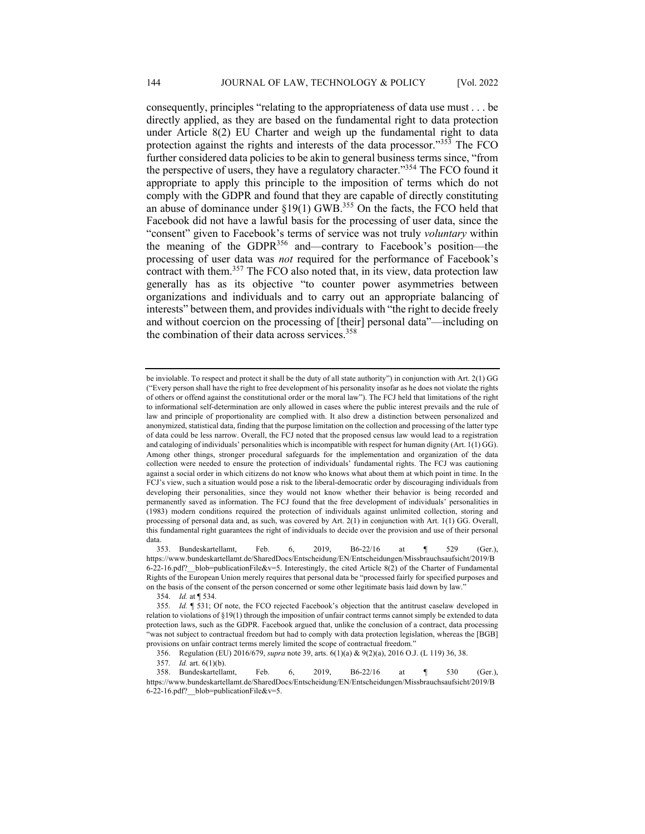consequently, principles "relating to the appropriateness of data use must . . . be directly applied, as they are based on the fundamental right to data protection under Article 8(2) EU Charter and weigh up the fundamental right to data protection against the rights and interests of the data processor." $35\overline{3}$  The FCO further considered data policies to be akin to general business terms since, "from the perspective of users, they have a regulatory character."<sup>354</sup> The FCO found it appropriate to apply this principle to the imposition of terms which do not comply with the GDPR and found that they are capable of directly constituting an abuse of dominance under  $\S19(1)$  GWB.<sup>355</sup> On the facts, the FCO held that Facebook did not have a lawful basis for the processing of user data, since the "consent" given to Facebook's terms of service was not truly *voluntary* within the meaning of the GDPR $^{356}$  and—contrary to Facebook's position—the processing of user data was *not* required for the performance of Facebook's contract with them.<sup>357</sup> The FCO also noted that, in its view, data protection law generally has as its objective "to counter power asymmetries between organizations and individuals and to carry out an appropriate balancing of interests" between them, and provides individuals with "the right to decide freely and without coercion on the processing of [their] personal data"—including on the combination of their data across services. $358$ 

354. *Id.* at ¶ 534.

356. Regulation (EU) 2016/679, *supra* note 39, arts. 6(1)(a) & 9(2)(a), 2016 O.J. (L 119) 36, 38.

be inviolable. To respect and protect it shall be the duty of all state authority") in conjunction with Art. 2(1) GG ("Every person shall have the right to free development of his personality insofar as he does not violate the rights of others or offend against the constitutional order or the moral law"). The FCJ held that limitations of the right to informational self-determination are only allowed in cases where the public interest prevails and the rule of law and principle of proportionality are complied with. It also drew a distinction between personalized and anonymized, statistical data, finding that the purpose limitation on the collection and processing of the latter type of data could be less narrow. Overall, the FCJ noted that the proposed census law would lead to a registration and cataloging of individuals' personalities which is incompatible with respect for human dignity (Art. 1(1) GG). Among other things, stronger procedural safeguards for the implementation and organization of the data collection were needed to ensure the protection of individuals' fundamental rights. The FCJ was cautioning against a social order in which citizens do not know who knows what about them at which point in time. In the FCJ's view, such a situation would pose a risk to the liberal-democratic order by discouraging individuals from developing their personalities, since they would not know whether their behavior is being recorded and permanently saved as information. The FCJ found that the free development of individuals' personalities in (1983) modern conditions required the protection of individuals against unlimited collection, storing and processing of personal data and, as such, was covered by Art. 2(1) in conjunction with Art. 1(1) GG. Overall, this fundamental right guarantees the right of individuals to decide over the provision and use of their personal data.

<sup>353.</sup> Bundeskartellamt, Feb. 6, 2019, B6-22/16 at ¶ 529 (Ger.), https://www.bundeskartellamt.de/SharedDocs/Entscheidung/EN/Entscheidungen/Missbrauchsaufsicht/2019/B 6-22-16.pdf?\_\_blob=publicationFile&v=5. Interestingly, the cited Article 8(2) of the Charter of Fundamental Rights of the European Union merely requires that personal data be "processed fairly for specified purposes and on the basis of the consent of the person concerned or some other legitimate basis laid down by law."

<sup>355</sup>*. Id.* ¶ 531; Of note, the FCO rejected Facebook's objection that the antitrust caselaw developed in relation to violations of §19(1) through the imposition of unfair contract terms cannot simply be extended to data protection laws, such as the GDPR. Facebook argued that, unlike the conclusion of a contract, data processing "was not subject to contractual freedom but had to comply with data protection legislation, whereas the [BGB] provisions on unfair contract terms merely limited the scope of contractual freedom."

<sup>357</sup>*. Id.* art. 6(1)(b).

<sup>358.</sup> Bundeskartellamt, Feb. 6, 2019, B6-22/16 at ¶ 530 (Ger.), https://www.bundeskartellamt.de/SharedDocs/Entscheidung/EN/Entscheidungen/Missbrauchsaufsicht/2019/B 6-22-16.pdf?\_\_blob=publicationFile&v=5.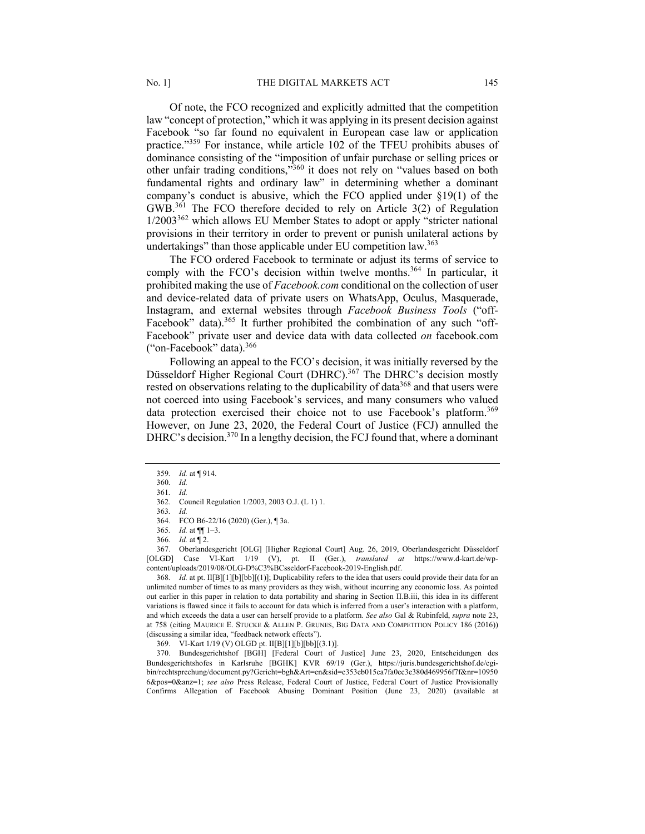Of note, the FCO recognized and explicitly admitted that the competition law "concept of protection," which it was applying in its present decision against Facebook "so far found no equivalent in European case law or application practice."<sup>359</sup> For instance, while article 102 of the TFEU prohibits abuses of dominance consisting of the "imposition of unfair purchase or selling prices or other unfair trading conditions,"<sup>360</sup> it does not rely on "values based on both fundamental rights and ordinary law" in determining whether a dominant company's conduct is abusive, which the FCO applied under §19(1) of the GWB.361 The FCO therefore decided to rely on Article 3(2) of Regulation  $1/2003^{362}$  which allows EU Member States to adopt or apply "stricter national provisions in their territory in order to prevent or punish unilateral actions by undertakings" than those applicable under EU competition law.<sup>363</sup>

The FCO ordered Facebook to terminate or adjust its terms of service to comply with the FCO's decision within twelve months.<sup>364</sup> In particular, it prohibited making the use of *Facebook.com* conditional on the collection of user and device-related data of private users on WhatsApp, Oculus, Masquerade, Instagram, and external websites through *Facebook Business Tools* ("off-Facebook" data).<sup>365</sup> It further prohibited the combination of any such "off-Facebook" private user and device data with data collected *on* facebook.com ("on-Facebook" data).366

Following an appeal to the FCO's decision, it was initially reversed by the Düsseldorf Higher Regional Court (DHRC).<sup>367</sup> The DHRC's decision mostly rested on observations relating to the duplicability of data<sup>368</sup> and that users were not coerced into using Facebook's services, and many consumers who valued data protection exercised their choice not to use Facebook's platform.<sup>369</sup> However, on June 23, 2020, the Federal Court of Justice (FCJ) annulled the DHRC's decision.<sup>370</sup> In a lengthy decision, the FCJ found that, where a dominant

368*. Id.* at pt. II[B][1][b][bb][(1)]; Duplicability refers to the idea that users could provide their data for an unlimited number of times to as many providers as they wish, without incurring any economic loss. As pointed out earlier in this paper in relation to data portability and sharing in Section II.B.iii, this idea in its different variations is flawed since it fails to account for data which is inferred from a user's interaction with a platform, and which exceeds the data a user can herself provide to a platform. *See also* Gal & Rubinfeld, *supra* note 23, at 758 (citing MAURICE E. STUCKE & ALLEN P. GRUNES, BIG DATA AND COMPETITION POLICY 186 (2016)) (discussing a similar idea, "feedback network effects").

369. VI-Kart 1/19 (V) OLGD pt. II[B][1][b][bb][(3.1)].

370. Bundesgerichtshof [BGH] [Federal Court of Justice] June 23, 2020, Entscheidungen des Bundesgerichtshofes in Karlsruhe [BGHK] KVR 69/19 (Ger.), https://juris.bundesgerichtshof.de/cgibin/rechtsprechung/document.py?Gericht=bgh&Art=en&sid=c353eb015ca7fa0ec3e380d469956f7f&nr=10950 6&pos=0&anz=1; *see also* Press Release, Federal Court of Justice, Federal Court of Justice Provisionally Confirms Allegation of Facebook Abusing Dominant Position (June 23, 2020) (available at

<sup>359</sup>*. Id.* at ¶ 914.

<sup>360</sup>*. Id.*

<sup>361</sup>*. Id.*

<sup>362.</sup> Council Regulation 1/2003, 2003 O.J. (L 1) 1.

<sup>363</sup>*. Id.*

<sup>364.</sup> FCO B6-22/16 (2020) (Ger.), ¶ 3a.

<sup>365</sup>*. Id.* at ¶¶ 1–3.

<sup>366</sup>*. Id.* at ¶ 2.

<sup>367.</sup> Oberlandesgericht [OLG] [Higher Regional Court] Aug. 26, 2019, Oberlandesgericht Düsseldorf [OLGD] Case VI-Kart 1/19 (V), pt. II (Ger.), *translated at* https://www.d-kart.de/wpcontent/uploads/2019/08/OLG-D%C3%BCsseldorf-Facebook-2019-English.pdf.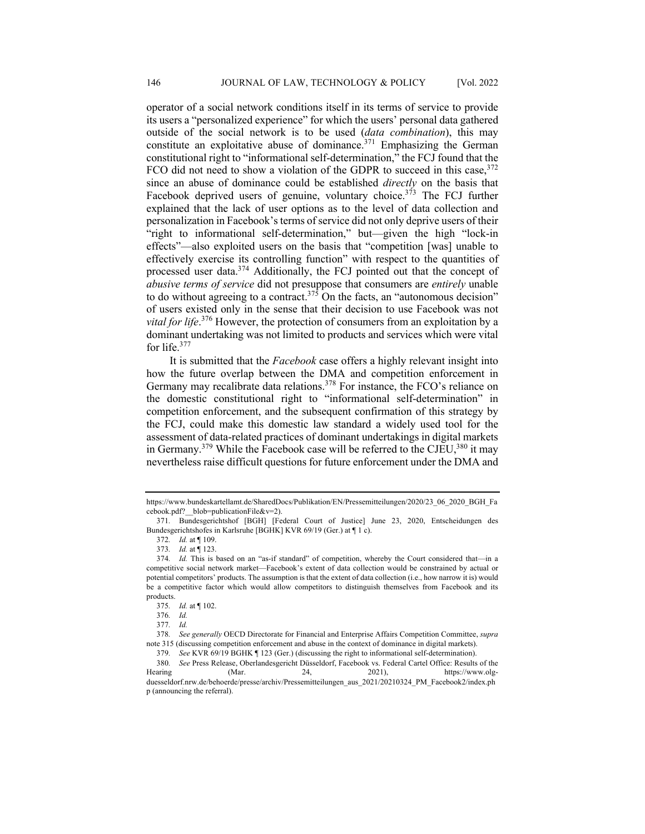operator of a social network conditions itself in its terms of service to provide its users a "personalized experience" for which the users' personal data gathered outside of the social network is to be used (*data combination*), this may constitute an exploitative abuse of dominance.<sup>371</sup> Emphasizing the German constitutional right to "informational self-determination," the FCJ found that the FCO did not need to show a violation of the GDPR to succeed in this case,  $372$ since an abuse of dominance could be established *directly* on the basis that Facebook deprived users of genuine, voluntary choice.<sup>373</sup> The FCJ further explained that the lack of user options as to the level of data collection and personalization in Facebook's terms of service did not only deprive users of their "right to informational self-determination," but—given the high "lock-in effects"—also exploited users on the basis that "competition [was] unable to effectively exercise its controlling function" with respect to the quantities of processed user data.<sup>374</sup> Additionally, the FCJ pointed out that the concept of *abusive terms of service* did not presuppose that consumers are *entirely* unable to do without agreeing to a contract.<sup>375</sup> On the facts, an "autonomous decision" of users existed only in the sense that their decision to use Facebook was not *vital for life*. <sup>376</sup> However, the protection of consumers from an exploitation by a dominant undertaking was not limited to products and services which were vital for life.377

It is submitted that the *Facebook* case offers a highly relevant insight into how the future overlap between the DMA and competition enforcement in Germany may recalibrate data relations.<sup>378</sup> For instance, the FCO's reliance on the domestic constitutional right to "informational self-determination" in competition enforcement, and the subsequent confirmation of this strategy by the FCJ, could make this domestic law standard a widely used tool for the assessment of data-related practices of dominant undertakings in digital markets in Germany.<sup>379</sup> While the Facebook case will be referred to the CJEU,<sup>380</sup> it may nevertheless raise difficult questions for future enforcement under the DMA and

https://www.bundeskartellamt.de/SharedDocs/Publikation/EN/Pressemitteilungen/2020/23\_06\_2020\_BGH\_Fa cebook.pdf? blob=publicationFile&v=2).

<sup>371</sup>*.* Bundesgerichtshof [BGH] [Federal Court of Justice] June 23, 2020, Entscheidungen des Bundesgerichtshofes in Karlsruhe [BGHK] KVR 69/19 (Ger.) at ¶ 1 c).

<sup>372</sup>*. Id.* at ¶ 109.

<sup>373</sup>*. Id.* at ¶ 123.

<sup>374</sup>*. Id.* This is based on an "as-if standard" of competition, whereby the Court considered that—in a competitive social network market—Facebook's extent of data collection would be constrained by actual or potential competitors' products. The assumption is that the extent of data collection (i.e., how narrow it is) would be a competitive factor which would allow competitors to distinguish themselves from Facebook and its products.

<sup>375</sup>*. Id.* at ¶ 102.

<sup>376</sup>*. Id.*

<sup>377</sup>*. Id.*

<sup>378</sup>*. See generally* OECD Directorate for Financial and Enterprise Affairs Competition Committee, *supra* note 315 (discussing competition enforcement and abuse in the context of dominance in digital markets).

<sup>379</sup>*. See* KVR 69/19 BGHK ¶ 123 (Ger.) (discussing the right to informational self-determination).

<sup>380</sup>*. See* Press Release, Oberlandesgericht Düsseldorf, Facebook vs. Federal Cartel Office: Results of the Hearing (Mar. 24, 2021), https://www.olgduesseldorf.nrw.de/behoerde/presse/archiv/Pressemitteilungen\_aus\_2021/20210324\_PM\_Facebook2/index.ph p (announcing the referral).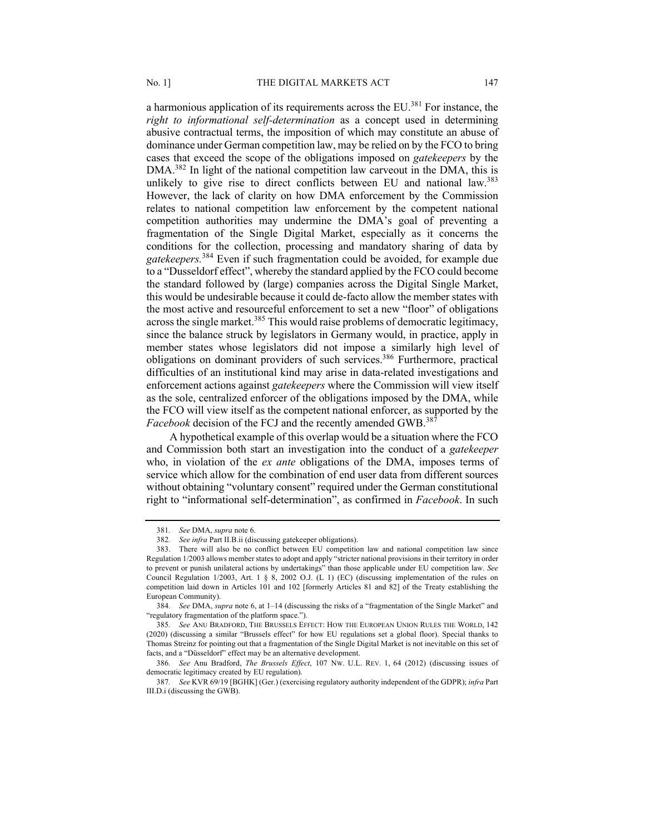a harmonious application of its requirements across the  $EU^{381}$  For instance, the *right to informational self-determination* as a concept used in determining abusive contractual terms, the imposition of which may constitute an abuse of dominance under German competition law, may be relied on by the FCO to bring cases that exceed the scope of the obligations imposed on *gatekeepers* by the DMA.<sup>382</sup> In light of the national competition law carveout in the DMA, this is unlikely to give rise to direct conflicts between EU and national law.<sup>383</sup> However, the lack of clarity on how DMA enforcement by the Commission relates to national competition law enforcement by the competent national competition authorities may undermine the DMA's goal of preventing a fragmentation of the Single Digital Market, especially as it concerns the conditions for the collection, processing and mandatory sharing of data by *gatekeepers.*<sup>384</sup> Even if such fragmentation could be avoided, for example due to a "Dusseldorf effect", whereby the standard applied by the FCO could become the standard followed by (large) companies across the Digital Single Market, this would be undesirable because it could de-facto allow the member states with the most active and resourceful enforcement to set a new "floor" of obligations across the single market.<sup>385</sup> This would raise problems of democratic legitimacy, since the balance struck by legislators in Germany would, in practice, apply in member states whose legislators did not impose a similarly high level of obligations on dominant providers of such services.<sup>386</sup> Furthermore, practical difficulties of an institutional kind may arise in data-related investigations and enforcement actions against *gatekeepers* where the Commission will view itself as the sole, centralized enforcer of the obligations imposed by the DMA, while the FCO will view itself as the competent national enforcer, as supported by the *Facebook* decision of the FCJ and the recently amended GWB.<sup>387</sup>

A hypothetical example of this overlap would be a situation where the FCO and Commission both start an investigation into the conduct of a *gatekeeper*  who, in violation of the *ex ante* obligations of the DMA, imposes terms of service which allow for the combination of end user data from different sources without obtaining "voluntary consent" required under the German constitutional right to "informational self-determination", as confirmed in *Facebook*. In such

<sup>381</sup>*. See* DMA, *supra* note 6.

<sup>382</sup>*. See infra* Part II.B.ii (discussing gatekeeper obligations).

<sup>383.</sup> There will also be no conflict between EU competition law and national competition law since Regulation 1/2003 allows member states to adopt and apply "stricter national provisions in their territory in order to prevent or punish unilateral actions by undertakings" than those applicable under EU competition law. *See*  Council Regulation 1/2003, Art. 1 § 8, 2002 O.J. (L 1) (EC) (discussing implementation of the rules on competition laid down in Articles 101 and 102 [formerly Articles 81 and 82] of the Treaty establishing the European Community).

<sup>384</sup>*. See* DMA, *supra* note 6, at 1–14 (discussing the risks of a "fragmentation of the Single Market" and "regulatory fragmentation of the platform space.").

<sup>385</sup>*. See* ANU BRADFORD, THE BRUSSELS EFFECT: HOW THE EUROPEAN UNION RULES THE WORLD, 142 (2020) (discussing a similar "Brussels effect" for how EU regulations set a global floor). Special thanks to Thomas Streinz for pointing out that a fragmentation of the Single Digital Market is not inevitable on this set of facts, and a "Düsseldorf" effect may be an alternative development.

<sup>386</sup>*. See* Anu Bradford, *The Brussels Effect*, 107 NW. U.L. REV. 1, 64 (2012) (discussing issues of democratic legitimacy created by EU regulation).

<sup>387</sup>*. See* KVR 69/19 [BGHK] (Ger.) (exercising regulatory authority independent of the GDPR); *infra* Part III.D.i (discussing the GWB).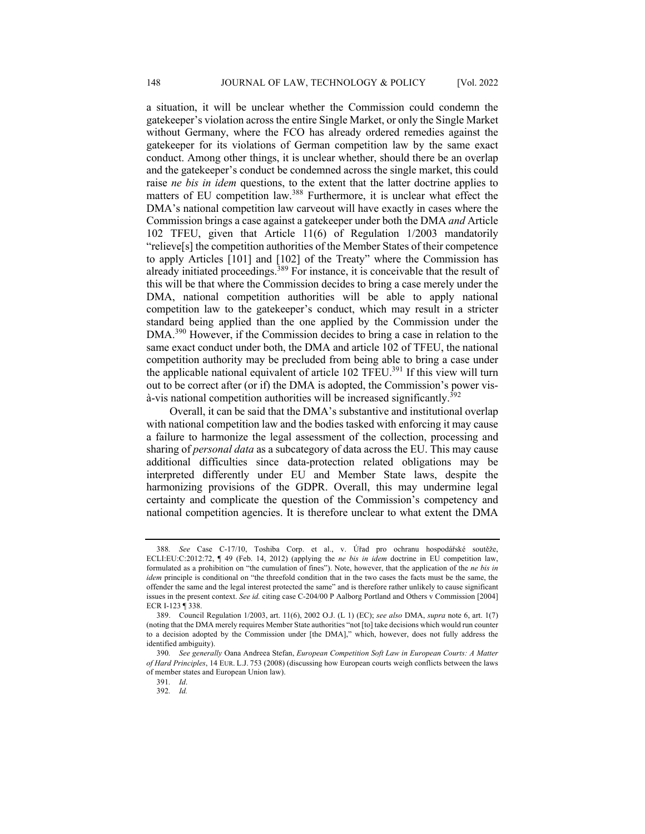a situation, it will be unclear whether the Commission could condemn the gatekeeper's violation across the entire Single Market, or only the Single Market without Germany, where the FCO has already ordered remedies against the gatekeeper for its violations of German competition law by the same exact conduct. Among other things, it is unclear whether, should there be an overlap and the gatekeeper's conduct be condemned across the single market, this could raise *ne bis in idem* questions, to the extent that the latter doctrine applies to matters of EU competition law.<sup>388</sup> Furthermore, it is unclear what effect the DMA's national competition law carveout will have exactly in cases where the Commission brings a case against a gatekeeper under both the DMA *and* Article 102 TFEU, given that Article 11(6) of Regulation 1/2003 mandatorily "relieve[s] the competition authorities of the Member States of their competence to apply Articles [101] and [102] of the Treaty" where the Commission has already initiated proceedings.<sup>389</sup> For instance, it is conceivable that the result of this will be that where the Commission decides to bring a case merely under the DMA, national competition authorities will be able to apply national competition law to the gatekeeper's conduct, which may result in a stricter standard being applied than the one applied by the Commission under the DMA.<sup>390</sup> However, if the Commission decides to bring a case in relation to the same exact conduct under both, the DMA and article 102 of TFEU, the national competition authority may be precluded from being able to bring a case under the applicable national equivalent of article 102 TFEU.<sup>391</sup> If this view will turn out to be correct after (or if) the DMA is adopted, the Commission's power vis- $\dot{a}$ -vis national competition authorities will be increased significantly.<sup>392</sup>

Overall, it can be said that the DMA's substantive and institutional overlap with national competition law and the bodies tasked with enforcing it may cause a failure to harmonize the legal assessment of the collection, processing and sharing of *personal data* as a subcategory of data across the EU. This may cause additional difficulties since data-protection related obligations may be interpreted differently under EU and Member State laws, despite the harmonizing provisions of the GDPR. Overall, this may undermine legal certainty and complicate the question of the Commission's competency and national competition agencies. It is therefore unclear to what extent the DMA

<sup>388</sup>*. See* Case C-17/10, Toshiba Corp. et al., v. Úřad pro ochranu hospodářské soutěže, ECLI:EU:C:2012:72, ¶ 49 (Feb. 14, 2012) (applying the *ne bis in idem* doctrine in EU competition law, formulated as a prohibition on "the cumulation of fines"). Note, however, that the application of the *ne bis in idem* principle is conditional on "the threefold condition that in the two cases the facts must be the same, the offender the same and the legal interest protected the same" and is therefore rather unlikely to cause significant issues in the present context. *See id.* citing case C-204/00 P Aalborg Portland and Others v Commission [2004] ECR I-123 ¶ 338.

<sup>389.</sup> Council Regulation 1/2003, art. 11(6), 2002 O.J. (L 1) (EC); *see also* DMA, *supra* note 6, art. 1(7) (noting that the DMA merely requires Member State authorities "not [to] take decisions which would run counter to a decision adopted by the Commission under [the DMA]," which, however, does not fully address the identified ambiguity).

<sup>390</sup>*. See generally* Oana Andreea Stefan, *European Competition Soft Law in European Courts: A Matter of Hard Principles*, 14 EUR. L.J. 753 (2008) (discussing how European courts weigh conflicts between the laws of member states and European Union law).

<sup>391</sup>*. Id*.

<sup>392</sup>*. Id.*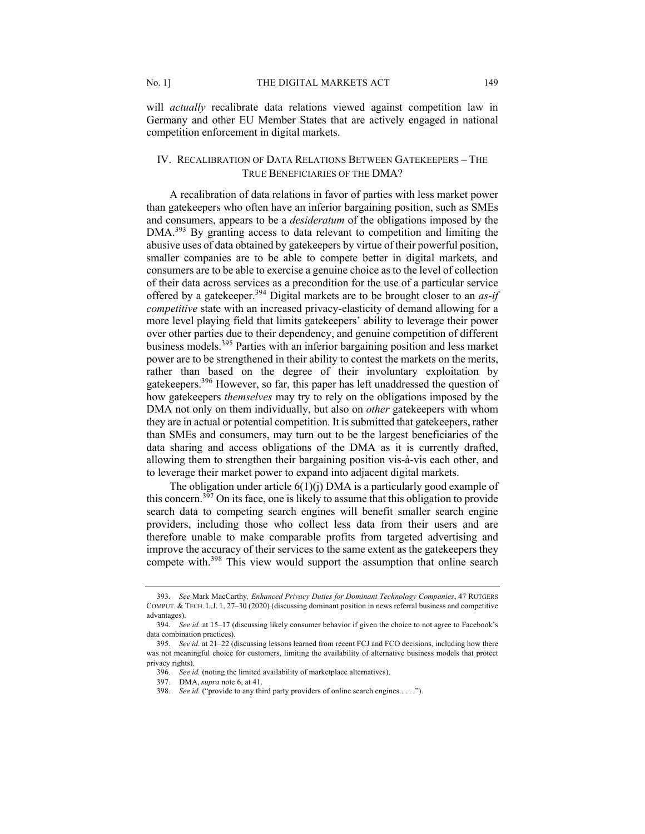will *actually* recalibrate data relations viewed against competition law in Germany and other EU Member States that are actively engaged in national competition enforcement in digital markets.

# IV. RECALIBRATION OF DATA RELATIONS BETWEEN GATEKEEPERS – THE TRUE BENEFICIARIES OF THE DMA?

A recalibration of data relations in favor of parties with less market power than gatekeepers who often have an inferior bargaining position, such as SMEs and consumers, appears to be a *desideratum* of the obligations imposed by the DMA.<sup>393</sup> By granting access to data relevant to competition and limiting the abusive uses of data obtained by gatekeepers by virtue of their powerful position, smaller companies are to be able to compete better in digital markets, and consumers are to be able to exercise a genuine choice as to the level of collection of their data across services as a precondition for the use of a particular service offered by a gatekeeper.394 Digital markets are to be brought closer to an *as-if competitive* state with an increased privacy-elasticity of demand allowing for a more level playing field that limits gatekeepers' ability to leverage their power over other parties due to their dependency, and genuine competition of different business models.<sup>395</sup> Parties with an inferior bargaining position and less market power are to be strengthened in their ability to contest the markets on the merits, rather than based on the degree of their involuntary exploitation by gatekeepers.<sup>396</sup> However, so far, this paper has left unaddressed the question of how gatekeepers *themselves* may try to rely on the obligations imposed by the DMA not only on them individually, but also on *other* gatekeepers with whom they are in actual or potential competition. It is submitted that gatekeepers, rather than SMEs and consumers, may turn out to be the largest beneficiaries of the data sharing and access obligations of the DMA as it is currently drafted, allowing them to strengthen their bargaining position vis-à-vis each other, and to leverage their market power to expand into adjacent digital markets.

The obligation under article  $6(1)(i)$  DMA is a particularly good example of this concern.<sup>397</sup> On its face, one is likely to assume that this obligation to provide search data to competing search engines will benefit smaller search engine providers, including those who collect less data from their users and are therefore unable to make comparable profits from targeted advertising and improve the accuracy of their services to the same extent as the gatekeepers they compete with.<sup>398</sup> This view would support the assumption that online search

<sup>393</sup>*. See* Mark MacCarthy*, Enhanced Privacy Duties for Dominant Technology Companies*, 47 RUTGERS COMPUT. & TECH. L.J. 1, 27–30 (2020) (discussing dominant position in news referral business and competitive advantages).

<sup>394</sup>*. See id.* at 15–17 (discussing likely consumer behavior if given the choice to not agree to Facebook's data combination practices).

<sup>395</sup>*. See id.* at 21–22 (discussing lessons learned from recent FCJ and FCO decisions, including how there was not meaningful choice for customers, limiting the availability of alternative business models that protect privacy rights).

<sup>396</sup>*. See id.* (noting the limited availability of marketplace alternatives).

<sup>397.</sup> DMA, *supra* note 6, at 41.

<sup>398</sup>*. See id.* ("provide to any third party providers of online search engines . . . .").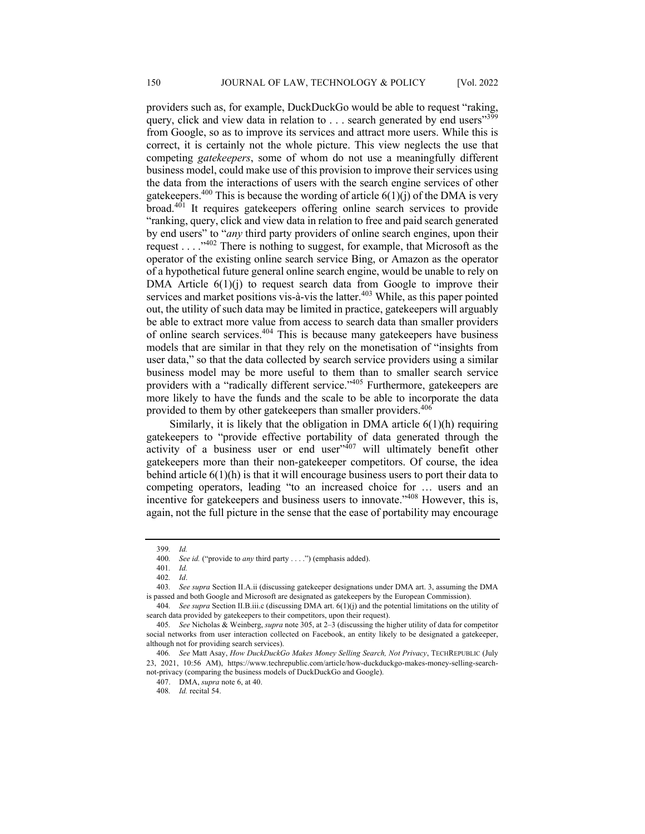providers such as, for example, DuckDuckGo would be able to request "raking, query, click and view data in relation to  $\ldots$  search generated by end users"<sup>399</sup> from Google, so as to improve its services and attract more users. While this is correct, it is certainly not the whole picture. This view neglects the use that competing *gatekeepers*, some of whom do not use a meaningfully different business model, could make use of this provision to improve their services using the data from the interactions of users with the search engine services of other gatekeepers.<sup>400</sup> This is because the wording of article  $6(1)(i)$  of the DMA is very  $broad$ . It requires gatekeepers offering online search services to provide "ranking, query, click and view data in relation to free and paid search generated by end users" to "*any* third party providers of online search engines, upon their request  $\dots$  . . . . . . . . . There is nothing to suggest, for example, that Microsoft as the operator of the existing online search service Bing, or Amazon as the operator of a hypothetical future general online search engine, would be unable to rely on DMA Article  $6(1)(i)$  to request search data from Google to improve their services and market positions vis-à-vis the latter.<sup>403</sup> While, as this paper pointed out, the utility of such data may be limited in practice, gatekeepers will arguably be able to extract more value from access to search data than smaller providers of online search services.<sup>404</sup> This is because many gatekeepers have business models that are similar in that they rely on the monetisation of "insights from user data," so that the data collected by search service providers using a similar business model may be more useful to them than to smaller search service providers with a "radically different service."<sup>405</sup> Furthermore, gatekeepers are more likely to have the funds and the scale to be able to incorporate the data provided to them by other gatekeepers than smaller providers.<sup>406</sup>

Similarly, it is likely that the obligation in DMA article 6(1)(h) requiring gatekeepers to "provide effective portability of data generated through the activity of a business user or end user $1407$  will ultimately benefit other gatekeepers more than their non-gatekeeper competitors. Of course, the idea behind article  $6(1)(h)$  is that it will encourage business users to port their data to competing operators, leading "to an increased choice for … users and an incentive for gatekeepers and business users to innovate."408 However, this is, again, not the full picture in the sense that the ease of portability may encourage

<sup>399</sup>*. Id.*

<sup>400</sup>*. See id.* ("provide to *any* third party . . . .") (emphasis added).

<sup>401</sup>*. Id.*

<sup>402</sup>*. Id*.

<sup>403</sup>*. See supra* Section II.A.ii (discussing gatekeeper designations under DMA art. 3, assuming the DMA is passed and both Google and Microsoft are designated as gatekeepers by the European Commission).

<sup>404</sup>*. See supra* Section II.B.iii.c (discussing DMA art. 6(1)(j) and the potential limitations on the utility of search data provided by gatekeepers to their competitors, upon their request).

<sup>405</sup>*. See* Nicholas & Weinberg, *supra* note 305, at 2–3 (discussing the higher utility of data for competitor social networks from user interaction collected on Facebook, an entity likely to be designated a gatekeeper, although not for providing search services).

<sup>406</sup>*. See* Matt Asay, *How DuckDuckGo Makes Money Selling Search, Not Privacy*, TECHREPUBLIC (July 23, 2021, 10:56 AM), https://www.techrepublic.com/article/how-duckduckgo-makes-money-selling-searchnot-privacy (comparing the business models of DuckDuckGo and Google).

<sup>407.</sup> DMA, *supra* note 6, at 40.

<sup>408</sup>*. Id.* recital 54.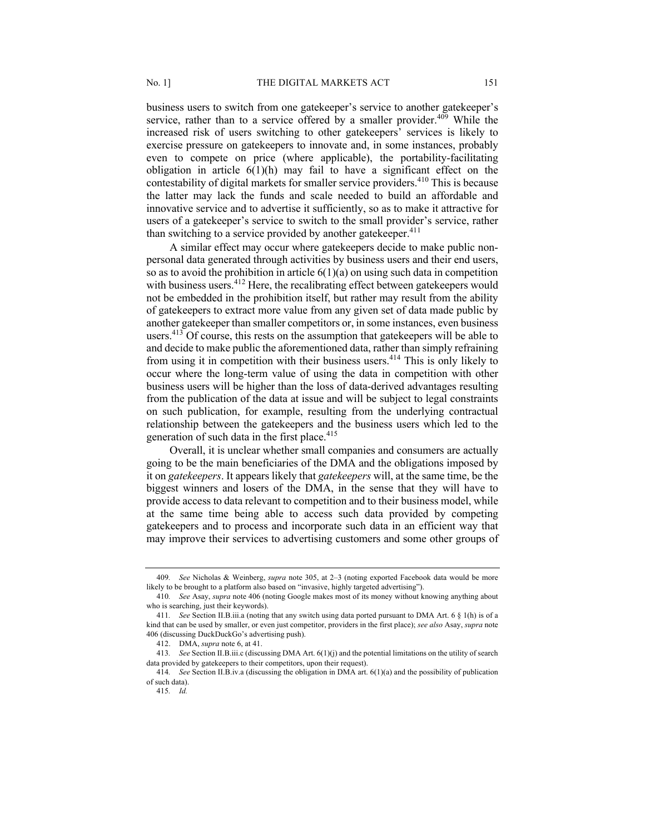business users to switch from one gatekeeper's service to another gatekeeper's service, rather than to a service offered by a smaller provider.<sup>409</sup> While the increased risk of users switching to other gatekeepers' services is likely to exercise pressure on gatekeepers to innovate and, in some instances, probably even to compete on price (where applicable), the portability-facilitating obligation in article  $6(1)(h)$  may fail to have a significant effect on the contestability of digital markets for smaller service providers.<sup>410</sup> This is because the latter may lack the funds and scale needed to build an affordable and innovative service and to advertise it sufficiently, so as to make it attractive for users of a gatekeeper's service to switch to the small provider's service, rather than switching to a service provided by another gatekeeper.<sup>411</sup>

A similar effect may occur where gatekeepers decide to make public nonpersonal data generated through activities by business users and their end users, so as to avoid the prohibition in article  $6(1)(a)$  on using such data in competition with business users.<sup>412</sup> Here, the recalibrating effect between gatekeepers would not be embedded in the prohibition itself, but rather may result from the ability of gatekeepers to extract more value from any given set of data made public by another gatekeeper than smaller competitors or, in some instances, even business users.<sup>413</sup> Of course, this rests on the assumption that gatekeepers will be able to and decide to make public the aforementioned data, rather than simply refraining from using it in competition with their business users.<sup>414</sup> This is only likely to occur where the long-term value of using the data in competition with other business users will be higher than the loss of data-derived advantages resulting from the publication of the data at issue and will be subject to legal constraints on such publication, for example, resulting from the underlying contractual relationship between the gatekeepers and the business users which led to the generation of such data in the first place. $415$ 

Overall, it is unclear whether small companies and consumers are actually going to be the main beneficiaries of the DMA and the obligations imposed by it on *gatekeepers*. It appears likely that *gatekeepers* will, at the same time, be the biggest winners and losers of the DMA, in the sense that they will have to provide access to data relevant to competition and to their business model, while at the same time being able to access such data provided by competing gatekeepers and to process and incorporate such data in an efficient way that may improve their services to advertising customers and some other groups of

<sup>409</sup>*. See* Nicholas & Weinberg, *supra* note 305, at 2–3 (noting exported Facebook data would be more likely to be brought to a platform also based on "invasive, highly targeted advertising").

<sup>410</sup>*. See* Asay, *supra* note 406 (noting Google makes most of its money without knowing anything about who is searching, just their keywords).

<sup>411</sup>*. See* Section II.B.iii.a (noting that any switch using data ported pursuant to DMA Art. 6 § 1(h) is of a kind that can be used by smaller, or even just competitor, providers in the first place); *see also* Asay, *supra* note 406 (discussing DuckDuckGo's advertising push).

<sup>412.</sup> DMA, *supra* note 6, at 41.

<sup>413</sup>*. See* Section II.B.iii.c (discussing DMA Art. 6(1)(j) and the potential limitations on the utility of search data provided by gatekeepers to their competitors, upon their request).

<sup>414</sup>*. See* Section II.B.iv.a (discussing the obligation in DMA art. 6(1)(a) and the possibility of publication of such data).

<sup>415</sup>*. Id.*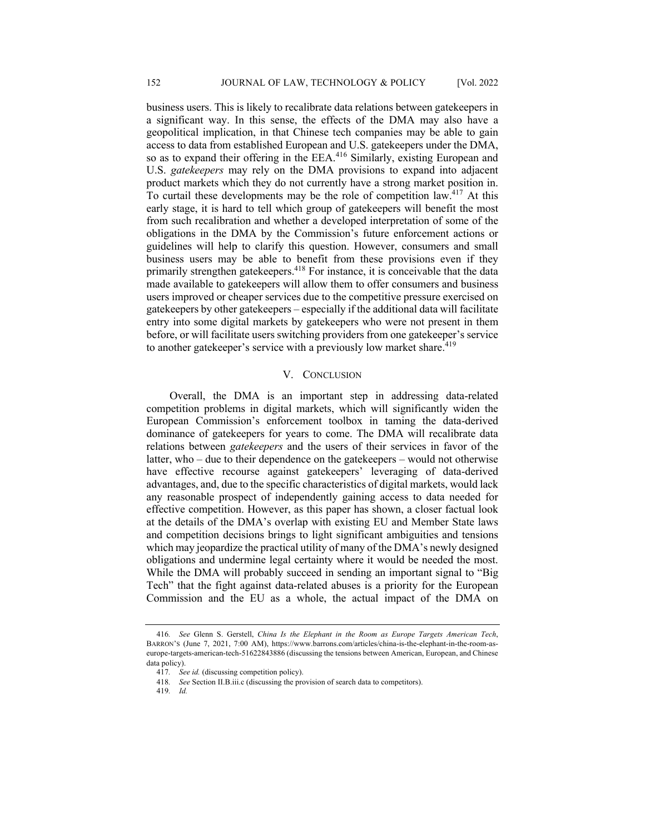business users. This is likely to recalibrate data relations between gatekeepers in a significant way. In this sense, the effects of the DMA may also have a geopolitical implication, in that Chinese tech companies may be able to gain access to data from established European and U.S. gatekeepers under the DMA, so as to expand their offering in the EEA.<sup>416</sup> Similarly, existing European and U.S. *gatekeepers* may rely on the DMA provisions to expand into adjacent product markets which they do not currently have a strong market position in. To curtail these developments may be the role of competition law.417 At this early stage, it is hard to tell which group of gatekeepers will benefit the most from such recalibration and whether a developed interpretation of some of the obligations in the DMA by the Commission's future enforcement actions or guidelines will help to clarify this question. However, consumers and small business users may be able to benefit from these provisions even if they primarily strengthen gatekeepers.<sup>418</sup> For instance, it is conceivable that the data made available to gatekeepers will allow them to offer consumers and business users improved or cheaper services due to the competitive pressure exercised on gatekeepers by other gatekeepers – especially if the additional data will facilitate entry into some digital markets by gatekeepers who were not present in them before, or will facilitate users switching providers from one gatekeeper's service to another gatekeeper's service with a previously low market share.<sup>419</sup>

## V. CONCLUSION

Overall, the DMA is an important step in addressing data-related competition problems in digital markets, which will significantly widen the European Commission's enforcement toolbox in taming the data-derived dominance of gatekeepers for years to come. The DMA will recalibrate data relations between *gatekeepers* and the users of their services in favor of the latter, who – due to their dependence on the gatekeepers – would not otherwise have effective recourse against gatekeepers' leveraging of data-derived advantages, and, due to the specific characteristics of digital markets, would lack any reasonable prospect of independently gaining access to data needed for effective competition. However, as this paper has shown, a closer factual look at the details of the DMA's overlap with existing EU and Member State laws and competition decisions brings to light significant ambiguities and tensions which may jeopardize the practical utility of many of the DMA's newly designed obligations and undermine legal certainty where it would be needed the most. While the DMA will probably succeed in sending an important signal to "Big Tech" that the fight against data-related abuses is a priority for the European Commission and the EU as a whole, the actual impact of the DMA on

<sup>416</sup>*. See* Glenn S. Gerstell, *China Is the Elephant in the Room as Europe Targets American Tech*, BARRON'S (June 7, 2021, 7:00 AM), https://www.barrons.com/articles/china-is-the-elephant-in-the-room-aseurope-targets-american-tech-51622843886 (discussing the tensions between American, European, and Chinese data policy).

<sup>417</sup>*. See id.* (discussing competition policy).

<sup>418</sup>*. See* Section II.B.iii.c (discussing the provision of search data to competitors).

<sup>419</sup>*. Id.*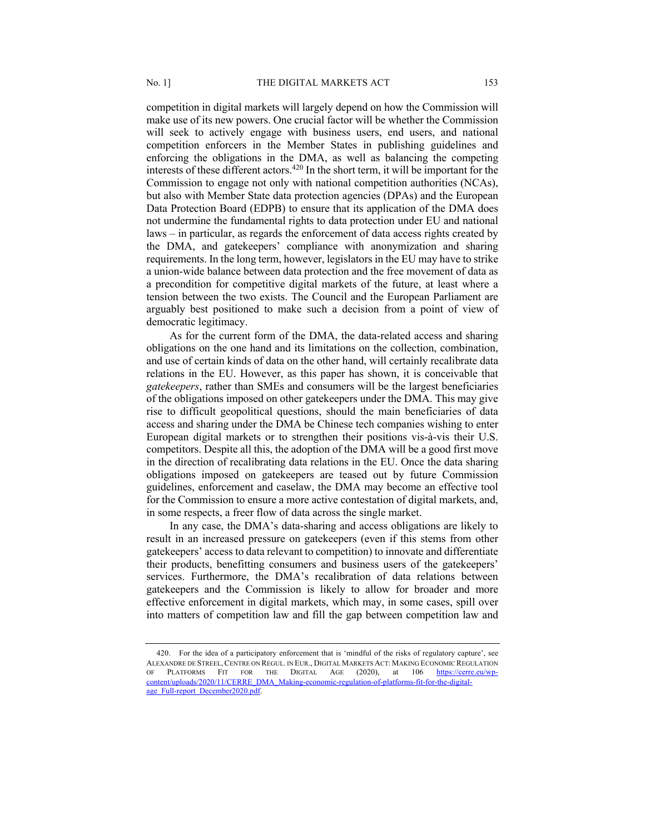competition in digital markets will largely depend on how the Commission will make use of its new powers. One crucial factor will be whether the Commission will seek to actively engage with business users, end users, and national competition enforcers in the Member States in publishing guidelines and enforcing the obligations in the DMA, as well as balancing the competing interests of these different actors.<sup>420</sup> In the short term, it will be important for the Commission to engage not only with national competition authorities (NCAs), but also with Member State data protection agencies (DPAs) and the European Data Protection Board (EDPB) to ensure that its application of the DMA does not undermine the fundamental rights to data protection under EU and national laws – in particular, as regards the enforcement of data access rights created by the DMA, and gatekeepers' compliance with anonymization and sharing requirements. In the long term, however, legislators in the EU may have to strike a union-wide balance between data protection and the free movement of data as a precondition for competitive digital markets of the future, at least where a tension between the two exists. The Council and the European Parliament are arguably best positioned to make such a decision from a point of view of democratic legitimacy.

As for the current form of the DMA, the data-related access and sharing obligations on the one hand and its limitations on the collection, combination, and use of certain kinds of data on the other hand, will certainly recalibrate data relations in the EU. However, as this paper has shown, it is conceivable that *gatekeepers*, rather than SMEs and consumers will be the largest beneficiaries of the obligations imposed on other gatekeepers under the DMA. This may give rise to difficult geopolitical questions, should the main beneficiaries of data access and sharing under the DMA be Chinese tech companies wishing to enter European digital markets or to strengthen their positions vis-à-vis their U.S. competitors. Despite all this, the adoption of the DMA will be a good first move in the direction of recalibrating data relations in the EU. Once the data sharing obligations imposed on gatekeepers are teased out by future Commission guidelines, enforcement and caselaw, the DMA may become an effective tool for the Commission to ensure a more active contestation of digital markets, and, in some respects, a freer flow of data across the single market.

In any case, the DMA's data-sharing and access obligations are likely to result in an increased pressure on gatekeepers (even if this stems from other gatekeepers' access to data relevant to competition) to innovate and differentiate their products, benefitting consumers and business users of the gatekeepers' services. Furthermore, the DMA's recalibration of data relations between gatekeepers and the Commission is likely to allow for broader and more effective enforcement in digital markets, which may, in some cases, spill over into matters of competition law and fill the gap between competition law and

<sup>420.</sup> For the idea of a participatory enforcement that is 'mindful of the risks of regulatory capture', see ALEXANDRE DE STREEL,CENTRE ON REGUL. IN EUR., DIGITAL MARKETS ACT: MAKING ECONOMIC REGULATION OF PLATFORMS FIT FOR THE DIGITAL AGE (2020), at 106 https://cerre.eu/wpcontent/uploads/2020/11/CERRE\_DMA\_Making-economic-regulation-of-platforms-fit-for-the-digitalage\_Full-report\_December2020.pdf.